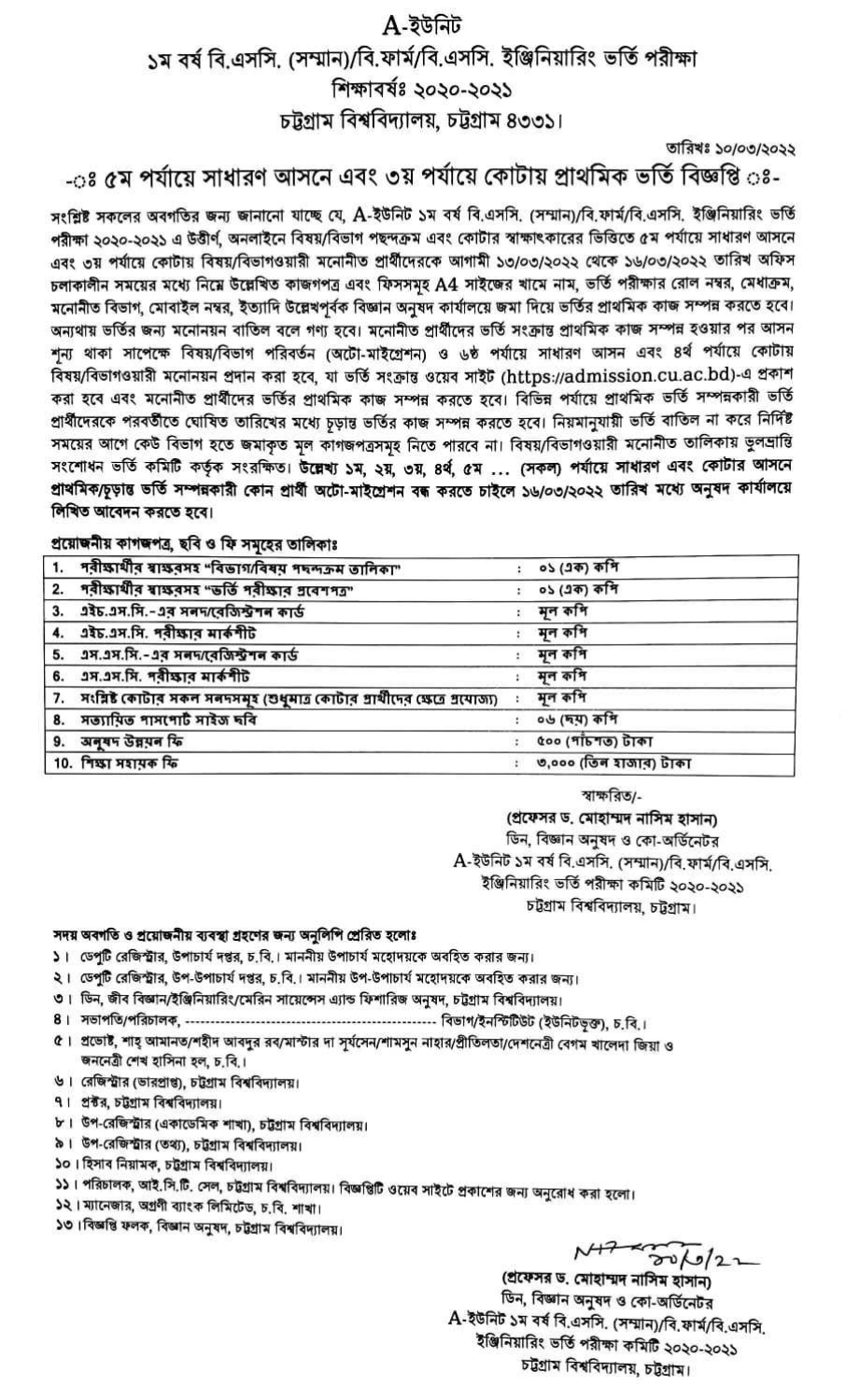## A-ইউনিট

১ম বর্ষ বি.এসসি. (সম্মান)/বি.ফার্ম/বি.এসসি. ইঞ্জিনিয়ারিং ভর্তি পরীক্ষা

## শিক্ষাবৰ্ষঃ ২০২০-২০২১

## চট্টগ্রাম বিশ্ববিদ্যালয়, চট্টগ্রাম ৪৩৩১।

তারিখঃ ১০/০৩/২০২২

## -০ঃ ৫ম পর্যায়ে সাধারণ আসনে এবং ৩য় পর্যায়ে কোটায় প্রাথমিক ভর্তি বিজ্ঞপ্তি ০ঃ-

সংশ্লিষ্ট সকলের অবগতির জন্য জানানো যাচ্ছে যে, A-ইউনিট ১ম বর্ষ বি.এসসি. (সম্মান)/বি.ফার্ম/বি.এসসি. ইঞ্জিনিয়ারিং ভর্তি পরীক্ষা ২০২০-২০২১ এ উত্তীর্ণ, অনলাইনে বিষয়/বিভাগ পছন্দক্রম এবং কোটার স্বাক্ষাৎকারের ভিত্তিতে ৫ম পর্যায়ে সাধারণ আসনে এবং ৩য় পর্যায়ে কোটায় বিষয়/বিভাগওয়ারী মনোনীত প্রার্থীদেরকে আগামী ১৩/০৩/২০২২ থেকে ১৬/০৩/২০২২ তারিখ অফিস চলাকালীন সময়ের মধ্যে নিম্নে উল্লেখিত কাজগপত্র এবং ফিসসমূহ A4 সাইজের খামে নাম, ভর্তি পরীক্ষার রোল নম্বর, মেধাক্রম, মনোনীত বিভাগ, মোবাইল নম্বর, ইত্যাদি উল্লেখপূর্বক বিজ্ঞান অনুষদ কার্যালয়ে জমা দিয়ে ভর্তির প্রাথমিক কাজ সম্পন্ন করতে হবে। অন্যথায় ভর্তির জন্য মনোনয়ন বাতিল বলে গণ্য হবে। মনোনীত প্রার্থীদের ভর্তি সংক্রান্ত প্রাথমিক কাজ সম্পন্ন হওয়ার পর আসন শূন্য থাকা সাপেক্ষে বিষয়/বিভাগ পরিবর্তন (অটো-মাইগ্রেশন) ও ৬ষ্ঠ পর্যায়ে সাধারণ আসন এবং ৪র্থ পর্যায়ে কোটায় বিষয়/বিভাগওয়ারী মনোনয়ন প্রদান করা হবে, যা ভর্তি সংক্রান্ত ওয়েব সাইট (https://admission.cu.ac.bd)-এ প্রকাশ করা হবে এবং মনোনীত প্রার্থীদের ভর্তির প্রাথমিক কাজ সম্পন্ন করতে হবে। বিভিন্ন পর্যায়ে প্রাথমিক ভর্তি সম্পন্নকারী ভর্তি প্রার্থীদেরকে পরবর্তীতে ঘোষিত তারিখের মধ্যে চূড়ান্ত ভর্তির কাজ সম্পন্ন করতে হবে। নিয়মানুযায়ী ভর্তি বাতিল না করে নির্দিষ্ট সময়ের আগে কেউ বিভাগ হতে জমাকৃত মূল কাগজপত্রসমূহ নিতে পারবে না। বিষয়/বিভাগওয়ারী মনোনীত তালিকায় ভুলম্রান্তি সংশোধন ভর্তি কমিটি কর্তৃক সংরক্ষিত। উল্লেখ্য ১ম, ২য়, ৩য়, ৪র্থ, ৫ম ... (সকল) পর্যায়ে সাধারণ এবং কোটার আসনে প্ৰাথমিক/চূড়ান্ত ভৰ্তি সম্পন্নকারী কোন প্ৰাৰ্থী অটো-মাইশ্ৰেশন বন্ধ করতে চাইলে ১৬/০৩/২০২২ তারিখ মধ্যে অনুষদ কাৰ্যালয়ে লিখিত আবেদন করতে হবে।

প্রয়োজনীয় কাগজপত্র, ছবি ও ফি সমহের তালিকাঃ

| 1. পরীক্ষার্থীর শ্বাক্ষরসহ "বিভাগ/বিষয় পদন্দক্রম তালিকা"                      | ০১ (এক) কশি            |  |
|--------------------------------------------------------------------------------|------------------------|--|
| 2. পরীক্ষার্থীর স্বাক্ষরসহ "ভর্তি পরীক্ষার গ্রবেশপত"                           | ০১ (এক) কপি            |  |
| 3. এইচ.এস.সি.-এর সনদ/বেজিস্টশন কার্ড                                           | মূল কপি                |  |
| 4. এইচ.এস.সি. পরীক্ষার মার্কশীট                                                | মূল কপি                |  |
| 5. এস.এস.সি.-এর সনদ/বেজিস্টশন কার্ড                                            | মূল কপি                |  |
| 6. 2স.2স.সি. পৰীক্ষাৰ মাৰ্কশীট                                                 | মূল কপি                |  |
| 7. সংরিষ্ট কোটার সকল সন্দদসমূহ (শুধুমাত্র কোটার প্রার্থীদের ক্ষেত্রে প্রযোজ্য) | মূল কপি                |  |
| 8. সত্যায়িত পাসপোৰ্ট সাইজ দৰি                                                 | ০৬ (দম) কশি            |  |
| 9. अनुषम উন্নয়ন ফি                                                            | ৫০০ (পাঁচশত) টাকা      |  |
| 10. শিক্ষা সহায়ক ফি                                                           | ৩,০০০ (তিন হাজার) টাকা |  |

স্বাক্ষরিত/-

(প্রফেসর ড. মোহাম্মদ নাসিম হাসান) ডিন, বিজ্ঞান অনুষদ ও কো-অর্ডিনেটর A-ইউনিট ১ম বর্ষ বি.এসসি. (সম্মান)/বি.ফার্ম/বি.এসসি. ইঞ্জিনিয়ারিং ভর্তি পরীক্ষা কমিটি ২০২০-২০২১ চট্টগ্ৰাম বিশ্ববিদ্যালয়, চট্টগ্ৰাম।

সদয় অবগতি ও প্রয়োজনীয় ব্যবস্থা গ্রহণের জন্য অনুলিপি প্রেরিত হলোঃ

- ১। ডেপুটি রেজিস্ট্রার, উপাচার্য দপ্তর, চ.বি.। মাননীয় উপাচার্য মহোদয়কে অবহিত করার জন্য।
- ২। ডেপুটি রেজিস্ট্রার, উপ-উপাচার্য দপ্তর, চ.বি.। মাননীয় উপ-উপাচার্য মহোদয়কে অবহিত করার জন্য।
- ৩। ডিন, জীব বিজ্ঞান/ইঞ্জিনিয়ারিং/মেরিন সায়েন্সেস এ্যান্ড ফিশারিজ অনুষদ, চট্টগ্রাম বিশ্ববিদ্যালয়।
- 
- ৫। প্রভোষ্ট, শাহ্ আমানত/শহীদ আবদুর রব/মাস্টার দা সূর্যসেন/শামসুন নাহার/প্রীতিলতা/দেশনেত্রী বেগম খালেদা জিয়া ও জননেত্রী শেখ হাসিনা হল, চ.বি.।
- ৬। রেজিস্ট্রার (ভারপ্রাপ্ত), চট্টগ্রাম বিশ্ববিদ্যালয়।
- ৭। প্রক্টর, চট্টগ্রাম বিশ্ববিদ্যালয়।
- ৮। উপ-রেজিস্ট্রার (একাডেমিক শাখা), চট্টগ্রাম বিশ্ববিদ্যালয়।
- ৯। উপ-রেজিস্ট্রার (তথ্য), চট্টগ্রাম বিশ্ববিদ্যালয়।
- ১০। হিসাব নিয়ামক, চট্টগ্রাম বিশ্ববিদ্যালয়।
- ১১। পরিচালক, আই.সি.টি. সেল, চট্টগ্রাম বিশ্ববিদ্যালয়। বিজ্ঞপ্তিটি ওয়েব সাইটে প্রকাশের জন্য অনুরোধ করা হলো।
- ১২। ম্যানেজার, অগ্রণী ব্যাংক লিমিটেড, চ.বি. শাখা।
- ১৩। বিজ্ঞপ্তি ফলক, বিজ্ঞান অনুষদ, চট্টগ্ৰাম বিশ্ববিদ্যালয়।

 $M222$ 

(প্ৰফেসর ড. মোহাম্মদ নাসিম হাসান) ডিন, বিজ্ঞান অনুষদ ও কো-অর্ডিনেটর A-ইউনিট ১ম বর্ষ বি.এসসি. (সম্মান)/বি.ফার্ম/বি.এসসি. ইঞ্জিনিয়ারিং ভর্তি পরীক্ষা কমিটি ২০২০-২০২১ চট্টগ্ৰাম বিশ্ববিদ্যালয়, চট্টগ্ৰাম।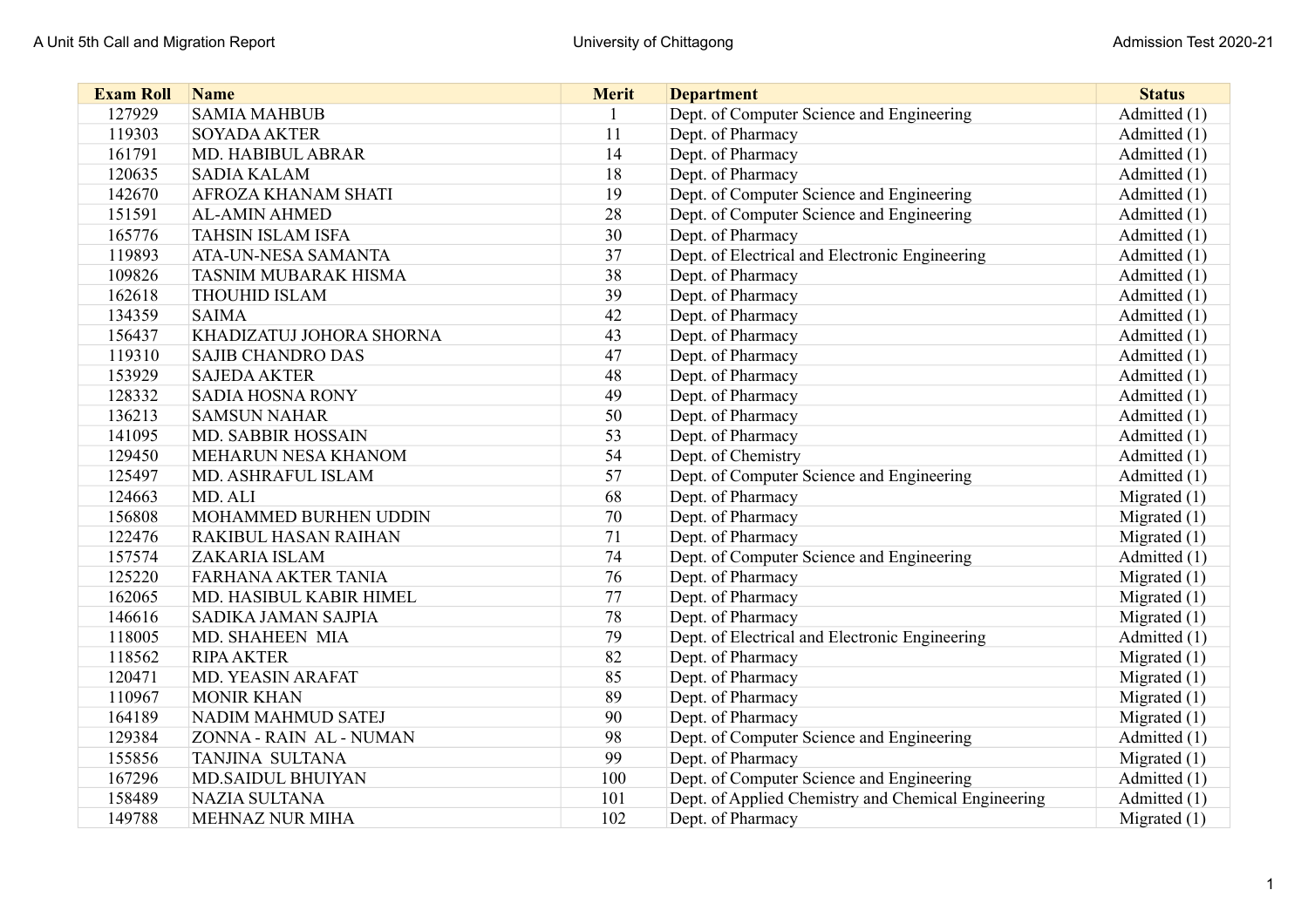| <b>Exam Roll</b> | <b>Name</b>                 | <b>Merit</b> | <b>Department</b>                                   | <b>Status</b>  |
|------------------|-----------------------------|--------------|-----------------------------------------------------|----------------|
| 127929           | <b>SAMIA MAHBUB</b>         |              | Dept. of Computer Science and Engineering           | Admitted (1)   |
| 119303           | <b>SOYADA AKTER</b>         | 11           | Dept. of Pharmacy                                   | Admitted (1)   |
| 161791           | MD. HABIBUL ABRAR           | 14           | Dept. of Pharmacy                                   | Admitted (1)   |
| 120635           | <b>SADIA KALAM</b>          | 18           | Dept. of Pharmacy                                   | Admitted (1)   |
| 142670           | AFROZA KHANAM SHATI         | 19           | Dept. of Computer Science and Engineering           | Admitted (1)   |
| 151591           | <b>AL-AMIN AHMED</b>        | 28           | Dept. of Computer Science and Engineering           | Admitted (1)   |
| 165776           | TAHSIN ISLAM ISFA           | 30           | Dept. of Pharmacy                                   | Admitted (1)   |
| 119893           | ATA-UN-NESA SAMANTA         | 37           | Dept. of Electrical and Electronic Engineering      | Admitted (1)   |
| 109826           | TASNIM MUBARAK HISMA        | 38           | Dept. of Pharmacy                                   | Admitted (1)   |
| 162618           | <b>THOUHID ISLAM</b>        | 39           | Dept. of Pharmacy                                   | Admitted (1)   |
| 134359           | <b>SAIMA</b>                | 42           | Dept. of Pharmacy                                   | Admitted (1)   |
| 156437           | KHADIZATUJ JOHORA SHORNA    | 43           | Dept. of Pharmacy                                   | Admitted (1)   |
| 119310           | <b>SAJIB CHANDRO DAS</b>    | 47           | Dept. of Pharmacy                                   | Admitted (1)   |
| 153929           | <b>SAJEDA AKTER</b>         | 48           | Dept. of Pharmacy                                   | Admitted (1)   |
| 128332           | <b>SADIA HOSNA RONY</b>     | 49           | Dept. of Pharmacy                                   | Admitted (1)   |
| 136213           | <b>SAMSUN NAHAR</b>         | 50           | Dept. of Pharmacy                                   | Admitted (1)   |
| 141095           | <b>MD. SABBIR HOSSAIN</b>   | 53           | Dept. of Pharmacy                                   | Admitted (1)   |
| 129450           | MEHARUN NESA KHANOM         | 54           | Dept. of Chemistry                                  | Admitted (1)   |
| 125497           | MD. ASHRAFUL ISLAM          | 57           | Dept. of Computer Science and Engineering           | Admitted (1)   |
| 124663           | MD. ALI                     | 68           | Dept. of Pharmacy                                   | Migrated (1)   |
| 156808           | MOHAMMED BURHEN UDDIN       | 70           | Dept. of Pharmacy                                   | Migrated $(1)$ |
| 122476           | <b>RAKIBUL HASAN RAIHAN</b> | 71           | Dept. of Pharmacy                                   | Migrated $(1)$ |
| 157574           | <b>ZAKARIA ISLAM</b>        | 74           | Dept. of Computer Science and Engineering           | Admitted (1)   |
| 125220           | <b>FARHANA AKTER TANIA</b>  | 76           | Dept. of Pharmacy                                   | Migrated $(1)$ |
| 162065           | MD. HASIBUL KABIR HIMEL     | 77           | Dept. of Pharmacy                                   | Migrated $(1)$ |
| 146616           | SADIKA JAMAN SAJPIA         | 78           | Dept. of Pharmacy                                   | Migrated (1)   |
| 118005           | MD. SHAHEEN MIA             | 79           | Dept. of Electrical and Electronic Engineering      | Admitted (1)   |
| 118562           | <b>RIPA AKTER</b>           | 82           | Dept. of Pharmacy                                   | Migrated $(1)$ |
| 120471           | MD. YEASIN ARAFAT           | 85           | Dept. of Pharmacy                                   | Migrated $(1)$ |
| 110967           | <b>MONIR KHAN</b>           | 89           | Dept. of Pharmacy                                   | Migrated $(1)$ |
| 164189           | NADIM MAHMUD SATEJ          | 90           | Dept. of Pharmacy                                   | Migrated (1)   |
| 129384           | ZONNA - RAIN AL - NUMAN     | 98           | Dept. of Computer Science and Engineering           | Admitted (1)   |
| 155856           | <b>TANJINA SULTANA</b>      | 99           | Dept. of Pharmacy                                   | Migrated (1)   |
| 167296           | <b>MD.SAIDUL BHUIYAN</b>    | 100          | Dept. of Computer Science and Engineering           | Admitted (1)   |
| 158489           | <b>NAZIA SULTANA</b>        | 101          | Dept. of Applied Chemistry and Chemical Engineering | Admitted (1)   |
| 149788           | <b>MEHNAZ NUR MIHA</b>      | 102          | Dept. of Pharmacy                                   | Migrated $(1)$ |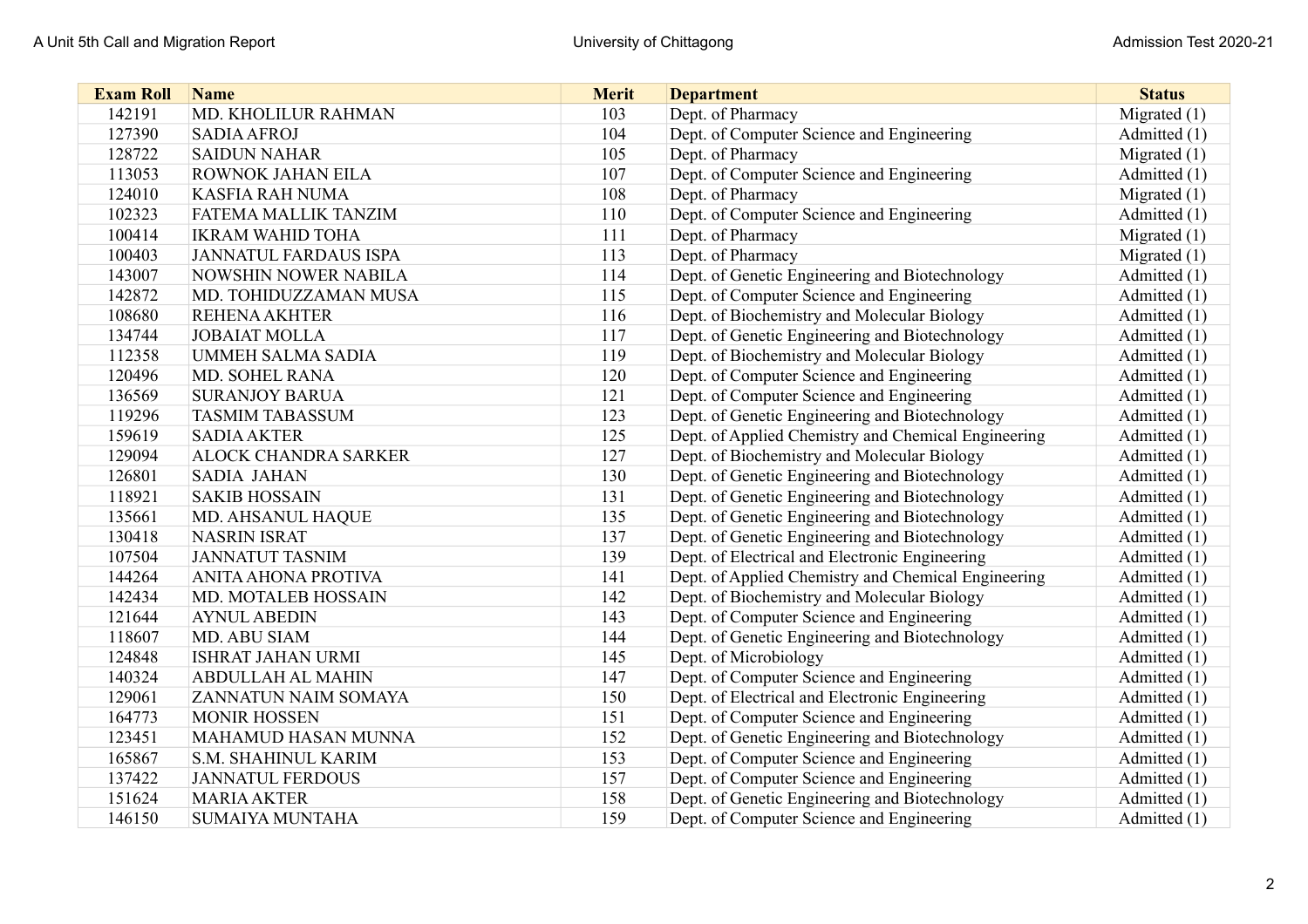| <b>Exam Roll</b> | <b>Name</b>                  | <b>Merit</b> | <b>Department</b>                                   | <b>Status</b>  |
|------------------|------------------------------|--------------|-----------------------------------------------------|----------------|
| 142191           | MD. KHOLILUR RAHMAN          | 103          | Dept. of Pharmacy                                   | Migrated $(1)$ |
| 127390           | <b>SADIA AFROJ</b>           | 104          | Dept. of Computer Science and Engineering           | Admitted (1)   |
| 128722           | <b>SAIDUN NAHAR</b>          | 105          | Dept. of Pharmacy                                   | Migrated $(1)$ |
| 113053           | ROWNOK JAHAN EILA            | 107          | Dept. of Computer Science and Engineering           | Admitted (1)   |
| 124010           | <b>KASFIA RAH NUMA</b>       | 108          | Dept. of Pharmacy                                   | Migrated $(1)$ |
| 102323           | <b>FATEMA MALLIK TANZIM</b>  | 110          | Dept. of Computer Science and Engineering           | Admitted (1)   |
| 100414           | <b>IKRAM WAHID TOHA</b>      | 111          | Dept. of Pharmacy                                   | Migrated $(1)$ |
| 100403           | <b>JANNATUL FARDAUS ISPA</b> | 113          | Dept. of Pharmacy                                   | Migrated $(1)$ |
| 143007           | <b>NOWSHIN NOWER NABILA</b>  | 114          | Dept. of Genetic Engineering and Biotechnology      | Admitted (1)   |
| 142872           | MD. TOHIDUZZAMAN MUSA        | 115          | Dept. of Computer Science and Engineering           | Admitted (1)   |
| 108680           | <b>REHENA AKHTER</b>         | 116          | Dept. of Biochemistry and Molecular Biology         | Admitted (1)   |
| 134744           | <b>JOBAIAT MOLLA</b>         | 117          | Dept. of Genetic Engineering and Biotechnology      | Admitted (1)   |
| 112358           | <b>UMMEH SALMA SADIA</b>     | 119          | Dept. of Biochemistry and Molecular Biology         | Admitted (1)   |
| 120496           | <b>MD. SOHEL RANA</b>        | 120          | Dept. of Computer Science and Engineering           | Admitted (1)   |
| 136569           | <b>SURANJOY BARUA</b>        | 121          | Dept. of Computer Science and Engineering           | Admitted (1)   |
| 119296           | <b>TASMIM TABASSUM</b>       | 123          | Dept. of Genetic Engineering and Biotechnology      | Admitted (1)   |
| 159619           | <b>SADIA AKTER</b>           | 125          | Dept. of Applied Chemistry and Chemical Engineering | Admitted (1)   |
| 129094           | <b>ALOCK CHANDRA SARKER</b>  | 127          | Dept. of Biochemistry and Molecular Biology         | Admitted (1)   |
| 126801           | <b>SADIA JAHAN</b>           | 130          | Dept. of Genetic Engineering and Biotechnology      | Admitted (1)   |
| 118921           | <b>SAKIB HOSSAIN</b>         | 131          | Dept. of Genetic Engineering and Biotechnology      | Admitted (1)   |
| 135661           | MD. AHSANUL HAQUE            | 135          | Dept. of Genetic Engineering and Biotechnology      | Admitted (1)   |
| 130418           | <b>NASRIN ISRAT</b>          | 137          | Dept. of Genetic Engineering and Biotechnology      | Admitted (1)   |
| 107504           | <b>JANNATUT TASNIM</b>       | 139          | Dept. of Electrical and Electronic Engineering      | Admitted (1)   |
| 144264           | ANITA AHONA PROTIVA          | 141          | Dept. of Applied Chemistry and Chemical Engineering | Admitted (1)   |
| 142434           | MD. MOTALEB HOSSAIN          | 142          | Dept. of Biochemistry and Molecular Biology         | Admitted (1)   |
| 121644           | <b>AYNUL ABEDIN</b>          | 143          | Dept. of Computer Science and Engineering           | Admitted (1)   |
| 118607           | MD. ABU SIAM                 | 144          | Dept. of Genetic Engineering and Biotechnology      | Admitted (1)   |
| 124848           | <b>ISHRAT JAHAN URMI</b>     | 145          | Dept. of Microbiology                               | Admitted (1)   |
| 140324           | <b>ABDULLAH AL MAHIN</b>     | 147          | Dept. of Computer Science and Engineering           | Admitted (1)   |
| 129061           | ZANNATUN NAIM SOMAYA         | 150          | Dept. of Electrical and Electronic Engineering      | Admitted (1)   |
| 164773           | <b>MONIR HOSSEN</b>          | 151          | Dept. of Computer Science and Engineering           | Admitted (1)   |
| 123451           | MAHAMUD HASAN MUNNA          | 152          | Dept. of Genetic Engineering and Biotechnology      | Admitted (1)   |
| 165867           | <b>S.M. SHAHINUL KARIM</b>   | 153          | Dept. of Computer Science and Engineering           | Admitted (1)   |
| 137422           | <b>JANNATUL FERDOUS</b>      | 157          | Dept. of Computer Science and Engineering           | Admitted (1)   |
| 151624           | <b>MARIA AKTER</b>           | 158          | Dept. of Genetic Engineering and Biotechnology      | Admitted (1)   |
| 146150           | <b>SUMAIYA MUNTAHA</b>       | 159          | Dept. of Computer Science and Engineering           | Admitted (1)   |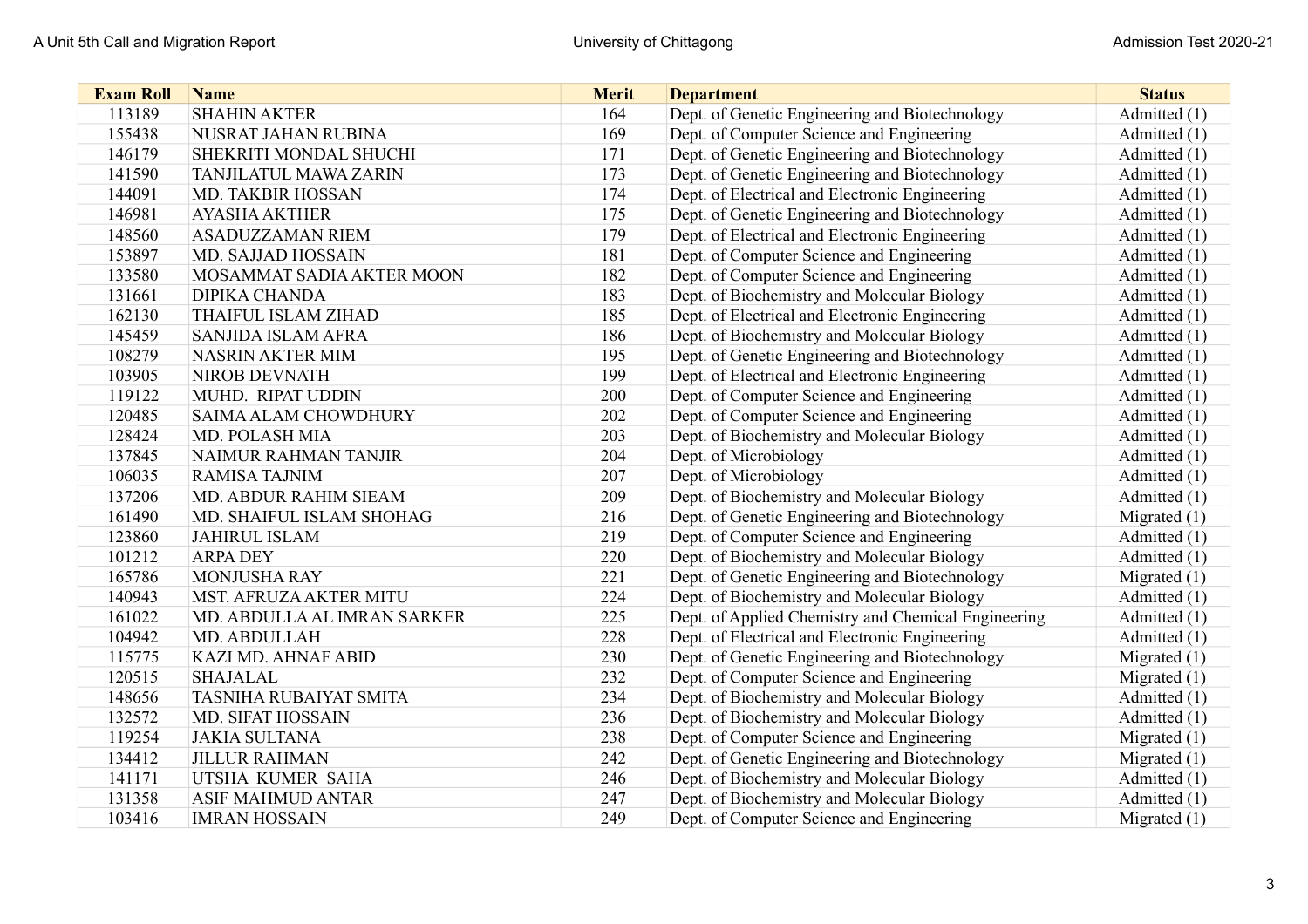| <b>Exam Roll</b> | <b>Name</b>                   | <b>Merit</b> | <b>Department</b>                                   | <b>Status</b>  |
|------------------|-------------------------------|--------------|-----------------------------------------------------|----------------|
| 113189           | <b>SHAHIN AKTER</b>           | 164          | Dept. of Genetic Engineering and Biotechnology      | Admitted (1)   |
| 155438           | NUSRAT JAHAN RUBINA           | 169          | Dept. of Computer Science and Engineering           | Admitted (1)   |
| 146179           | SHEKRITI MONDAL SHUCHI        | 171          | Dept. of Genetic Engineering and Biotechnology      | Admitted (1)   |
| 141590           | <b>TANJILATUL MAWA ZARIN</b>  | 173          | Dept. of Genetic Engineering and Biotechnology      | Admitted (1)   |
| 144091           | MD. TAKBIR HOSSAN             | 174          | Dept. of Electrical and Electronic Engineering      | Admitted (1)   |
| 146981           | <b>AYASHA AKTHER</b>          | 175          | Dept. of Genetic Engineering and Biotechnology      | Admitted (1)   |
| 148560           | <b>ASADUZZAMAN RIEM</b>       | 179          | Dept. of Electrical and Electronic Engineering      | Admitted (1)   |
| 153897           | <b>MD. SAJJAD HOSSAIN</b>     | 181          | Dept. of Computer Science and Engineering           | Admitted (1)   |
| 133580           | MOSAMMAT SADIA AKTER MOON     | 182          | Dept. of Computer Science and Engineering           | Admitted (1)   |
| 131661           | <b>DIPIKA CHANDA</b>          | 183          | Dept. of Biochemistry and Molecular Biology         | Admitted (1)   |
| 162130           | <b>THAIFUL ISLAM ZIHAD</b>    | 185          | Dept. of Electrical and Electronic Engineering      | Admitted (1)   |
| 145459           | SANJIDA ISLAM AFRA            | 186          | Dept. of Biochemistry and Molecular Biology         | Admitted (1)   |
| 108279           | <b>NASRIN AKTER MIM</b>       | 195          | Dept. of Genetic Engineering and Biotechnology      | Admitted (1)   |
| 103905           | <b>NIROB DEVNATH</b>          | 199          | Dept. of Electrical and Electronic Engineering      | Admitted (1)   |
| 119122           | MUHD. RIPAT UDDIN             | 200          | Dept. of Computer Science and Engineering           | Admitted (1)   |
| 120485           | SAIMA ALAM CHOWDHURY          | 202          | Dept. of Computer Science and Engineering           | Admitted (1)   |
| 128424           | <b>MD. POLASH MIA</b>         | 203          | Dept. of Biochemistry and Molecular Biology         | Admitted (1)   |
| 137845           | NAIMUR RAHMAN TANJIR          | 204          | Dept. of Microbiology                               | Admitted (1)   |
| 106035           | <b>RAMISA TAJNIM</b>          | 207          | Dept. of Microbiology                               | Admitted (1)   |
| 137206           | MD. ABDUR RAHIM SIEAM         | 209          | Dept. of Biochemistry and Molecular Biology         | Admitted (1)   |
| 161490           | MD. SHAIFUL ISLAM SHOHAG      | 216          | Dept. of Genetic Engineering and Biotechnology      | Migrated $(1)$ |
| 123860           | <b>JAHIRUL ISLAM</b>          | 219          | Dept. of Computer Science and Engineering           | Admitted (1)   |
| 101212           | <b>ARPA DEY</b>               | 220          | Dept. of Biochemistry and Molecular Biology         | Admitted (1)   |
| 165786           | <b>MONJUSHA RAY</b>           | 221          | Dept. of Genetic Engineering and Biotechnology      | Migrated $(1)$ |
| 140943           | MST. AFRUZA AKTER MITU        | 224          | Dept. of Biochemistry and Molecular Biology         | Admitted (1)   |
| 161022           | MD. ABDULLA AL IMRAN SARKER   | 225          | Dept. of Applied Chemistry and Chemical Engineering | Admitted (1)   |
| 104942           | MD. ABDULLAH                  | 228          | Dept. of Electrical and Electronic Engineering      | Admitted (1)   |
| 115775           | KAZI MD. AHNAF ABID           | 230          | Dept. of Genetic Engineering and Biotechnology      | Migrated $(1)$ |
| 120515           | <b>SHAJALAL</b>               | 232          | Dept. of Computer Science and Engineering           | Migrated $(1)$ |
| 148656           | <b>TASNIHA RUBAIYAT SMITA</b> | 234          | Dept. of Biochemistry and Molecular Biology         | Admitted (1)   |
| 132572           | <b>MD. SIFAT HOSSAIN</b>      | 236          | Dept. of Biochemistry and Molecular Biology         | Admitted (1)   |
| 119254           | <b>JAKIA SULTANA</b>          | 238          | Dept. of Computer Science and Engineering           | Migrated $(1)$ |
| 134412           | <b>JILLUR RAHMAN</b>          | 242          | Dept. of Genetic Engineering and Biotechnology      | Migrated $(1)$ |
| 141171           | UTSHA KUMER SAHA              | 246          | Dept. of Biochemistry and Molecular Biology         | Admitted (1)   |
| 131358           | <b>ASIF MAHMUD ANTAR</b>      | 247          | Dept. of Biochemistry and Molecular Biology         | Admitted (1)   |
| 103416           | <b>IMRAN HOSSAIN</b>          | 249          | Dept. of Computer Science and Engineering           | Migrated $(1)$ |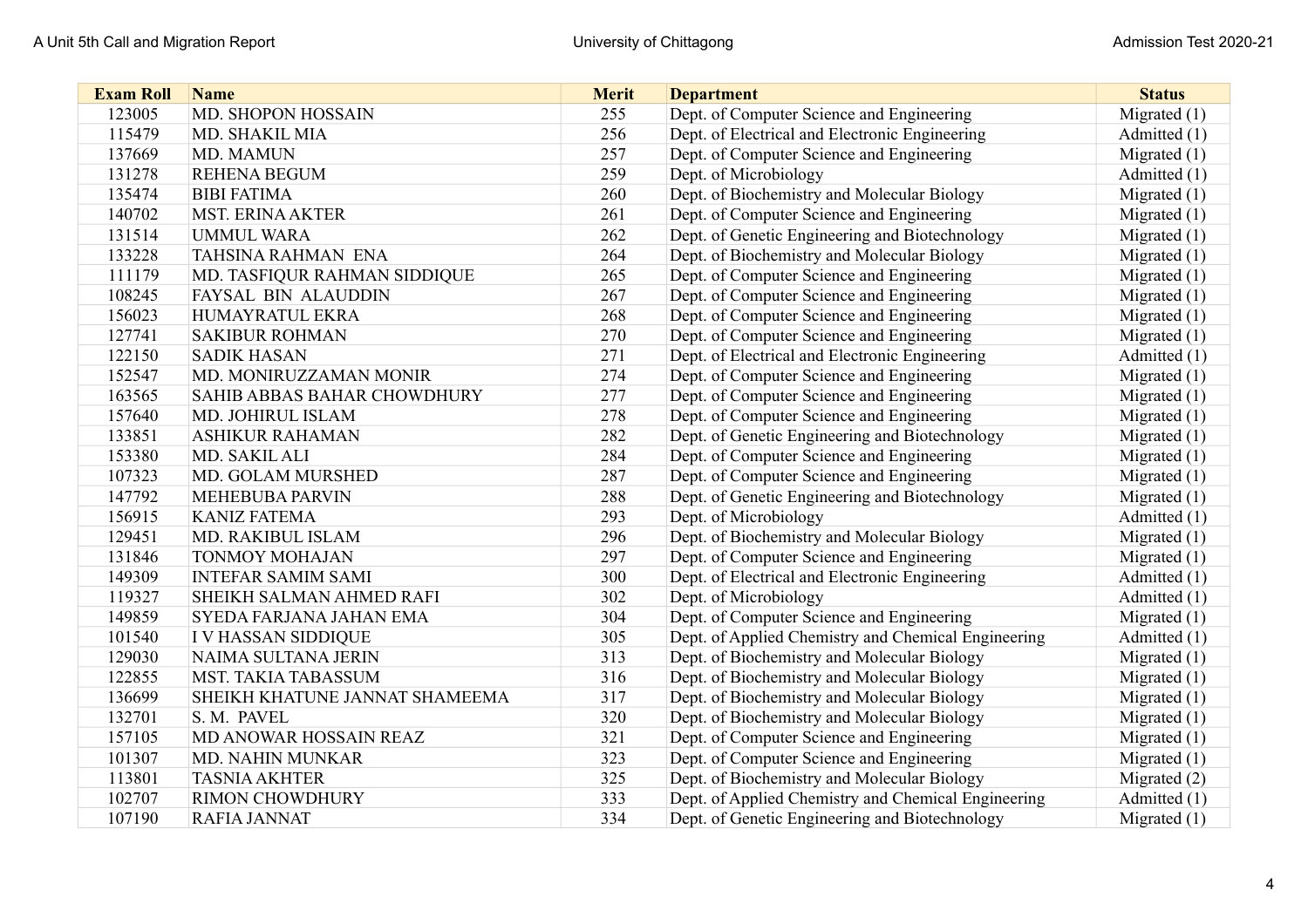| <b>Exam Roll</b> | <b>Name</b>                    | <b>Merit</b> | <b>Department</b>                                   | <b>Status</b>  |
|------------------|--------------------------------|--------------|-----------------------------------------------------|----------------|
| 123005           | <b>MD. SHOPON HOSSAIN</b>      | 255          | Dept. of Computer Science and Engineering           | Migrated $(1)$ |
| 115479           | MD. SHAKIL MIA                 | 256          | Dept. of Electrical and Electronic Engineering      | Admitted (1)   |
| 137669           | MD. MAMUN                      | 257          | Dept. of Computer Science and Engineering           | Migrated $(1)$ |
| 131278           | <b>REHENA BEGUM</b>            | 259          | Dept. of Microbiology                               | Admitted (1)   |
| 135474           | <b>BIBI FATIMA</b>             | 260          | Dept. of Biochemistry and Molecular Biology         | Migrated $(1)$ |
| 140702           | <b>MST. ERINA AKTER</b>        | 261          | Dept. of Computer Science and Engineering           | Migrated $(1)$ |
| 131514           | <b>UMMUL WARA</b>              | 262          | Dept. of Genetic Engineering and Biotechnology      | Migrated $(1)$ |
| 133228           | <b>TAHSINA RAHMAN ENA</b>      | 264          | Dept. of Biochemistry and Molecular Biology         | Migrated $(1)$ |
| 111179           | MD. TASFIQUR RAHMAN SIDDIQUE   | 265          | Dept. of Computer Science and Engineering           | Migrated $(1)$ |
| 108245           | FAYSAL BIN ALAUDDIN            | 267          | Dept. of Computer Science and Engineering           | Migrated $(1)$ |
| 156023           | HUMAYRATUL EKRA                | 268          | Dept. of Computer Science and Engineering           | Migrated $(1)$ |
| 127741           | <b>SAKIBUR ROHMAN</b>          | 270          | Dept. of Computer Science and Engineering           | Migrated $(1)$ |
| 122150           | <b>SADIK HASAN</b>             | 271          | Dept. of Electrical and Electronic Engineering      | Admitted (1)   |
| 152547           | MD. MONIRUZZAMAN MONIR         | 274          | Dept. of Computer Science and Engineering           | Migrated $(1)$ |
| 163565           | SAHIB ABBAS BAHAR CHOWDHURY    | 277          | Dept. of Computer Science and Engineering           | Migrated $(1)$ |
| 157640           | MD. JOHIRUL ISLAM              | 278          | Dept. of Computer Science and Engineering           | Migrated $(1)$ |
| 133851           | <b>ASHIKUR RAHAMAN</b>         | 282          | Dept. of Genetic Engineering and Biotechnology      | Migrated $(1)$ |
| 153380           | MD. SAKIL ALI                  | 284          | Dept. of Computer Science and Engineering           | Migrated $(1)$ |
| 107323           | MD. GOLAM MURSHED              | 287          | Dept. of Computer Science and Engineering           | Migrated $(1)$ |
| 147792           | <b>MEHEBUBA PARVIN</b>         | 288          | Dept. of Genetic Engineering and Biotechnology      | Migrated $(1)$ |
| 156915           | <b>KANIZ FATEMA</b>            | 293          | Dept. of Microbiology                               | Admitted (1)   |
| 129451           | MD. RAKIBUL ISLAM              | 296          | Dept. of Biochemistry and Molecular Biology         | Migrated $(1)$ |
| 131846           | <b>TONMOY MOHAJAN</b>          | 297          | Dept. of Computer Science and Engineering           | Migrated $(1)$ |
| 149309           | <b>INTEFAR SAMIM SAMI</b>      | 300          | Dept. of Electrical and Electronic Engineering      | Admitted (1)   |
| 119327           | SHEIKH SALMAN AHMED RAFI       | 302          | Dept. of Microbiology                               | Admitted (1)   |
| 149859           | SYEDA FARJANA JAHAN EMA        | 304          | Dept. of Computer Science and Engineering           | Migrated $(1)$ |
| 101540           | I V HASSAN SIDDIQUE            | 305          | Dept. of Applied Chemistry and Chemical Engineering | Admitted (1)   |
| 129030           | NAIMA SULTANA JERIN            | 313          | Dept. of Biochemistry and Molecular Biology         | Migrated $(1)$ |
| 122855           | <b>MST. TAKIA TABASSUM</b>     | 316          | Dept. of Biochemistry and Molecular Biology         | Migrated $(1)$ |
| 136699           | SHEIKH KHATUNE JANNAT SHAMEEMA | 317          | Dept. of Biochemistry and Molecular Biology         | Migrated $(1)$ |
| 132701           | S. M. PAVEL                    | 320          | Dept. of Biochemistry and Molecular Biology         | Migrated $(1)$ |
| 157105           | MD ANOWAR HOSSAIN REAZ         | 321          | Dept. of Computer Science and Engineering           | Migrated $(1)$ |
| 101307           | <b>MD. NAHIN MUNKAR</b>        | 323          | Dept. of Computer Science and Engineering           | Migrated $(1)$ |
| 113801           | <b>TASNIA AKHTER</b>           | 325          | Dept. of Biochemistry and Molecular Biology         | Migrated (2)   |
| 102707           | <b>RIMON CHOWDHURY</b>         | 333          | Dept. of Applied Chemistry and Chemical Engineering | Admitted (1)   |
| 107190           | <b>RAFIA JANNAT</b>            | 334          | Dept. of Genetic Engineering and Biotechnology      | Migrated $(1)$ |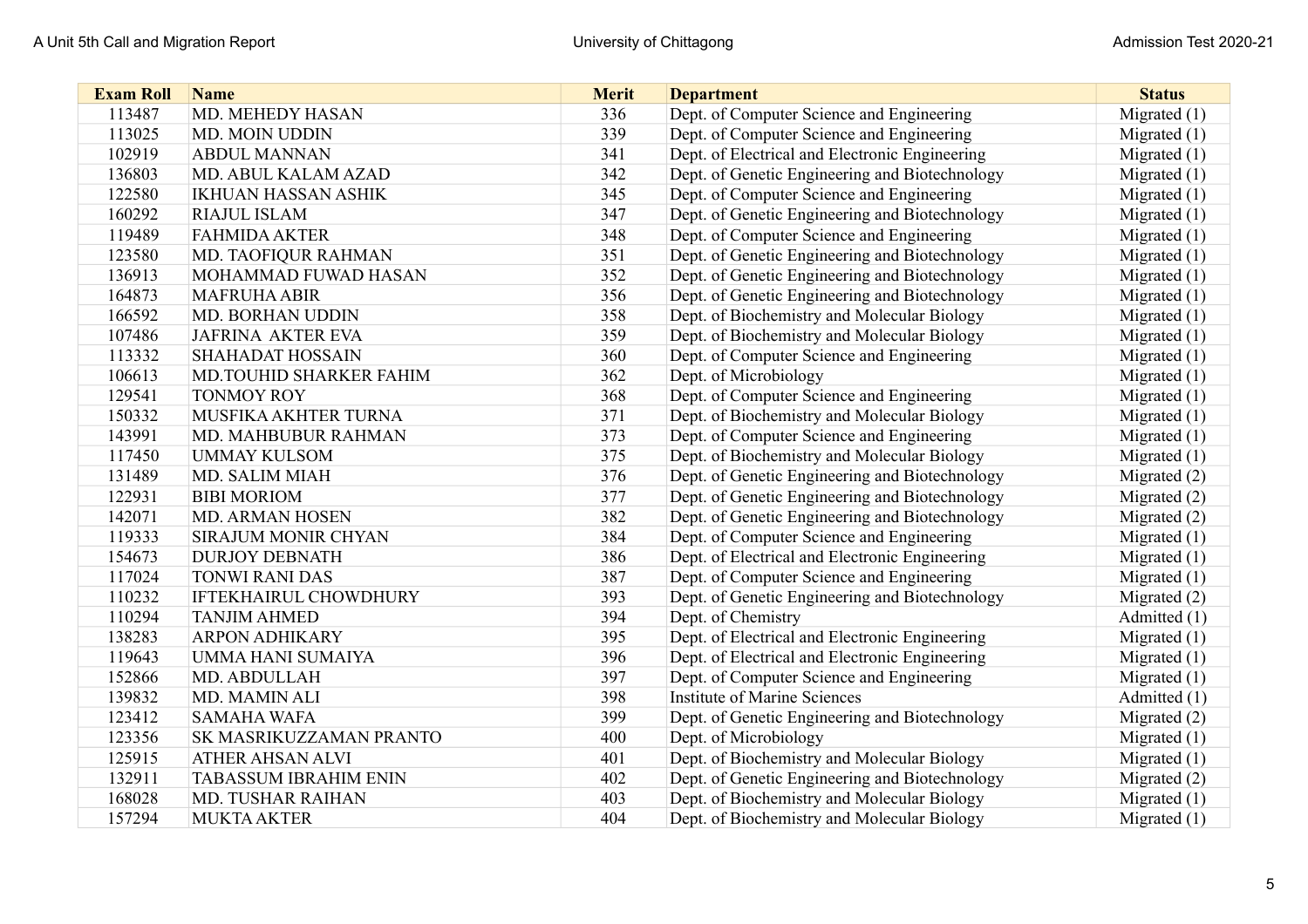| <b>Exam Roll</b> | <b>Name</b>                  | <b>Merit</b> | <b>Department</b>                              | <b>Status</b>  |
|------------------|------------------------------|--------------|------------------------------------------------|----------------|
| 113487           | MD. MEHEDY HASAN             | 336          | Dept. of Computer Science and Engineering      | Migrated $(1)$ |
| 113025           | MD. MOIN UDDIN               | 339          | Dept. of Computer Science and Engineering      | Migrated $(1)$ |
| 102919           | <b>ABDUL MANNAN</b>          | 341          | Dept. of Electrical and Electronic Engineering | Migrated $(1)$ |
| 136803           | MD. ABUL KALAM AZAD          | 342          | Dept. of Genetic Engineering and Biotechnology | Migrated $(1)$ |
| 122580           | <b>IKHUAN HASSAN ASHIK</b>   | 345          | Dept. of Computer Science and Engineering      | Migrated $(1)$ |
| 160292           | <b>RIAJUL ISLAM</b>          | 347          | Dept. of Genetic Engineering and Biotechnology | Migrated (1)   |
| 119489           | <b>FAHMIDA AKTER</b>         | 348          | Dept. of Computer Science and Engineering      | Migrated $(1)$ |
| 123580           | MD. TAOFIQUR RAHMAN          | 351          | Dept. of Genetic Engineering and Biotechnology | Migrated $(1)$ |
| 136913           | MOHAMMAD FUWAD HASAN         | 352          | Dept. of Genetic Engineering and Biotechnology | Migrated $(1)$ |
| 164873           | <b>MAFRUHA ABIR</b>          | 356          | Dept. of Genetic Engineering and Biotechnology | Migrated $(1)$ |
| 166592           | <b>MD. BORHAN UDDIN</b>      | 358          | Dept. of Biochemistry and Molecular Biology    | Migrated $(1)$ |
| 107486           | <b>JAFRINA AKTER EVA</b>     | 359          | Dept. of Biochemistry and Molecular Biology    | Migrated (1)   |
| 113332           | <b>SHAHADAT HOSSAIN</b>      | 360          | Dept. of Computer Science and Engineering      | Migrated (1)   |
| 106613           | MD.TOUHID SHARKER FAHIM      | 362          | Dept. of Microbiology                          | Migrated (1)   |
| 129541           | <b>TONMOY ROY</b>            | 368          | Dept. of Computer Science and Engineering      | Migrated (1)   |
| 150332           | MUSFIKA AKHTER TURNA         | 371          | Dept. of Biochemistry and Molecular Biology    | Migrated (1)   |
| 143991           | MD. MAHBUBUR RAHMAN          | 373          | Dept. of Computer Science and Engineering      | Migrated $(1)$ |
| 117450           | <b>UMMAY KULSOM</b>          | 375          | Dept. of Biochemistry and Molecular Biology    | Migrated (1)   |
| 131489           | <b>MD. SALIM MIAH</b>        | 376          | Dept. of Genetic Engineering and Biotechnology | Migrated $(2)$ |
| 122931           | <b>BIBI MORIOM</b>           | 377          | Dept. of Genetic Engineering and Biotechnology | Migrated (2)   |
| 142071           | <b>MD. ARMAN HOSEN</b>       | 382          | Dept. of Genetic Engineering and Biotechnology | Migrated (2)   |
| 119333           | SIRAJUM MONIR CHYAN          | 384          | Dept. of Computer Science and Engineering      | Migrated (1)   |
| 154673           | <b>DURJOY DEBNATH</b>        | 386          | Dept. of Electrical and Electronic Engineering | Migrated $(1)$ |
| 117024           | <b>TONWI RANI DAS</b>        | 387          | Dept. of Computer Science and Engineering      | Migrated (1)   |
| 110232           | <b>IFTEKHAIRUL CHOWDHURY</b> | 393          | Dept. of Genetic Engineering and Biotechnology | Migrated (2)   |
| 110294           | <b>TANJIM AHMED</b>          | 394          | Dept. of Chemistry                             | Admitted (1)   |
| 138283           | <b>ARPON ADHIKARY</b>        | 395          | Dept. of Electrical and Electronic Engineering | Migrated $(1)$ |
| 119643           | <b>UMMA HANI SUMAIYA</b>     | 396          | Dept. of Electrical and Electronic Engineering | Migrated $(1)$ |
| 152866           | MD. ABDULLAH                 | 397          | Dept. of Computer Science and Engineering      | Migrated (1)   |
| 139832           | MD. MAMIN ALI                | 398          | <b>Institute of Marine Sciences</b>            | Admitted (1)   |
| 123412           | <b>SAMAHA WAFA</b>           | 399          | Dept. of Genetic Engineering and Biotechnology | Migrated (2)   |
| 123356           | SK MASRIKUZZAMAN PRANTO      | 400          | Dept. of Microbiology                          | Migrated $(1)$ |
| 125915           | ATHER AHSAN ALVI             | 401          | Dept. of Biochemistry and Molecular Biology    | Migrated $(1)$ |
| 132911           | <b>TABASSUM IBRAHIM ENIN</b> | 402          | Dept. of Genetic Engineering and Biotechnology | Migrated $(2)$ |
| 168028           | <b>MD. TUSHAR RAIHAN</b>     | 403          | Dept. of Biochemistry and Molecular Biology    | Migrated $(1)$ |
| 157294           | <b>MUKTA AKTER</b>           | 404          | Dept. of Biochemistry and Molecular Biology    | Migrated $(1)$ |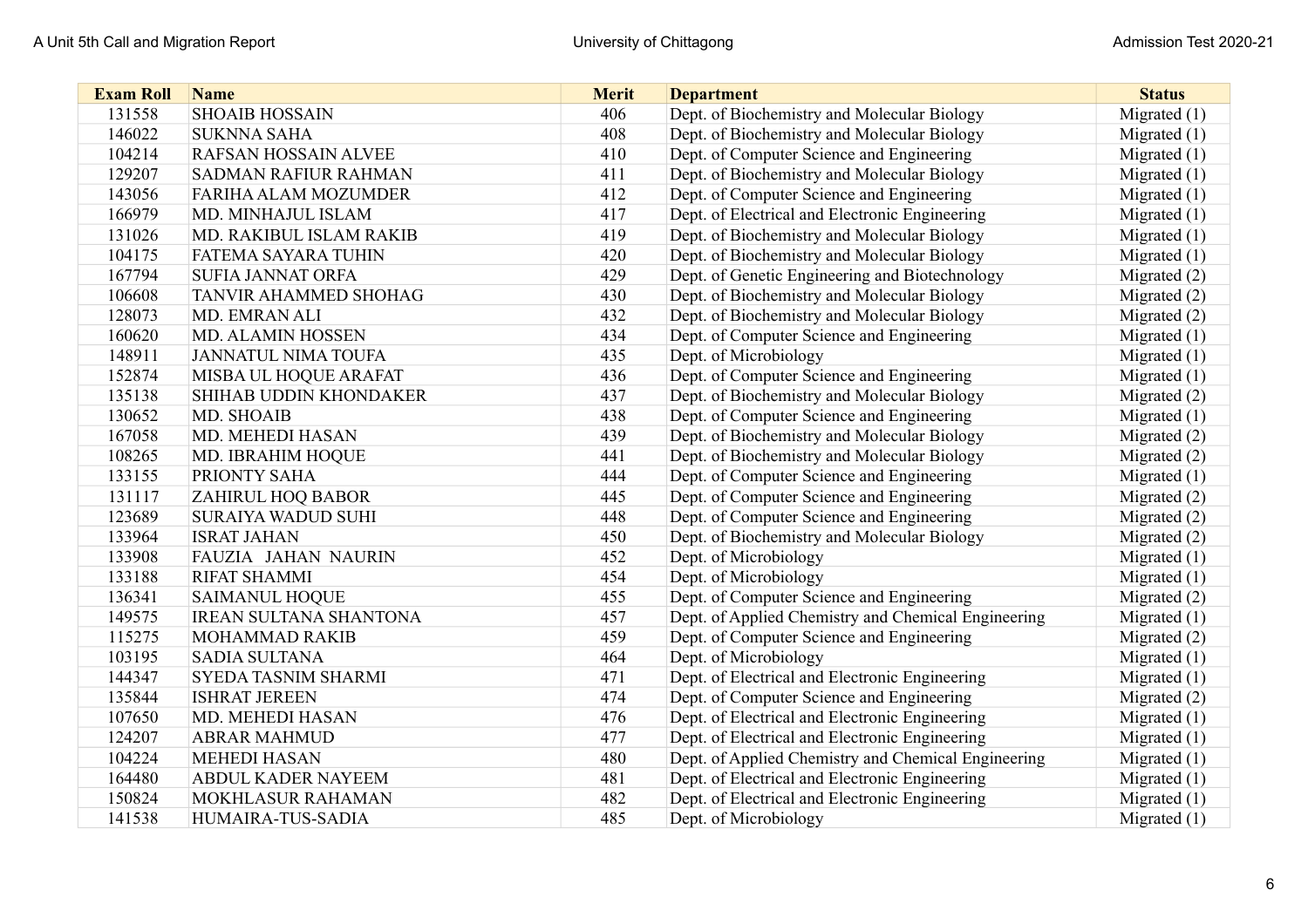| <b>Exam Roll</b> | <b>Name</b>                   | <b>Merit</b> | <b>Department</b>                                   | <b>Status</b>  |
|------------------|-------------------------------|--------------|-----------------------------------------------------|----------------|
| 131558           | <b>SHOAIB HOSSAIN</b>         | 406          | Dept. of Biochemistry and Molecular Biology         | Migrated $(1)$ |
| 146022           | <b>SUKNNA SAHA</b>            | 408          | Dept. of Biochemistry and Molecular Biology         | Migrated $(1)$ |
| 104214           | <b>RAFSAN HOSSAIN ALVEE</b>   | 410          | Dept. of Computer Science and Engineering           | Migrated $(1)$ |
| 129207           | <b>SADMAN RAFIUR RAHMAN</b>   | 411          | Dept. of Biochemistry and Molecular Biology         | Migrated $(1)$ |
| 143056           | FARIHA ALAM MOZUMDER          | 412          | Dept. of Computer Science and Engineering           | Migrated $(1)$ |
| 166979           | MD. MINHAJUL ISLAM            | 417          | Dept. of Electrical and Electronic Engineering      | Migrated $(1)$ |
| 131026           | MD. RAKIBUL ISLAM RAKIB       | 419          | Dept. of Biochemistry and Molecular Biology         | Migrated $(1)$ |
| 104175           | <b>FATEMA SAYARA TUHIN</b>    | 420          | Dept. of Biochemistry and Molecular Biology         | Migrated $(1)$ |
| 167794           | <b>SUFIA JANNAT ORFA</b>      | 429          | Dept. of Genetic Engineering and Biotechnology      | Migrated $(2)$ |
| 106608           | <b>TANVIR AHAMMED SHOHAG</b>  | 430          | Dept. of Biochemistry and Molecular Biology         | Migrated (2)   |
| 128073           | MD. EMRAN ALI                 | 432          | Dept. of Biochemistry and Molecular Biology         | Migrated (2)   |
| 160620           | <b>MD. ALAMIN HOSSEN</b>      | 434          | Dept. of Computer Science and Engineering           | Migrated $(1)$ |
| 148911           | <b>JANNATUL NIMA TOUFA</b>    | 435          | Dept. of Microbiology                               | Migrated $(1)$ |
| 152874           | MISBA UL HOQUE ARAFAT         | 436          | Dept. of Computer Science and Engineering           | Migrated $(1)$ |
| 135138           | SHIHAB UDDIN KHONDAKER        | 437          | Dept. of Biochemistry and Molecular Biology         | Migrated (2)   |
| 130652           | MD. SHOAIB                    | 438          | Dept. of Computer Science and Engineering           | Migrated $(1)$ |
| 167058           | MD. MEHEDI HASAN              | 439          | Dept. of Biochemistry and Molecular Biology         | Migrated (2)   |
| 108265           | MD. IBRAHIM HOQUE             | 441          | Dept. of Biochemistry and Molecular Biology         | Migrated (2)   |
| 133155           | PRIONTY SAHA                  | 444          | Dept. of Computer Science and Engineering           | Migrated $(1)$ |
| 131117           | ZAHIRUL HOQ BABOR             | 445          | Dept. of Computer Science and Engineering           | Migrated (2)   |
| 123689           | <b>SURAIYA WADUD SUHI</b>     | 448          | Dept. of Computer Science and Engineering           | Migrated (2)   |
| 133964           | <b>ISRAT JAHAN</b>            | 450          | Dept. of Biochemistry and Molecular Biology         | Migrated (2)   |
| 133908           | FAUZIA JAHAN NAURIN           | 452          | Dept. of Microbiology                               | Migrated $(1)$ |
| 133188           | <b>RIFAT SHAMMI</b>           | 454          | Dept. of Microbiology                               | Migrated $(1)$ |
| 136341           | <b>SAIMANUL HOQUE</b>         | 455          | Dept. of Computer Science and Engineering           | Migrated $(2)$ |
| 149575           | <b>IREAN SULTANA SHANTONA</b> | 457          | Dept. of Applied Chemistry and Chemical Engineering | Migrated $(1)$ |
| 115275           | MOHAMMAD RAKIB                | 459          | Dept. of Computer Science and Engineering           | Migrated (2)   |
| 103195           | <b>SADIA SULTANA</b>          | 464          | Dept. of Microbiology                               | Migrated $(1)$ |
| 144347           | SYEDA TASNIM SHARMI           | 471          | Dept. of Electrical and Electronic Engineering      | Migrated $(1)$ |
| 135844           | <b>ISHRAT JEREEN</b>          | 474          | Dept. of Computer Science and Engineering           | Migrated $(2)$ |
| 107650           | MD. MEHEDI HASAN              | 476          | Dept. of Electrical and Electronic Engineering      | Migrated $(1)$ |
| 124207           | <b>ABRAR MAHMUD</b>           | 477          | Dept. of Electrical and Electronic Engineering      | Migrated $(1)$ |
| 104224           | <b>MEHEDI HASAN</b>           | 480          | Dept. of Applied Chemistry and Chemical Engineering | Migrated $(1)$ |
| 164480           | <b>ABDUL KADER NAYEEM</b>     | 481          | Dept. of Electrical and Electronic Engineering      | Migrated $(1)$ |
| 150824           | MOKHLASUR RAHAMAN             | 482          | Dept. of Electrical and Electronic Engineering      | Migrated $(1)$ |
| 141538           | HUMAIRA-TUS-SADIA             | 485          | Dept. of Microbiology                               | Migrated $(1)$ |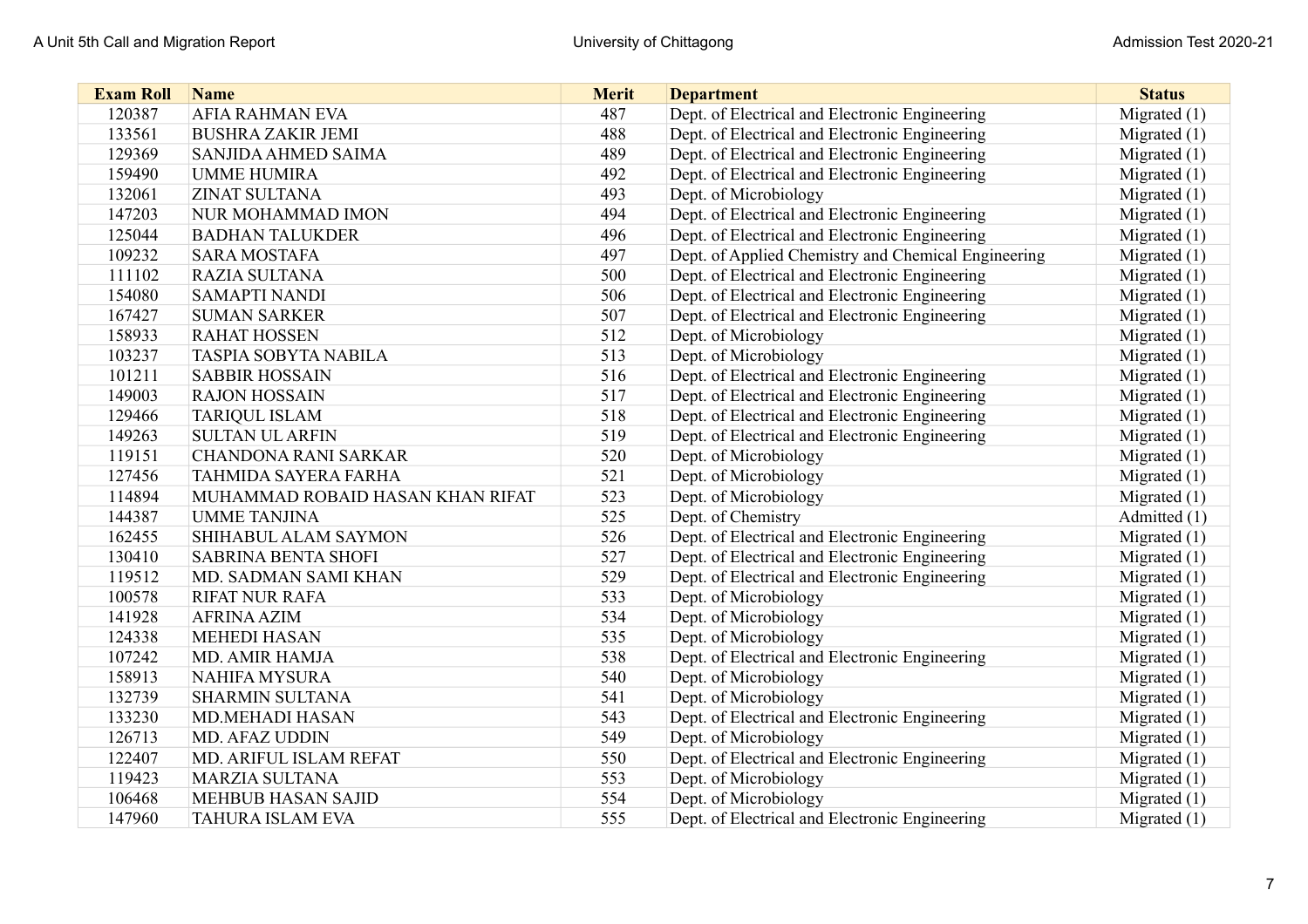| <b>Exam Roll</b> | <b>Name</b>                      | <b>Merit</b> | <b>Department</b>                                   | <b>Status</b>  |
|------------------|----------------------------------|--------------|-----------------------------------------------------|----------------|
| 120387           | <b>AFIA RAHMAN EVA</b>           | 487          | Dept. of Electrical and Electronic Engineering      | Migrated $(1)$ |
| 133561           | <b>BUSHRA ZAKIR JEMI</b>         | 488          | Dept. of Electrical and Electronic Engineering      | Migrated $(1)$ |
| 129369           | SANJIDA AHMED SAIMA              | 489          | Dept. of Electrical and Electronic Engineering      | Migrated $(1)$ |
| 159490           | <b>UMME HUMIRA</b>               | 492          | Dept. of Electrical and Electronic Engineering      | Migrated $(1)$ |
| 132061           | <b>ZINAT SULTANA</b>             | 493          | Dept. of Microbiology                               | Migrated (1)   |
| 147203           | NUR MOHAMMAD IMON                | 494          | Dept. of Electrical and Electronic Engineering      | Migrated $(1)$ |
| 125044           | <b>BADHAN TALUKDER</b>           | 496          | Dept. of Electrical and Electronic Engineering      | Migrated $(1)$ |
| 109232           | <b>SARA MOSTAFA</b>              | 497          | Dept. of Applied Chemistry and Chemical Engineering | Migrated $(1)$ |
| 111102           | <b>RAZIA SULTANA</b>             | 500          | Dept. of Electrical and Electronic Engineering      | Migrated $(1)$ |
| 154080           | <b>SAMAPTI NANDI</b>             | 506          | Dept. of Electrical and Electronic Engineering      | Migrated $(1)$ |
| 167427           | <b>SUMAN SARKER</b>              | 507          | Dept. of Electrical and Electronic Engineering      | Migrated (1)   |
| 158933           | <b>RAHAT HOSSEN</b>              | 512          | Dept. of Microbiology                               | Migrated $(1)$ |
| 103237           | <b>TASPIA SOBYTA NABILA</b>      | 513          | Dept. of Microbiology                               | Migrated $(1)$ |
| 101211           | <b>SABBIR HOSSAIN</b>            | 516          | Dept. of Electrical and Electronic Engineering      | Migrated (1)   |
| 149003           | <b>RAJON HOSSAIN</b>             | 517          | Dept. of Electrical and Electronic Engineering      | Migrated $(1)$ |
| 129466           | <b>TARIQUL ISLAM</b>             | 518          | Dept. of Electrical and Electronic Engineering      | Migrated (1)   |
| 149263           | <b>SULTAN UL ARFIN</b>           | 519          | Dept. of Electrical and Electronic Engineering      | Migrated $(1)$ |
| 119151           | <b>CHANDONA RANI SARKAR</b>      | 520          | Dept. of Microbiology                               | Migrated (1)   |
| 127456           | <b>TAHMIDA SAYERA FARHA</b>      | 521          | Dept. of Microbiology                               | Migrated (1)   |
| 114894           | MUHAMMAD ROBAID HASAN KHAN RIFAT | 523          | Dept. of Microbiology                               | Migrated (1)   |
| 144387           | <b>UMME TANJINA</b>              | 525          | Dept. of Chemistry                                  | Admitted (1)   |
| 162455           | SHIHABUL ALAM SAYMON             | 526          | Dept. of Electrical and Electronic Engineering      | Migrated $(1)$ |
| 130410           | <b>SABRINA BENTA SHOFI</b>       | 527          | Dept. of Electrical and Electronic Engineering      | Migrated $(1)$ |
| 119512           | MD. SADMAN SAMI KHAN             | 529          | Dept. of Electrical and Electronic Engineering      | Migrated (1)   |
| 100578           | <b>RIFAT NUR RAFA</b>            | 533          | Dept. of Microbiology                               | Migrated $(1)$ |
| 141928           | <b>AFRINA AZIM</b>               | 534          | Dept. of Microbiology                               | Migrated $(1)$ |
| 124338           | <b>MEHEDI HASAN</b>              | 535          | Dept. of Microbiology                               | Migrated $(1)$ |
| 107242           | <b>MD. AMIR HAMJA</b>            | 538          | Dept. of Electrical and Electronic Engineering      | Migrated $(1)$ |
| 158913           | <b>NAHIFA MYSURA</b>             | 540          | Dept. of Microbiology                               | Migrated $(1)$ |
| 132739           | <b>SHARMIN SULTANA</b>           | 541          | Dept. of Microbiology                               | Migrated $(1)$ |
| 133230           | <b>MD.MEHADI HASAN</b>           | 543          | Dept. of Electrical and Electronic Engineering      | Migrated $(1)$ |
| 126713           | MD. AFAZ UDDIN                   | 549          | Dept. of Microbiology                               | Migrated $(1)$ |
| 122407           | MD. ARIFUL ISLAM REFAT           | 550          | Dept. of Electrical and Electronic Engineering      | Migrated $(1)$ |
| 119423           | <b>MARZIA SULTANA</b>            | 553          | Dept. of Microbiology                               | Migrated $(1)$ |
| 106468           | <b>MEHBUB HASAN SAJID</b>        | 554          | Dept. of Microbiology                               | Migrated $(1)$ |
| 147960           | <b>TAHURA ISLAM EVA</b>          | 555          | Dept. of Electrical and Electronic Engineering      | Migrated $(1)$ |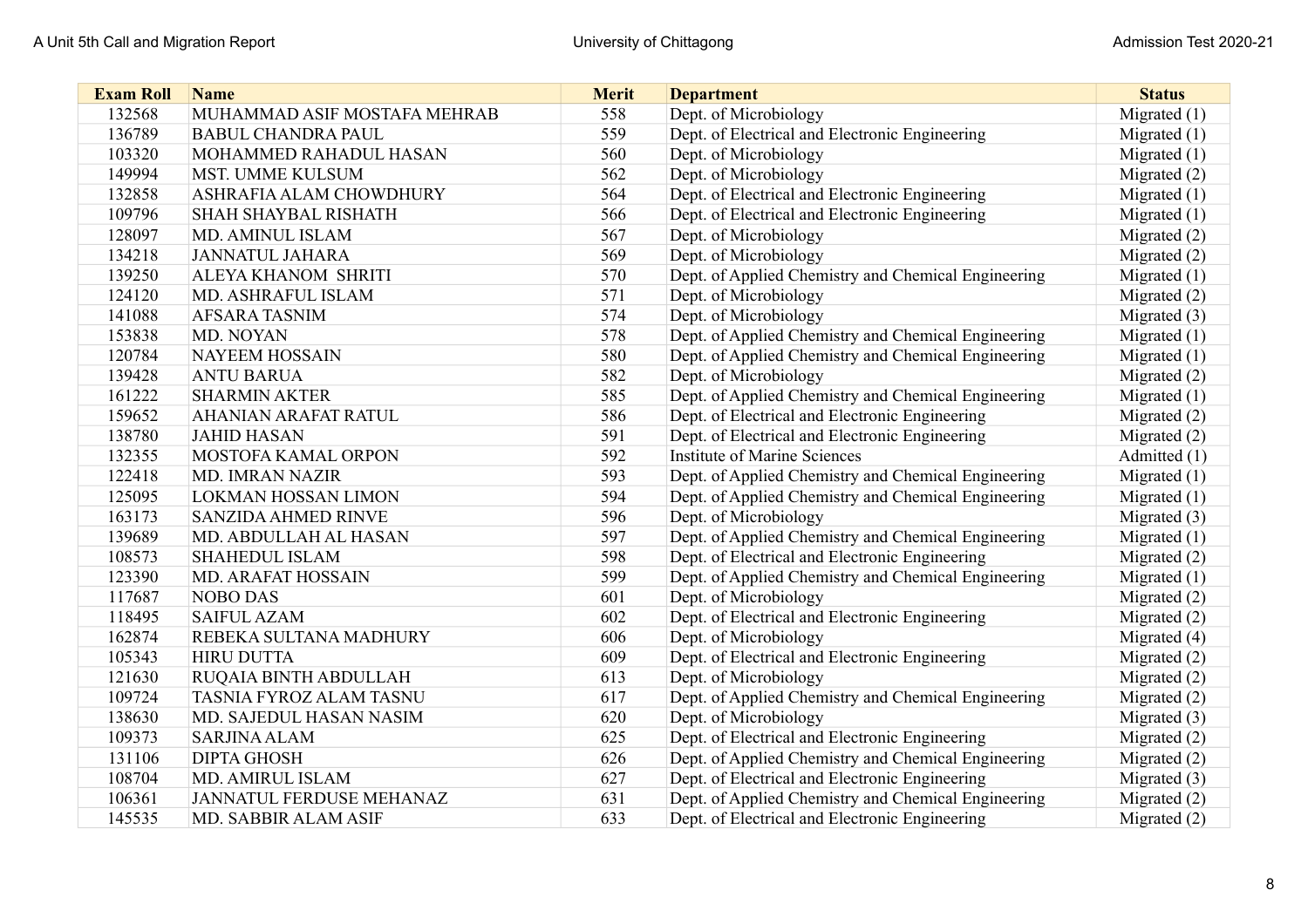| <b>Exam Roll</b> | <b>Name</b>                     | <b>Merit</b> | <b>Department</b>                                   | <b>Status</b>  |
|------------------|---------------------------------|--------------|-----------------------------------------------------|----------------|
| 132568           | MUHAMMAD ASIF MOSTAFA MEHRAB    | 558          | Dept. of Microbiology                               | Migrated $(1)$ |
| 136789           | <b>BABUL CHANDRA PAUL</b>       | 559          | Dept. of Electrical and Electronic Engineering      | Migrated $(1)$ |
| 103320           | MOHAMMED RAHADUL HASAN          | 560          | Dept. of Microbiology                               | Migrated $(1)$ |
| 149994           | MST. UMME KULSUM                | 562          | Dept. of Microbiology                               | Migrated (2)   |
| 132858           | ASHRAFIA ALAM CHOWDHURY         | 564          | Dept. of Electrical and Electronic Engineering      | Migrated $(1)$ |
| 109796           | <b>SHAH SHAYBAL RISHATH</b>     | 566          | Dept. of Electrical and Electronic Engineering      | Migrated $(1)$ |
| 128097           | <b>MD. AMINUL ISLAM</b>         | 567          | Dept. of Microbiology                               | Migrated (2)   |
| 134218           | <b>JANNATUL JAHARA</b>          | 569          | Dept. of Microbiology                               | Migrated $(2)$ |
| 139250           | <b>ALEYA KHANOM SHRITI</b>      | 570          | Dept. of Applied Chemistry and Chemical Engineering | Migrated $(1)$ |
| 124120           | MD. ASHRAFUL ISLAM              | 571          | Dept. of Microbiology                               | Migrated $(2)$ |
| 141088           | <b>AFSARA TASNIM</b>            | 574          | Dept. of Microbiology                               | Migrated (3)   |
| 153838           | MD. NOYAN                       | 578          | Dept. of Applied Chemistry and Chemical Engineering | Migrated $(1)$ |
| 120784           | <b>NAYEEM HOSSAIN</b>           | 580          | Dept. of Applied Chemistry and Chemical Engineering | Migrated $(1)$ |
| 139428           | <b>ANTU BARUA</b>               | 582          | Dept. of Microbiology                               | Migrated (2)   |
| 161222           | <b>SHARMIN AKTER</b>            | 585          | Dept. of Applied Chemistry and Chemical Engineering | Migrated $(1)$ |
| 159652           | <b>AHANIAN ARAFAT RATUL</b>     | 586          | Dept. of Electrical and Electronic Engineering      | Migrated (2)   |
| 138780           | <b>JAHID HASAN</b>              | 591          | Dept. of Electrical and Electronic Engineering      | Migrated (2)   |
| 132355           | MOSTOFA KAMAL ORPON             | 592          | <b>Institute of Marine Sciences</b>                 | Admitted (1)   |
| 122418           | <b>MD. IMRAN NAZIR</b>          | 593          | Dept. of Applied Chemistry and Chemical Engineering | Migrated $(1)$ |
| 125095           | <b>LOKMAN HOSSAN LIMON</b>      | 594          | Dept. of Applied Chemistry and Chemical Engineering | Migrated (1)   |
| 163173           | <b>SANZIDA AHMED RINVE</b>      | 596          | Dept. of Microbiology                               | Migrated (3)   |
| 139689           | MD. ABDULLAH AL HASAN           | 597          | Dept. of Applied Chemistry and Chemical Engineering | Migrated $(1)$ |
| 108573           | <b>SHAHEDUL ISLAM</b>           | 598          | Dept. of Electrical and Electronic Engineering      | Migrated (2)   |
| 123390           | <b>MD. ARAFAT HOSSAIN</b>       | 599          | Dept. of Applied Chemistry and Chemical Engineering | Migrated $(1)$ |
| 117687           | NOBO DAS                        | 601          | Dept. of Microbiology                               | Migrated (2)   |
| 118495           | <b>SAIFUL AZAM</b>              | 602          | Dept. of Electrical and Electronic Engineering      | Migrated (2)   |
| 162874           | REBEKA SULTANA MADHURY          | 606          | Dept. of Microbiology                               | Migrated (4)   |
| 105343           | <b>HIRU DUTTA</b>               | 609          | Dept. of Electrical and Electronic Engineering      | Migrated (2)   |
| 121630           | <b>RUQAIA BINTH ABDULLAH</b>    | 613          | Dept. of Microbiology                               | Migrated (2)   |
| 109724           | TASNIA FYROZ ALAM TASNU         | 617          | Dept. of Applied Chemistry and Chemical Engineering | Migrated (2)   |
| 138630           | MD. SAJEDUL HASAN NASIM         | 620          | Dept. of Microbiology                               | Migrated (3)   |
| 109373           | <b>SARJINA ALAM</b>             | 625          | Dept. of Electrical and Electronic Engineering      | Migrated (2)   |
| 131106           | <b>DIPTA GHOSH</b>              | 626          | Dept. of Applied Chemistry and Chemical Engineering | Migrated (2)   |
| 108704           | MD. AMIRUL ISLAM                | 627          | Dept. of Electrical and Electronic Engineering      | Migrated (3)   |
| 106361           | <b>JANNATUL FERDUSE MEHANAZ</b> | 631          | Dept. of Applied Chemistry and Chemical Engineering | Migrated $(2)$ |
| 145535           | MD. SABBIR ALAM ASIF            | 633          | Dept. of Electrical and Electronic Engineering      | Migrated (2)   |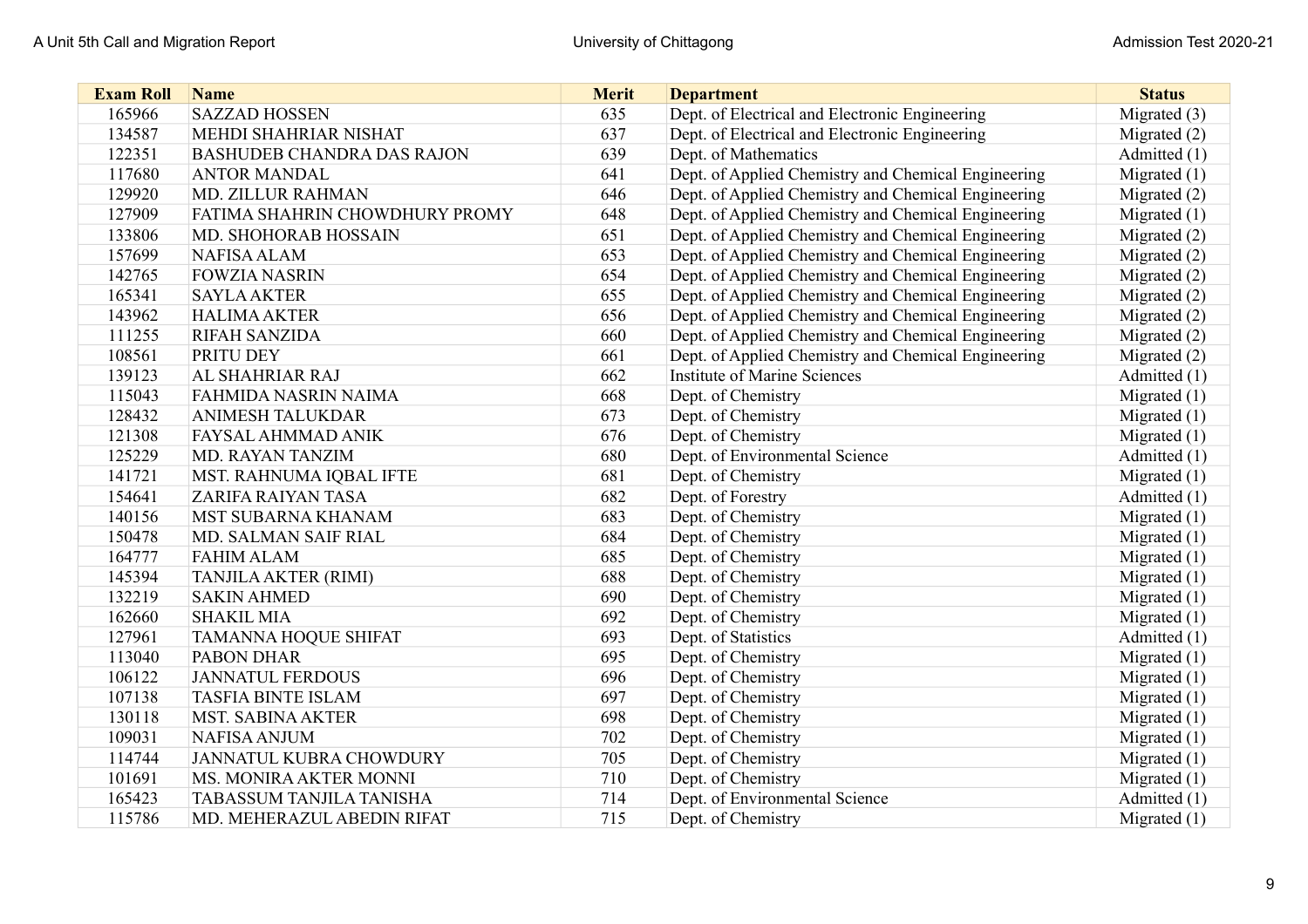| <b>Exam Roll</b> | <b>Name</b>                       | <b>Merit</b> | <b>Department</b>                                   | <b>Status</b>  |
|------------------|-----------------------------------|--------------|-----------------------------------------------------|----------------|
| 165966           | <b>SAZZAD HOSSEN</b>              | 635          | Dept. of Electrical and Electronic Engineering      | Migrated $(3)$ |
| 134587           | MEHDI SHAHRIAR NISHAT             | 637          | Dept. of Electrical and Electronic Engineering      | Migrated (2)   |
| 122351           | <b>BASHUDEB CHANDRA DAS RAJON</b> | 639          | Dept. of Mathematics                                | Admitted (1)   |
| 117680           | <b>ANTOR MANDAL</b>               | 641          | Dept. of Applied Chemistry and Chemical Engineering | Migrated $(1)$ |
| 129920           | <b>MD. ZILLUR RAHMAN</b>          | 646          | Dept. of Applied Chemistry and Chemical Engineering | Migrated (2)   |
| 127909           | FATIMA SHAHRIN CHOWDHURY PROMY    | 648          | Dept. of Applied Chemistry and Chemical Engineering | Migrated $(1)$ |
| 133806           | MD. SHOHORAB HOSSAIN              | 651          | Dept. of Applied Chemistry and Chemical Engineering | Migrated (2)   |
| 157699           | <b>NAFISA ALAM</b>                | 653          | Dept. of Applied Chemistry and Chemical Engineering | Migrated (2)   |
| 142765           | <b>FOWZIA NASRIN</b>              | 654          | Dept. of Applied Chemistry and Chemical Engineering | Migrated (2)   |
| 165341           | <b>SAYLA AKTER</b>                | 655          | Dept. of Applied Chemistry and Chemical Engineering | Migrated (2)   |
| 143962           | <b>HALIMA AKTER</b>               | 656          | Dept. of Applied Chemistry and Chemical Engineering | Migrated (2)   |
| 111255           | <b>RIFAH SANZIDA</b>              | 660          | Dept. of Applied Chemistry and Chemical Engineering | Migrated $(2)$ |
| 108561           | PRITU DEY                         | 661          | Dept. of Applied Chemistry and Chemical Engineering | Migrated (2)   |
| 139123           | <b>AL SHAHRIAR RAJ</b>            | 662          | <b>Institute of Marine Sciences</b>                 | Admitted (1)   |
| 115043           | FAHMIDA NASRIN NAIMA              | 668          | Dept. of Chemistry                                  | Migrated $(1)$ |
| 128432           | <b>ANIMESH TALUKDAR</b>           | 673          | Dept. of Chemistry                                  | Migrated $(1)$ |
| 121308           | <b>FAYSAL AHMMAD ANIK</b>         | 676          | Dept. of Chemistry                                  | Migrated $(1)$ |
| 125229           | <b>MD. RAYAN TANZIM</b>           | 680          | Dept. of Environmental Science                      | Admitted (1)   |
| 141721           | MST. RAHNUMA IQBAL IFTE           | 681          | Dept. of Chemistry                                  | Migrated $(1)$ |
| 154641           | <b>ZARIFA RAIYAN TASA</b>         | 682          | Dept. of Forestry                                   | Admitted (1)   |
| 140156           | MST SUBARNA KHANAM                | 683          | Dept. of Chemistry                                  | Migrated $(1)$ |
| 150478           | MD. SALMAN SAIF RIAL              | 684          | Dept. of Chemistry                                  | Migrated $(1)$ |
| 164777           | <b>FAHIM ALAM</b>                 | 685          | Dept. of Chemistry                                  | Migrated $(1)$ |
| 145394           | <b>TANJILA AKTER (RIMI)</b>       | 688          | Dept. of Chemistry                                  | Migrated $(1)$ |
| 132219           | <b>SAKIN AHMED</b>                | 690          | Dept. of Chemistry                                  | Migrated $(1)$ |
| 162660           | <b>SHAKIL MIA</b>                 | 692          | Dept. of Chemistry                                  | Migrated $(1)$ |
| 127961           | <b>TAMANNA HOQUE SHIFAT</b>       | 693          | Dept. of Statistics                                 | Admitted (1)   |
| 113040           | <b>PABON DHAR</b>                 | 695          | Dept. of Chemistry                                  | Migrated $(1)$ |
| 106122           | <b>JANNATUL FERDOUS</b>           | 696          | Dept. of Chemistry                                  | Migrated $(1)$ |
| 107138           | <b>TASFIA BINTE ISLAM</b>         | 697          | Dept. of Chemistry                                  | Migrated (1)   |
| 130118           | MST. SABINA AKTER                 | 698          | Dept. of Chemistry                                  | Migrated (1)   |
| 109031           | <b>NAFISA ANJUM</b>               | 702          | Dept. of Chemistry                                  | Migrated $(1)$ |
| 114744           | JANNATUL KUBRA CHOWDURY           | 705          | Dept. of Chemistry                                  | Migrated $(1)$ |
| 101691           | MS. MONIRA AKTER MONNI            | 710          | Dept. of Chemistry                                  | Migrated (1)   |
| 165423           | TABASSUM TANJILA TANISHA          | 714          | Dept. of Environmental Science                      | Admitted (1)   |
| 115786           | MD. MEHERAZUL ABEDIN RIFAT        | 715          | Dept. of Chemistry                                  | Migrated $(1)$ |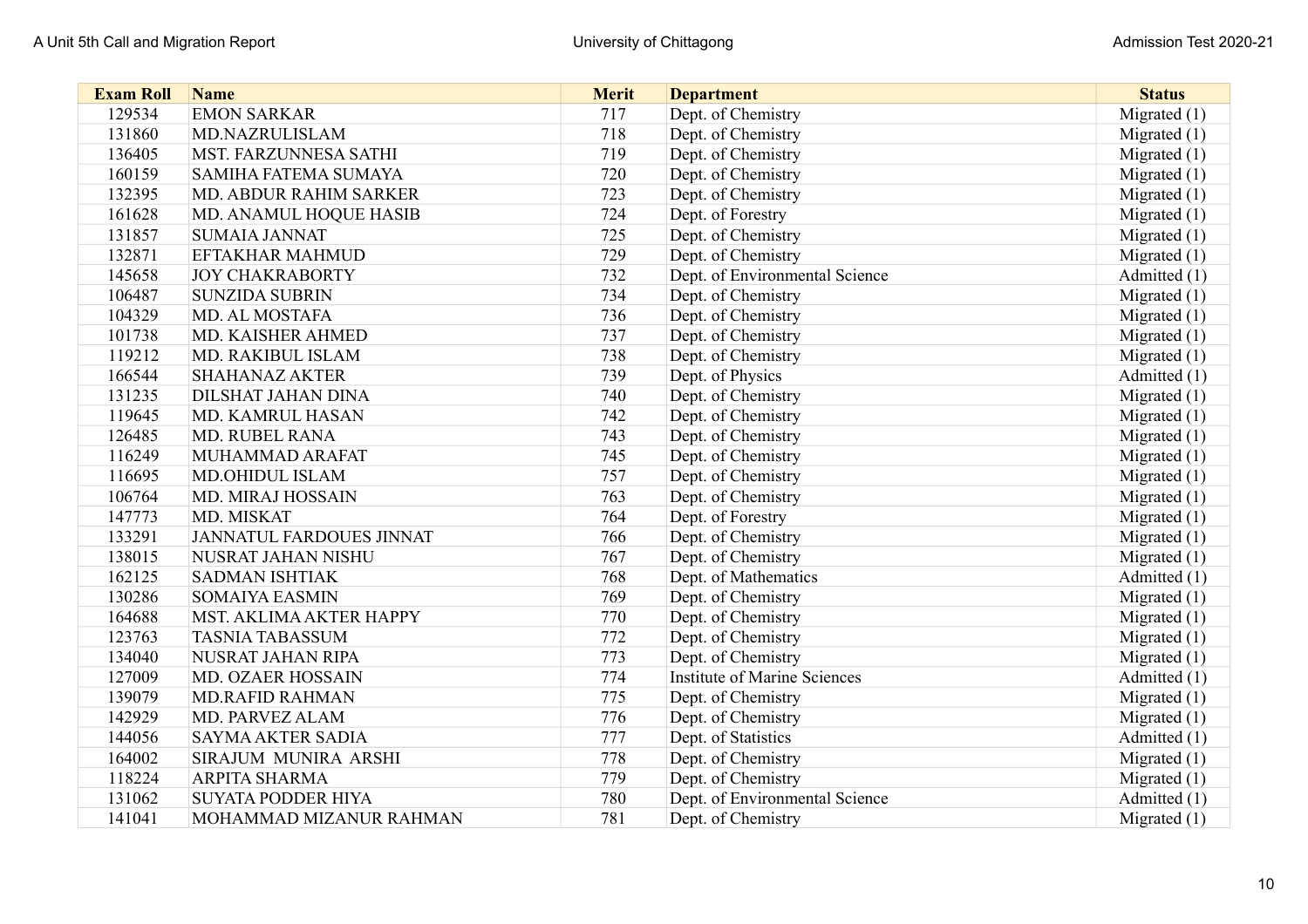| <b>Exam Roll</b> | <b>Name</b>                     | <b>Merit</b> | <b>Department</b>                   | <b>Status</b>  |
|------------------|---------------------------------|--------------|-------------------------------------|----------------|
| 129534           | <b>EMON SARKAR</b>              | 717          | Dept. of Chemistry                  | Migrated $(1)$ |
| 131860           | MD.NAZRULISLAM                  | 718          | Dept. of Chemistry                  | Migrated $(1)$ |
| 136405           | MST. FARZUNNESA SATHI           | 719          | Dept. of Chemistry                  | Migrated $(1)$ |
| 160159           | <b>SAMIHA FATEMA SUMAYA</b>     | 720          | Dept. of Chemistry                  | Migrated $(1)$ |
| 132395           | MD. ABDUR RAHIM SARKER          | 723          | Dept. of Chemistry                  | Migrated $(1)$ |
| 161628           | MD. ANAMUL HOQUE HASIB          | 724          | Dept. of Forestry                   | Migrated $(1)$ |
| 131857           | <b>SUMAIA JANNAT</b>            | 725          | Dept. of Chemistry                  | Migrated $(1)$ |
| 132871           | <b>EFTAKHAR MAHMUD</b>          | 729          | Dept. of Chemistry                  | Migrated $(1)$ |
| 145658           | <b>JOY CHAKRABORTY</b>          | 732          | Dept. of Environmental Science      | Admitted (1)   |
| 106487           | <b>SUNZIDA SUBRIN</b>           | 734          | Dept. of Chemistry                  | Migrated $(1)$ |
| 104329           | MD. AL MOSTAFA                  | 736          | Dept. of Chemistry                  | Migrated $(1)$ |
| 101738           | MD. KAISHER AHMED               | 737          | Dept. of Chemistry                  | Migrated $(1)$ |
| 119212           | MD. RAKIBUL ISLAM               | 738          | Dept. of Chemistry                  | Migrated $(1)$ |
| 166544           | <b>SHAHANAZ AKTER</b>           | 739          | Dept. of Physics                    | Admitted (1)   |
| 131235           | <b>DILSHAT JAHAN DINA</b>       | 740          | Dept. of Chemistry                  | Migrated $(1)$ |
| 119645           | MD. KAMRUL HASAN                | 742          | Dept. of Chemistry                  | Migrated $(1)$ |
| 126485           | <b>MD. RUBEL RANA</b>           | 743          | Dept. of Chemistry                  | Migrated $(1)$ |
| 116249           | MUHAMMAD ARAFAT                 | 745          | Dept. of Chemistry                  | Migrated $(1)$ |
| 116695           | <b>MD.OHIDUL ISLAM</b>          | 757          | Dept. of Chemistry                  | Migrated $(1)$ |
| 106764           | MD. MIRAJ HOSSAIN               | 763          | Dept. of Chemistry                  | Migrated $(1)$ |
| 147773           | MD. MISKAT                      | 764          | Dept. of Forestry                   | Migrated (1)   |
| 133291           | <b>JANNATUL FARDOUES JINNAT</b> | 766          | Dept. of Chemistry                  | Migrated $(1)$ |
| 138015           | NUSRAT JAHAN NISHU              | 767          | Dept. of Chemistry                  | Migrated $(1)$ |
| 162125           | <b>SADMAN ISHTIAK</b>           | 768          | Dept. of Mathematics                | Admitted (1)   |
| 130286           | <b>SOMAIYA EASMIN</b>           | 769          | Dept. of Chemistry                  | Migrated $(1)$ |
| 164688           | MST. AKLIMA AKTER HAPPY         | 770          | Dept. of Chemistry                  | Migrated $(1)$ |
| 123763           | <b>TASNIA TABASSUM</b>          | 772          | Dept. of Chemistry                  | Migrated $(1)$ |
| 134040           | NUSRAT JAHAN RIPA               | 773          | Dept. of Chemistry                  | Migrated $(1)$ |
| 127009           | <b>MD. OZAER HOSSAIN</b>        | 774          | <b>Institute of Marine Sciences</b> | Admitted (1)   |
| 139079           | <b>MD.RAFID RAHMAN</b>          | 775          | Dept. of Chemistry                  | Migrated $(1)$ |
| 142929           | MD. PARVEZ ALAM                 | 776          | Dept. of Chemistry                  | Migrated $(1)$ |
| 144056           | <b>SAYMA AKTER SADIA</b>        | 777          | Dept. of Statistics                 | Admitted (1)   |
| 164002           | SIRAJUM MUNIRA ARSHI            | 778          | Dept. of Chemistry                  | Migrated $(1)$ |
| 118224           | ARPITA SHARMA                   | 779          | Dept. of Chemistry                  | Migrated $(1)$ |
| 131062           | <b>SUYATA PODDER HIYA</b>       | 780          | Dept. of Environmental Science      | Admitted (1)   |
| 141041           | MOHAMMAD MIZANUR RAHMAN         | 781          | Dept. of Chemistry                  | Migrated $(1)$ |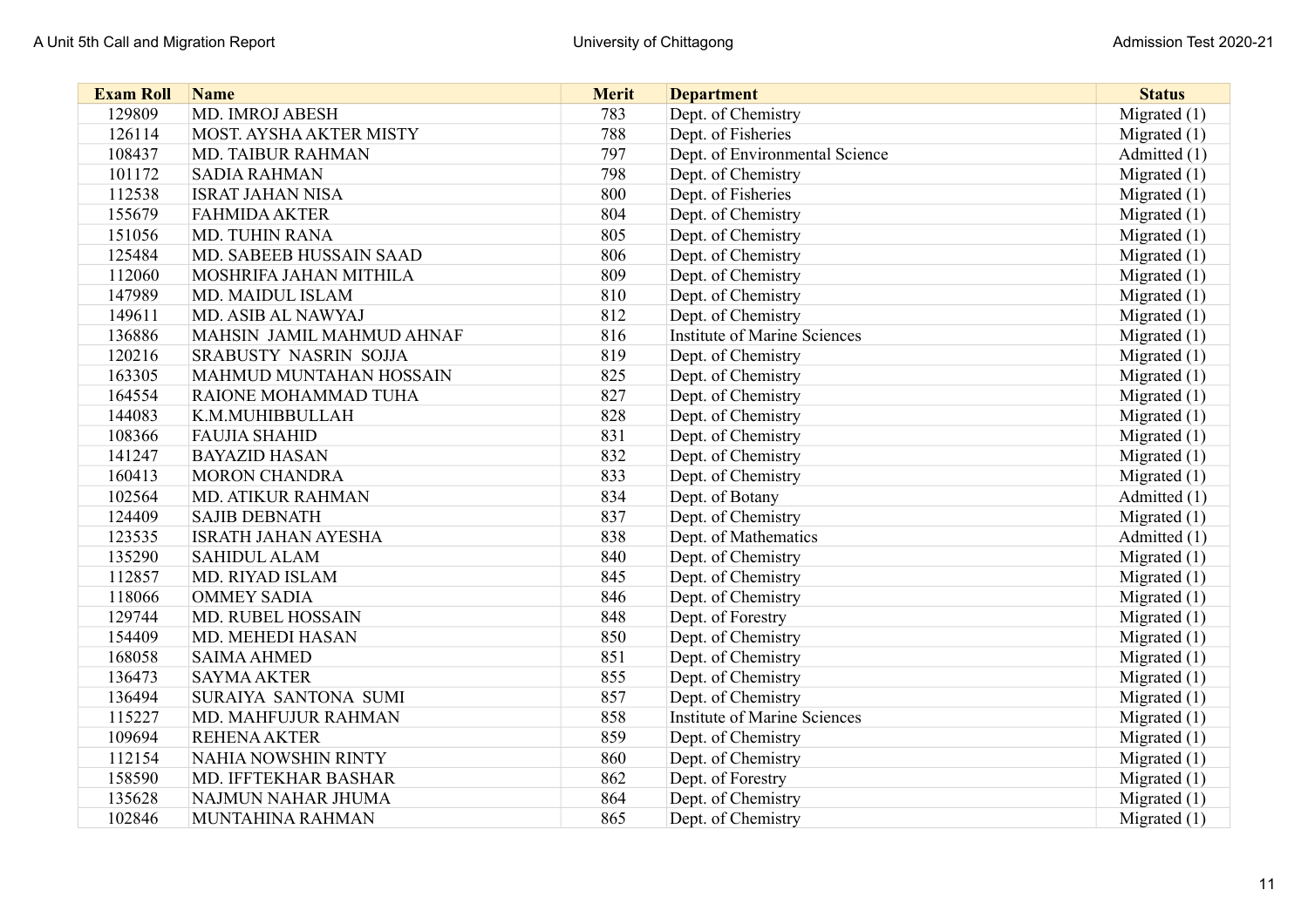| <b>Exam Roll</b> | <b>Name</b>                | <b>Merit</b> | <b>Department</b>                   | <b>Status</b>  |
|------------------|----------------------------|--------------|-------------------------------------|----------------|
| 129809           | MD. IMROJ ABESH            | 783          | Dept. of Chemistry                  | Migrated $(1)$ |
| 126114           | MOST. AYSHA AKTER MISTY    | 788          | Dept. of Fisheries                  | Migrated $(1)$ |
| 108437           | <b>MD. TAIBUR RAHMAN</b>   | 797          | Dept. of Environmental Science      | Admitted (1)   |
| 101172           | <b>SADIA RAHMAN</b>        | 798          | Dept. of Chemistry                  | Migrated $(1)$ |
| 112538           | <b>ISRAT JAHAN NISA</b>    | 800          | Dept. of Fisheries                  | Migrated $(1)$ |
| 155679           | <b>FAHMIDA AKTER</b>       | 804          | Dept. of Chemistry                  | Migrated (1)   |
| 151056           | <b>MD. TUHIN RANA</b>      | 805          | Dept. of Chemistry                  | Migrated (1)   |
| 125484           | MD. SABEEB HUSSAIN SAAD    | 806          | Dept. of Chemistry                  | Migrated $(1)$ |
| 112060           | MOSHRIFA JAHAN MITHILA     | 809          | Dept. of Chemistry                  | Migrated $(1)$ |
| 147989           | MD. MAIDUL ISLAM           | 810          | Dept. of Chemistry                  | Migrated (1)   |
| 149611           | MD. ASIB AL NAWYAJ         | 812          | Dept. of Chemistry                  | Migrated (1)   |
| 136886           | MAHSIN JAMIL MAHMUD AHNAF  | 816          | <b>Institute of Marine Sciences</b> | Migrated $(1)$ |
| 120216           | SRABUSTY NASRIN SOJJA      | 819          | Dept. of Chemistry                  | Migrated $(1)$ |
| 163305           | MAHMUD MUNTAHAN HOSSAIN    | 825          | Dept. of Chemistry                  | Migrated $(1)$ |
| 164554           | RAIONE MOHAMMAD TUHA       | 827          | Dept. of Chemistry                  | Migrated $(1)$ |
| 144083           | K.M.MUHIBBULLAH            | 828          | Dept. of Chemistry                  | Migrated $(1)$ |
| 108366           | <b>FAUJIA SHAHID</b>       | 831          | Dept. of Chemistry                  | Migrated $(1)$ |
| 141247           | <b>BAYAZID HASAN</b>       | 832          | Dept. of Chemistry                  | Migrated $(1)$ |
| 160413           | <b>MORON CHANDRA</b>       | 833          | Dept. of Chemistry                  | Migrated $(1)$ |
| 102564           | <b>MD. ATIKUR RAHMAN</b>   | 834          | Dept. of Botany                     | Admitted (1)   |
| 124409           | <b>SAJIB DEBNATH</b>       | 837          | Dept. of Chemistry                  | Migrated $(1)$ |
| 123535           | <b>ISRATH JAHAN AYESHA</b> | 838          | Dept. of Mathematics                | Admitted (1)   |
| 135290           | <b>SAHIDUL ALAM</b>        | 840          | Dept. of Chemistry                  | Migrated $(1)$ |
| 112857           | MD. RIYAD ISLAM            | 845          | Dept. of Chemistry                  | Migrated $(1)$ |
| 118066           | <b>OMMEY SADIA</b>         | 846          | Dept. of Chemistry                  | Migrated (1)   |
| 129744           | <b>MD. RUBEL HOSSAIN</b>   | 848          | Dept. of Forestry                   | Migrated $(1)$ |
| 154409           | MD. MEHEDI HASAN           | 850          | Dept. of Chemistry                  | Migrated (1)   |
| 168058           | <b>SAIMA AHMED</b>         | 851          | Dept. of Chemistry                  | Migrated $(1)$ |
| 136473           | <b>SAYMA AKTER</b>         | 855          | Dept. of Chemistry                  | Migrated $(1)$ |
| 136494           | SURAIYA SANTONA SUMI       | 857          | Dept. of Chemistry                  | Migrated $(1)$ |
| 115227           | MD. MAHFUJUR RAHMAN        | 858          | Institute of Marine Sciences        | Migrated (1)   |
| 109694           | <b>REHENA AKTER</b>        | 859          | Dept. of Chemistry                  | Migrated $(1)$ |
| 112154           | <b>NAHIA NOWSHIN RINTY</b> | 860          | Dept. of Chemistry                  | Migrated $(1)$ |
| 158590           | MD. IFFTEKHAR BASHAR       | 862          | Dept. of Forestry                   | Migrated $(1)$ |
| 135628           | NAJMUN NAHAR JHUMA         | 864          | Dept. of Chemistry                  | Migrated (1)   |
| 102846           | MUNTAHINA RAHMAN           | 865          | Dept. of Chemistry                  | Migrated $(1)$ |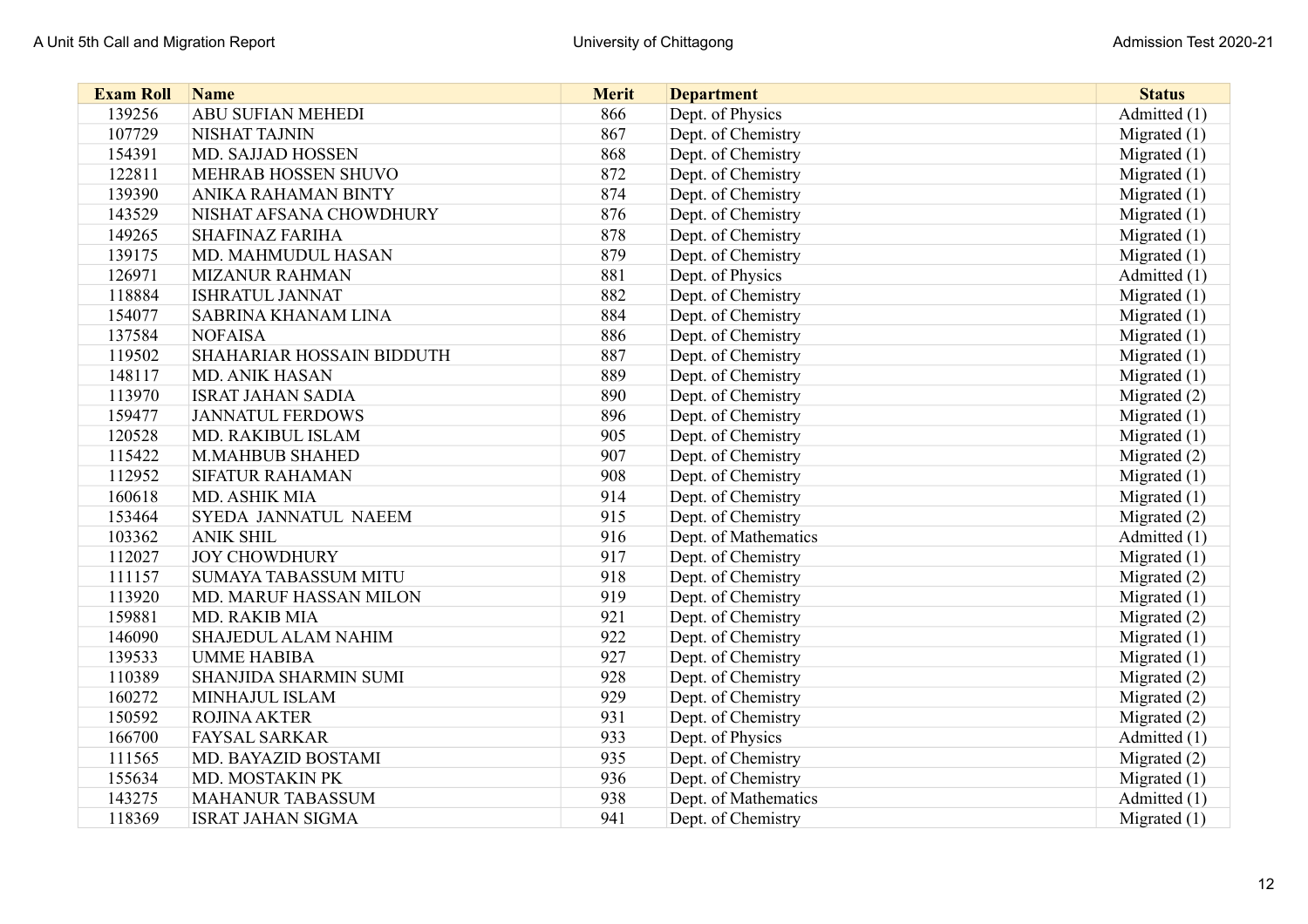| <b>Exam Roll</b> | <b>Name</b>                  | <b>Merit</b> | <b>Department</b>    | <b>Status</b>  |
|------------------|------------------------------|--------------|----------------------|----------------|
| 139256           | <b>ABU SUFIAN MEHEDI</b>     | 866          | Dept. of Physics     | Admitted (1)   |
| 107729           | <b>NISHAT TAJNIN</b>         | 867          | Dept. of Chemistry   | Migrated $(1)$ |
| 154391           | MD. SAJJAD HOSSEN            | 868          | Dept. of Chemistry   | Migrated $(1)$ |
| 122811           | MEHRAB HOSSEN SHUVO          | 872          | Dept. of Chemistry   | Migrated $(1)$ |
| 139390           | <b>ANIKA RAHAMAN BINTY</b>   | 874          | Dept. of Chemistry   | Migrated $(1)$ |
| 143529           | NISHAT AFSANA CHOWDHURY      | 876          | Dept. of Chemistry   | Migrated (1)   |
| 149265           | <b>SHAFINAZ FARIHA</b>       | 878          | Dept. of Chemistry   | Migrated (1)   |
| 139175           | MD. MAHMUDUL HASAN           | 879          | Dept. of Chemistry   | Migrated $(1)$ |
| 126971           | <b>MIZANUR RAHMAN</b>        | 881          | Dept. of Physics     | Admitted (1)   |
| 118884           | <b>ISHRATUL JANNAT</b>       | 882          | Dept. of Chemistry   | Migrated $(1)$ |
| 154077           | <b>SABRINA KHANAM LINA</b>   | 884          | Dept. of Chemistry   | Migrated $(1)$ |
| 137584           | <b>NOFAISA</b>               | 886          | Dept. of Chemistry   | Migrated $(1)$ |
| 119502           | SHAHARIAR HOSSAIN BIDDUTH    | 887          | Dept. of Chemistry   | Migrated $(1)$ |
| 148117           | <b>MD. ANIK HASAN</b>        | 889          | Dept. of Chemistry   | Migrated $(1)$ |
| 113970           | <b>ISRAT JAHAN SADIA</b>     | 890          | Dept. of Chemistry   | Migrated (2)   |
| 159477           | <b>JANNATUL FERDOWS</b>      | 896          | Dept. of Chemistry   | Migrated (1)   |
| 120528           | MD. RAKIBUL ISLAM            | 905          | Dept. of Chemistry   | Migrated $(1)$ |
| 115422           | <b>M.MAHBUB SHAHED</b>       | 907          | Dept. of Chemistry   | Migrated (2)   |
| 112952           | <b>SIFATUR RAHAMAN</b>       | 908          | Dept. of Chemistry   | Migrated $(1)$ |
| 160618           | MD. ASHIK MIA                | 914          | Dept. of Chemistry   | Migrated $(1)$ |
| 153464           | <b>SYEDA JANNATUL NAEEM</b>  | 915          | Dept. of Chemistry   | Migrated (2)   |
| 103362           | <b>ANIK SHIL</b>             | 916          | Dept. of Mathematics | Admitted (1)   |
| 112027           | <b>JOY CHOWDHURY</b>         | 917          | Dept. of Chemistry   | Migrated $(1)$ |
| 111157           | <b>SUMAYA TABASSUM MITU</b>  | 918          | Dept. of Chemistry   | Migrated (2)   |
| 113920           | MD. MARUF HASSAN MILON       | 919          | Dept. of Chemistry   | Migrated (1)   |
| 159881           | MD. RAKIB MIA                | 921          | Dept. of Chemistry   | Migrated (2)   |
| 146090           | SHAJEDUL ALAM NAHIM          | 922          | Dept. of Chemistry   | Migrated $(1)$ |
| 139533           | <b>UMME HABIBA</b>           | 927          | Dept. of Chemistry   | Migrated $(1)$ |
| 110389           | <b>SHANJIDA SHARMIN SUMI</b> | 928          | Dept. of Chemistry   | Migrated (2)   |
| 160272           | MINHAJUL ISLAM               | 929          | Dept. of Chemistry   | Migrated (2)   |
| 150592           | <b>ROJINA AKTER</b>          | 931          | Dept. of Chemistry   | Migrated (2)   |
| 166700           | <b>FAYSAL SARKAR</b>         | 933          | Dept. of Physics     | Admitted (1)   |
| 111565           | MD. BAYAZID BOSTAMI          | 935          | Dept. of Chemistry   | Migrated (2)   |
| 155634           | MD. MOSTAKIN PK              | 936          | Dept. of Chemistry   | Migrated $(1)$ |
| 143275           | <b>MAHANUR TABASSUM</b>      | 938          | Dept. of Mathematics | Admitted (1)   |
| 118369           | <b>ISRAT JAHAN SIGMA</b>     | 941          | Dept. of Chemistry   | Migrated $(1)$ |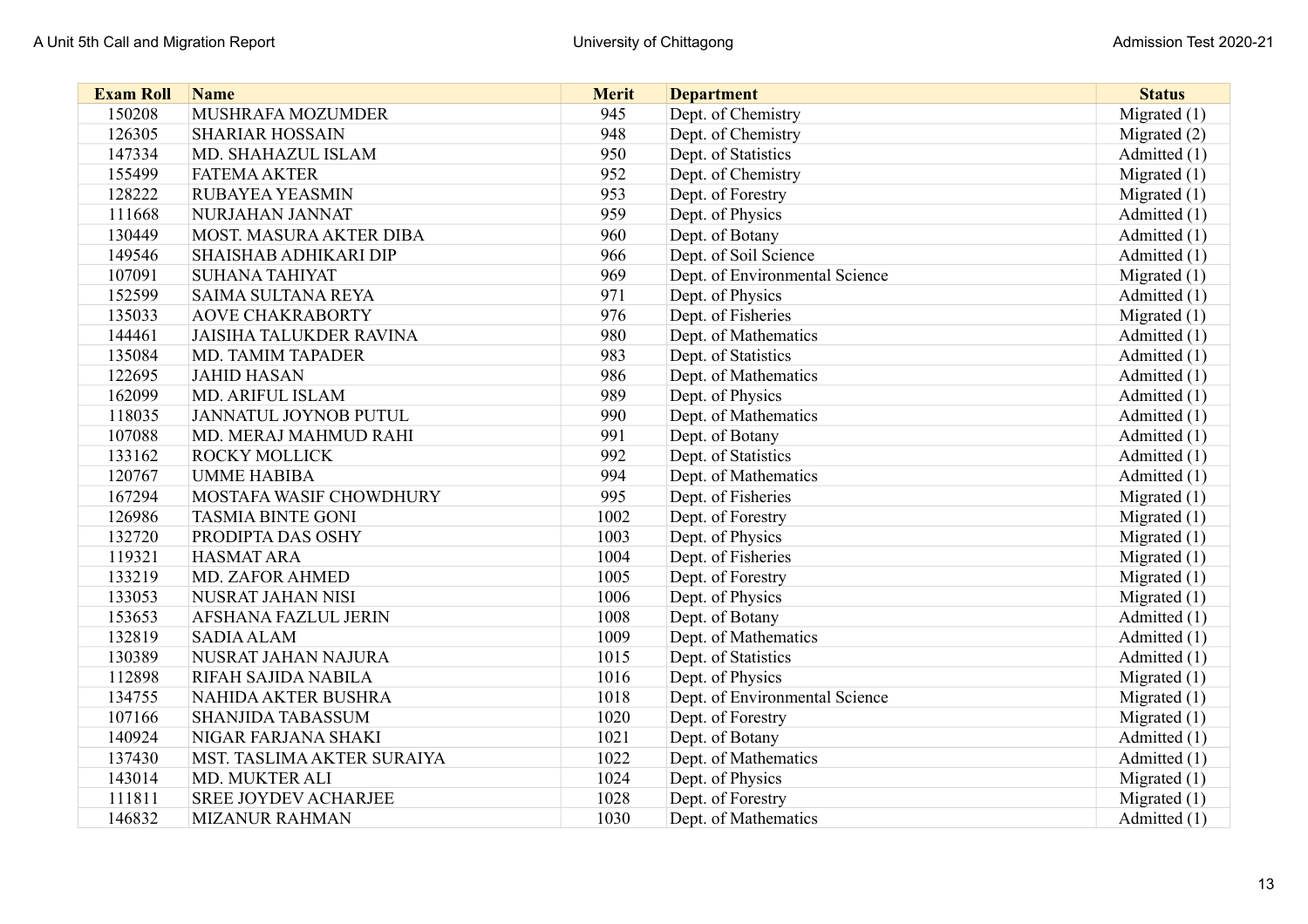| <b>Exam Roll</b> | <b>Name</b>                    | <b>Merit</b> | <b>Department</b>              | <b>Status</b>  |
|------------------|--------------------------------|--------------|--------------------------------|----------------|
| 150208           | MUSHRAFA MOZUMDER              | 945          | Dept. of Chemistry             | Migrated $(1)$ |
| 126305           | <b>SHARIAR HOSSAIN</b>         | 948          | Dept. of Chemistry             | Migrated (2)   |
| 147334           | MD. SHAHAZUL ISLAM             | 950          | Dept. of Statistics            | Admitted (1)   |
| 155499           | <b>FATEMA AKTER</b>            | 952          | Dept. of Chemistry             | Migrated $(1)$ |
| 128222           | RUBAYEA YEASMIN                | 953          | Dept. of Forestry              | Migrated $(1)$ |
| 111668           | NURJAHAN JANNAT                | 959          | Dept. of Physics               | Admitted (1)   |
| 130449           | MOST. MASURA AKTER DIBA        | 960          | Dept. of Botany                | Admitted (1)   |
| 149546           | <b>SHAISHAB ADHIKARI DIP</b>   | 966          | Dept. of Soil Science          | Admitted (1)   |
| 107091           | <b>SUHANA TAHIYAT</b>          | 969          | Dept. of Environmental Science | Migrated $(1)$ |
| 152599           | <b>SAIMA SULTANA REYA</b>      | 971          | Dept. of Physics               | Admitted (1)   |
| 135033           | <b>AOVE CHAKRABORTY</b>        | 976          | Dept. of Fisheries             | Migrated $(1)$ |
| 144461           | <b>JAISIHA TALUKDER RAVINA</b> | 980          | Dept. of Mathematics           | Admitted (1)   |
| 135084           | <b>MD. TAMIM TAPADER</b>       | 983          | Dept. of Statistics            | Admitted (1)   |
| 122695           | <b>JAHID HASAN</b>             | 986          | Dept. of Mathematics           | Admitted (1)   |
| 162099           | <b>MD. ARIFUL ISLAM</b>        | 989          | Dept. of Physics               | Admitted (1)   |
| 118035           | JANNATUL JOYNOB PUTUL          | 990          | Dept. of Mathematics           | Admitted (1)   |
| 107088           | MD. MERAJ MAHMUD RAHI          | 991          | Dept. of Botany                | Admitted (1)   |
| 133162           | <b>ROCKY MOLLICK</b>           | 992          | Dept. of Statistics            | Admitted (1)   |
| 120767           | <b>UMME HABIBA</b>             | 994          | Dept. of Mathematics           | Admitted (1)   |
| 167294           | MOSTAFA WASIF CHOWDHURY        | 995          | Dept. of Fisheries             | Migrated $(1)$ |
| 126986           | <b>TASMIA BINTE GONI</b>       | 1002         | Dept. of Forestry              | Migrated $(1)$ |
| 132720           | PRODIPTA DAS OSHY              | 1003         | Dept. of Physics               | Migrated $(1)$ |
| 119321           | <b>HASMAT ARA</b>              | 1004         | Dept. of Fisheries             | Migrated $(1)$ |
| 133219           | <b>MD. ZAFOR AHMED</b>         | 1005         | Dept. of Forestry              | Migrated (1)   |
| 133053           | NUSRAT JAHAN NISI              | 1006         | Dept. of Physics               | Migrated (1)   |
| 153653           | <b>AFSHANA FAZLUL JERIN</b>    | 1008         | Dept. of Botany                | Admitted (1)   |
| 132819           | <b>SADIA ALAM</b>              | 1009         | Dept. of Mathematics           | Admitted (1)   |
| 130389           | NUSRAT JAHAN NAJURA            | 1015         | Dept. of Statistics            | Admitted (1)   |
| 112898           | RIFAH SAJIDA NABILA            | 1016         | Dept. of Physics               | Migrated $(1)$ |
| 134755           | NAHIDA AKTER BUSHRA            | 1018         | Dept. of Environmental Science | Migrated $(1)$ |
| 107166           | <b>SHANJIDA TABASSUM</b>       | 1020         | Dept. of Forestry              | Migrated (1)   |
| 140924           | NIGAR FARJANA SHAKI            | 1021         | Dept. of Botany                | Admitted (1)   |
| 137430           | MST. TASLIMA AKTER SURAIYA     | 1022         | Dept. of Mathematics           | Admitted (1)   |
| 143014           | MD. MUKTER ALI                 | 1024         | Dept. of Physics               | Migrated $(1)$ |
| 111811           | <b>SREE JOYDEV ACHARJEE</b>    | 1028         | Dept. of Forestry              | Migrated $(1)$ |
| 146832           | <b>MIZANUR RAHMAN</b>          | 1030         | Dept. of Mathematics           | Admitted (1)   |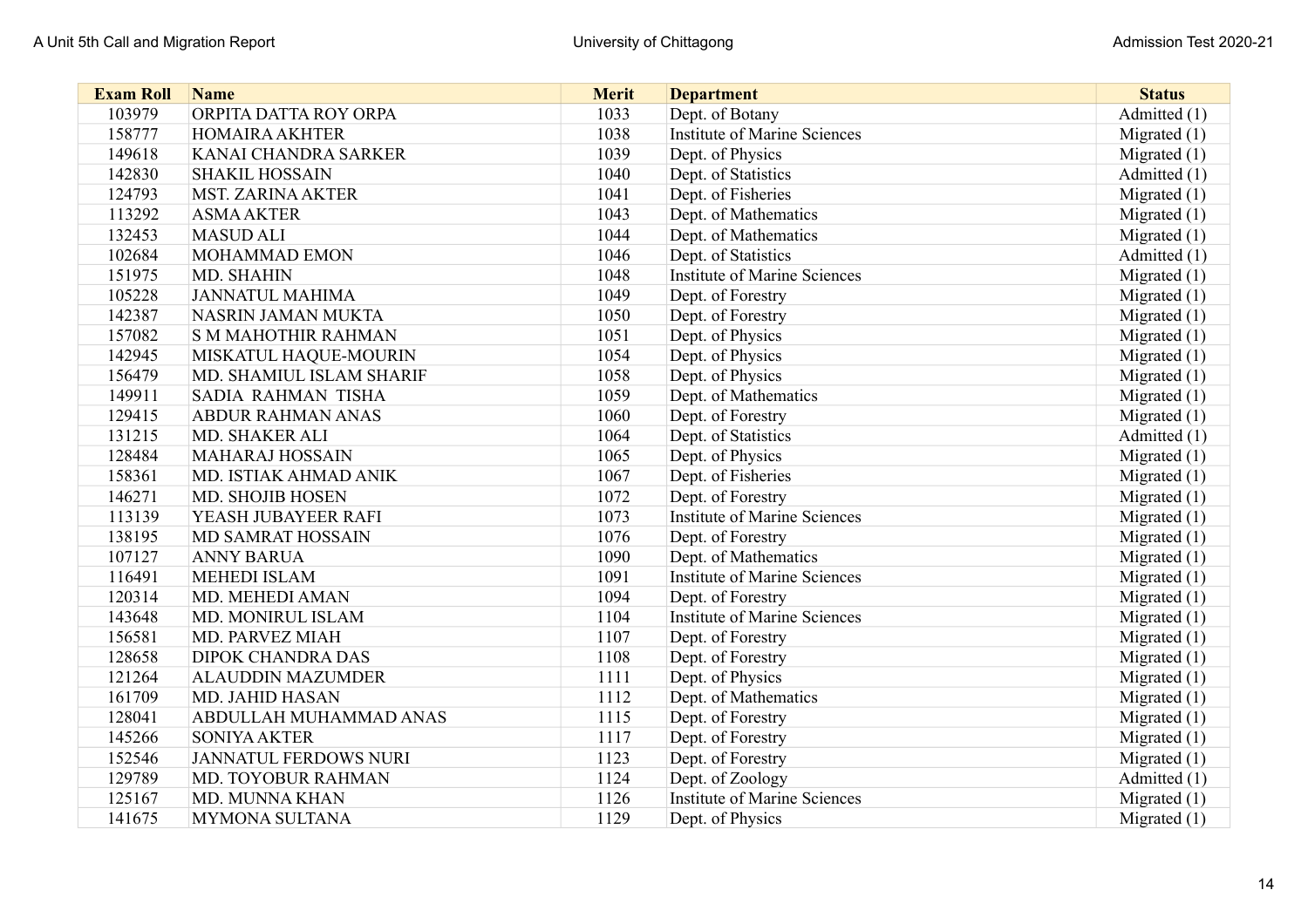| <b>Exam Roll</b> | <b>Name</b>                  | <b>Merit</b> | <b>Department</b>                   | <b>Status</b>  |
|------------------|------------------------------|--------------|-------------------------------------|----------------|
| 103979           | ORPITA DATTA ROY ORPA        | 1033         | Dept. of Botany                     | Admitted (1)   |
| 158777           | <b>HOMAIRA AKHTER</b>        | 1038         | <b>Institute of Marine Sciences</b> | Migrated $(1)$ |
| 149618           | KANAI CHANDRA SARKER         | 1039         | Dept. of Physics                    | Migrated $(1)$ |
| 142830           | <b>SHAKIL HOSSAIN</b>        | 1040         | Dept. of Statistics                 | Admitted (1)   |
| 124793           | <b>MST. ZARINA AKTER</b>     | 1041         | Dept. of Fisheries                  | Migrated $(1)$ |
| 113292           | <b>ASMA AKTER</b>            | 1043         | Dept. of Mathematics                | Migrated $(1)$ |
| 132453           | <b>MASUD ALI</b>             | 1044         | Dept. of Mathematics                | Migrated $(1)$ |
| 102684           | MOHAMMAD EMON                | 1046         | Dept. of Statistics                 | Admitted (1)   |
| 151975           | MD. SHAHIN                   | 1048         | <b>Institute of Marine Sciences</b> | Migrated $(1)$ |
| 105228           | <b>JANNATUL MAHIMA</b>       | 1049         | Dept. of Forestry                   | Migrated (1)   |
| 142387           | NASRIN JAMAN MUKTA           | 1050         | Dept. of Forestry                   | Migrated (1)   |
| 157082           | <b>S M MAHOTHIR RAHMAN</b>   | 1051         | Dept. of Physics                    | Migrated $(1)$ |
| 142945           | MISKATUL HAQUE-MOURIN        | 1054         | Dept. of Physics                    | Migrated $(1)$ |
| 156479           | MD. SHAMIUL ISLAM SHARIF     | 1058         | Dept. of Physics                    | Migrated (1)   |
| 149911           | SADIA RAHMAN TISHA           | 1059         | Dept. of Mathematics                | Migrated $(1)$ |
| 129415           | <b>ABDUR RAHMAN ANAS</b>     | 1060         | Dept. of Forestry                   | Migrated $(1)$ |
| 131215           | <b>MD. SHAKER ALI</b>        | 1064         | Dept. of Statistics                 | Admitted (1)   |
| 128484           | <b>MAHARAJ HOSSAIN</b>       | 1065         | Dept. of Physics                    | Migrated $(1)$ |
| 158361           | MD. ISTIAK AHMAD ANIK        | 1067         | Dept. of Fisheries                  | Migrated $(1)$ |
| 146271           | <b>MD. SHOJIB HOSEN</b>      | 1072         | Dept. of Forestry                   | Migrated $(1)$ |
| 113139           | YEASH JUBAYEER RAFI          | 1073         | Institute of Marine Sciences        | Migrated $(1)$ |
| 138195           | <b>MD SAMRAT HOSSAIN</b>     | 1076         | Dept. of Forestry                   | Migrated $(1)$ |
| 107127           | <b>ANNY BARUA</b>            | 1090         | Dept. of Mathematics                | Migrated $(1)$ |
| 116491           | <b>MEHEDI ISLAM</b>          | 1091         | <b>Institute of Marine Sciences</b> | Migrated $(1)$ |
| 120314           | MD. MEHEDI AMAN              | 1094         | Dept. of Forestry                   | Migrated $(1)$ |
| 143648           | MD. MONIRUL ISLAM            | 1104         | <b>Institute of Marine Sciences</b> | Migrated $(1)$ |
| 156581           | MD. PARVEZ MIAH              | 1107         | Dept. of Forestry                   | Migrated (1)   |
| 128658           | <b>DIPOK CHANDRA DAS</b>     | 1108         | Dept. of Forestry                   | Migrated $(1)$ |
| 121264           | <b>ALAUDDIN MAZUMDER</b>     | 1111         | Dept. of Physics                    | Migrated $(1)$ |
| 161709           | MD. JAHID HASAN              | 1112         | Dept. of Mathematics                | Migrated $(1)$ |
| 128041           | ABDULLAH MUHAMMAD ANAS       | 1115         | Dept. of Forestry                   | Migrated (1)   |
| 145266           | <b>SONIYA AKTER</b>          | 1117         | Dept. of Forestry                   | Migrated $(1)$ |
| 152546           | <b>JANNATUL FERDOWS NURI</b> | 1123         | Dept. of Forestry                   | Migrated $(1)$ |
| 129789           | MD. TOYOBUR RAHMAN           | 1124         | Dept. of Zoology                    | Admitted (1)   |
| 125167           | MD. MUNNA KHAN               | 1126         | <b>Institute of Marine Sciences</b> | Migrated $(1)$ |
| 141675           | MYMONA SULTANA               | 1129         | Dept. of Physics                    | Migrated $(1)$ |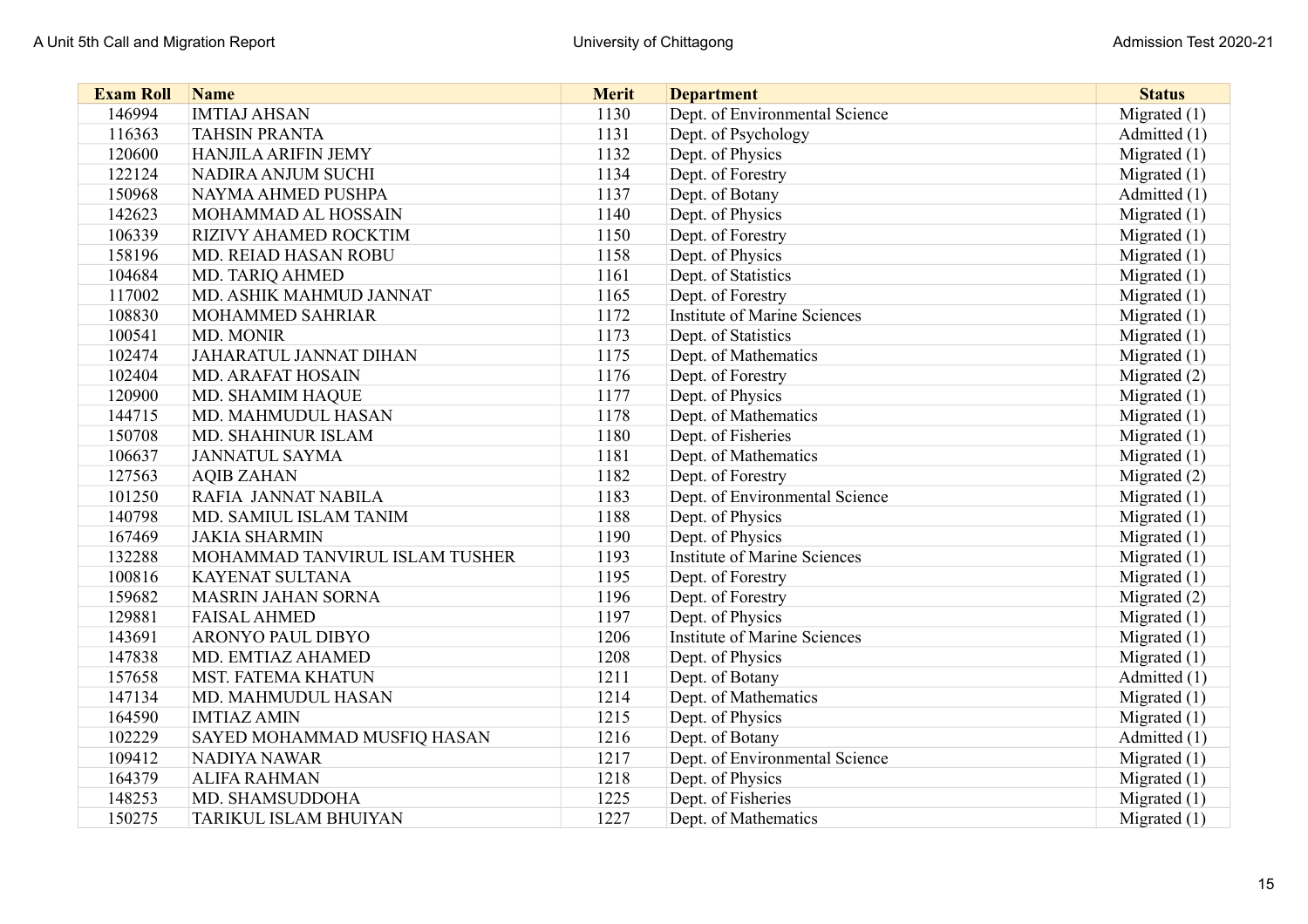| <b>Exam Roll</b> | <b>Name</b>                    | <b>Merit</b> | <b>Department</b>                   | <b>Status</b>  |
|------------------|--------------------------------|--------------|-------------------------------------|----------------|
| 146994           | <b>IMTIAJ AHSAN</b>            | 1130         | Dept. of Environmental Science      | Migrated $(1)$ |
| 116363           | <b>TAHSIN PRANTA</b>           | 1131         | Dept. of Psychology                 | Admitted (1)   |
| 120600           | <b>HANJILA ARIFIN JEMY</b>     | 1132         | Dept. of Physics                    | Migrated $(1)$ |
| 122124           | NADIRA ANJUM SUCHI             | 1134         | Dept. of Forestry                   | Migrated $(1)$ |
| 150968           | NAYMA AHMED PUSHPA             | 1137         | Dept. of Botany                     | Admitted (1)   |
| 142623           | MOHAMMAD AL HOSSAIN            | 1140         | Dept. of Physics                    | Migrated $(1)$ |
| 106339           | <b>RIZIVY AHAMED ROCKTIM</b>   | 1150         | Dept. of Forestry                   | Migrated $(1)$ |
| 158196           | <b>MD. REIAD HASAN ROBU</b>    | 1158         | Dept. of Physics                    | Migrated $(1)$ |
| 104684           | MD. TARIQ AHMED                | 1161         | Dept. of Statistics                 | Migrated $(1)$ |
| 117002           | MD. ASHIK MAHMUD JANNAT        | 1165         | Dept. of Forestry                   | Migrated (1)   |
| 108830           | <b>MOHAMMED SAHRIAR</b>        | 1172         | <b>Institute of Marine Sciences</b> | Migrated (1)   |
| 100541           | MD. MONIR                      | 1173         | Dept. of Statistics                 | Migrated $(1)$ |
| 102474           | <b>JAHARATUL JANNAT DIHAN</b>  | 1175         | Dept. of Mathematics                | Migrated $(1)$ |
| 102404           | <b>MD. ARAFAT HOSAIN</b>       | 1176         | Dept. of Forestry                   | Migrated (2)   |
| 120900           | MD. SHAMIM HAQUE               | 1177         | Dept. of Physics                    | Migrated $(1)$ |
| 144715           | MD. MAHMUDUL HASAN             | 1178         | Dept. of Mathematics                | Migrated $(1)$ |
| 150708           | <b>MD. SHAHINUR ISLAM</b>      | 1180         | Dept. of Fisheries                  | Migrated $(1)$ |
| 106637           | <b>JANNATUL SAYMA</b>          | 1181         | Dept. of Mathematics                | Migrated $(1)$ |
| 127563           | <b>AQIB ZAHAN</b>              | 1182         | Dept. of Forestry                   | Migrated (2)   |
| 101250           | RAFIA JANNAT NABILA            | 1183         | Dept. of Environmental Science      | Migrated (1)   |
| 140798           | MD. SAMIUL ISLAM TANIM         | 1188         | Dept. of Physics                    | Migrated $(1)$ |
| 167469           | <b>JAKIA SHARMIN</b>           | 1190         | Dept. of Physics                    | Migrated $(1)$ |
| 132288           | MOHAMMAD TANVIRUL ISLAM TUSHER | 1193         | <b>Institute of Marine Sciences</b> | Migrated $(1)$ |
| 100816           | <b>KAYENAT SULTANA</b>         | 1195         | Dept. of Forestry                   | Migrated $(1)$ |
| 159682           | <b>MASRIN JAHAN SORNA</b>      | 1196         | Dept. of Forestry                   | Migrated (2)   |
| 129881           | <b>FAISAL AHMED</b>            | 1197         | Dept. of Physics                    | Migrated $(1)$ |
| 143691           | <b>ARONYO PAUL DIBYO</b>       | 1206         | <b>Institute of Marine Sciences</b> | Migrated (1)   |
| 147838           | MD. EMTIAZ AHAMED              | 1208         | Dept. of Physics                    | Migrated $(1)$ |
| 157658           | <b>MST. FATEMA KHATUN</b>      | 1211         | Dept. of Botany                     | Admitted (1)   |
| 147134           | MD. MAHMUDUL HASAN             | 1214         | Dept. of Mathematics                | Migrated $(1)$ |
| 164590           | <b>IMTIAZ AMIN</b>             | 1215         | Dept. of Physics                    | Migrated $(1)$ |
| 102229           | SAYED MOHAMMAD MUSFIQ HASAN    | 1216         | Dept. of Botany                     | Admitted (1)   |
| 109412           | <b>NADIYA NAWAR</b>            | 1217         | Dept. of Environmental Science      | Migrated $(1)$ |
| 164379           | <b>ALIFA RAHMAN</b>            | 1218         | Dept. of Physics                    | Migrated $(1)$ |
| 148253           | MD. SHAMSUDDOHA                | 1225         | Dept. of Fisheries                  | Migrated (1)   |
| 150275           | TARIKUL ISLAM BHUIYAN          | 1227         | Dept. of Mathematics                | Migrated $(1)$ |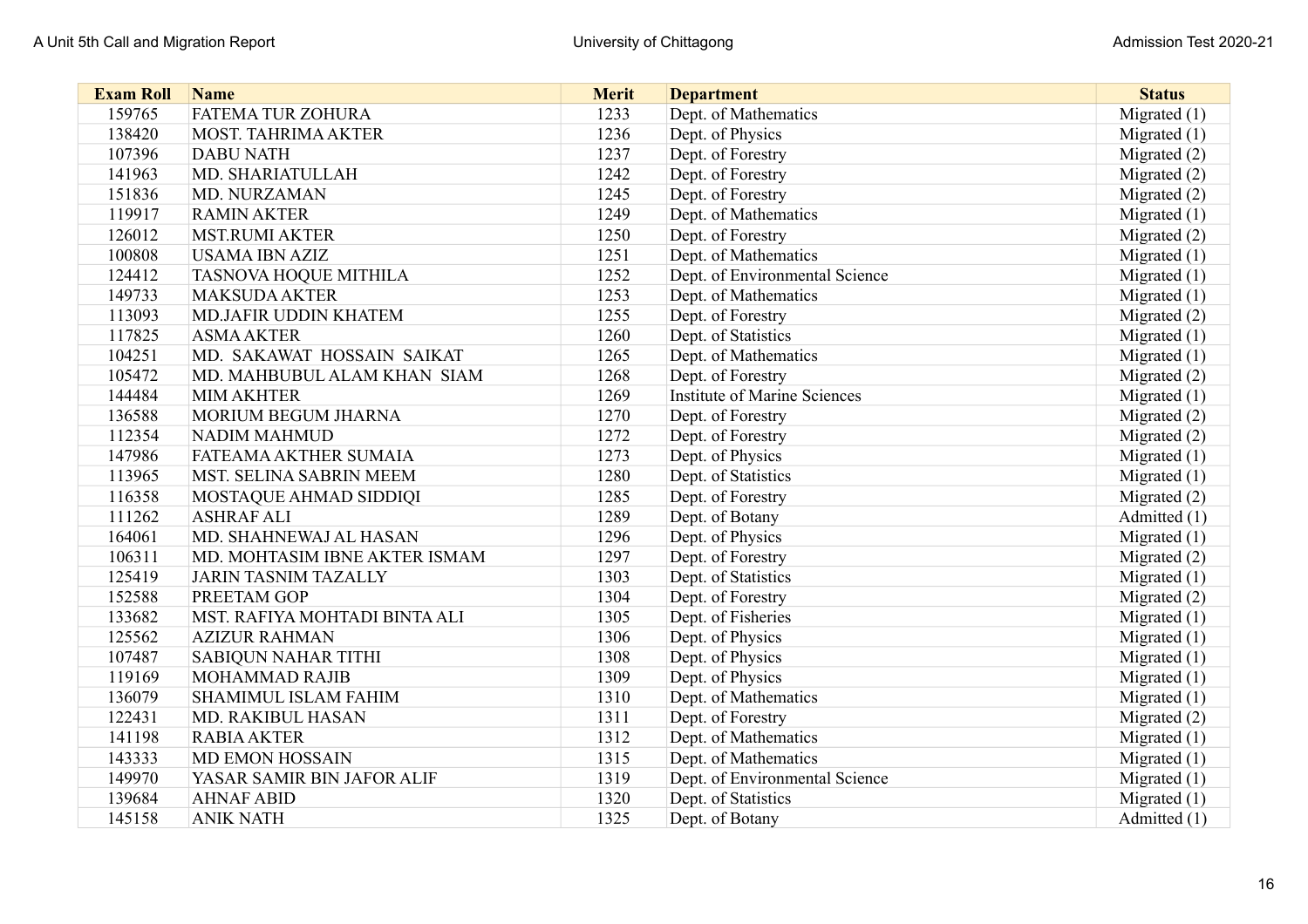| <b>Exam Roll</b> | <b>Name</b>                   | <b>Merit</b> | <b>Department</b>              | <b>Status</b>  |
|------------------|-------------------------------|--------------|--------------------------------|----------------|
| 159765           | <b>FATEMA TUR ZOHURA</b>      | 1233         | Dept. of Mathematics           | Migrated $(1)$ |
| 138420           | <b>MOST. TAHRIMA AKTER</b>    | 1236         | Dept. of Physics               | Migrated $(1)$ |
| 107396           | <b>DABU NATH</b>              | 1237         | Dept. of Forestry              | Migrated (2)   |
| 141963           | MD. SHARIATULLAH              | 1242         | Dept. of Forestry              | Migrated (2)   |
| 151836           | <b>MD. NURZAMAN</b>           | 1245         | Dept. of Forestry              | Migrated (2)   |
| 119917           | <b>RAMIN AKTER</b>            | 1249         | Dept. of Mathematics           | Migrated (1)   |
| 126012           | <b>MST.RUMI AKTER</b>         | 1250         | Dept. of Forestry              | Migrated (2)   |
| 100808           | <b>USAMA IBN AZIZ</b>         | 1251         | Dept. of Mathematics           | Migrated (1)   |
| 124412           | <b>TASNOVA HOQUE MITHILA</b>  | 1252         | Dept. of Environmental Science | Migrated $(1)$ |
| 149733           | <b>MAKSUDA AKTER</b>          | 1253         | Dept. of Mathematics           | Migrated $(1)$ |
| 113093           | MD.JAFIR UDDIN KHATEM         | 1255         | Dept. of Forestry              | Migrated (2)   |
| 117825           | <b>ASMA AKTER</b>             | 1260         | Dept. of Statistics            | Migrated $(1)$ |
| 104251           | MD. SAKAWAT HOSSAIN SAIKAT    | 1265         | Dept. of Mathematics           | Migrated $(1)$ |
| 105472           | MD. MAHBUBUL ALAM KHAN SIAM   | 1268         | Dept. of Forestry              | Migrated (2)   |
| 144484           | <b>MIM AKHTER</b>             | 1269         | Institute of Marine Sciences   | Migrated $(1)$ |
| 136588           | <b>MORIUM BEGUM JHARNA</b>    | 1270         | Dept. of Forestry              | Migrated (2)   |
| 112354           | <b>NADIM MAHMUD</b>           | 1272         | Dept. of Forestry              | Migrated (2)   |
| 147986           | FATEAMA AKTHER SUMAIA         | 1273         | Dept. of Physics               | Migrated $(1)$ |
| 113965           | MST. SELINA SABRIN MEEM       | 1280         | Dept. of Statistics            | Migrated $(1)$ |
| 116358           | MOSTAQUE AHMAD SIDDIQI        | 1285         | Dept. of Forestry              | Migrated (2)   |
| 111262           | <b>ASHRAF ALI</b>             | 1289         | Dept. of Botany                | Admitted (1)   |
| 164061           | MD. SHAHNEWAJ AL HASAN        | 1296         | Dept. of Physics               | Migrated $(1)$ |
| 106311           | MD. MOHTASIM IBNE AKTER ISMAM | 1297         | Dept. of Forestry              | Migrated (2)   |
| 125419           | <b>JARIN TASNIM TAZALLY</b>   | 1303         | Dept. of Statistics            | Migrated $(1)$ |
| 152588           | <b>PREETAM GOP</b>            | 1304         | Dept. of Forestry              | Migrated (2)   |
| 133682           | MST. RAFIYA MOHTADI BINTA ALI | 1305         | Dept. of Fisheries             | Migrated $(1)$ |
| 125562           | <b>AZIZUR RAHMAN</b>          | 1306         | Dept. of Physics               | Migrated $(1)$ |
| 107487           | <b>SABIQUN NAHAR TITHI</b>    | 1308         | Dept. of Physics               | Migrated $(1)$ |
| 119169           | MOHAMMAD RAJIB                | 1309         | Dept. of Physics               | Migrated $(1)$ |
| 136079           | SHAMIMUL ISLAM FAHIM          | 1310         | Dept. of Mathematics           | Migrated $(1)$ |
| 122431           | MD. RAKIBUL HASAN             | 1311         | Dept. of Forestry              | Migrated (2)   |
| 141198           | <b>RABIA AKTER</b>            | 1312         | Dept. of Mathematics           | Migrated $(1)$ |
| 143333           | <b>MD EMON HOSSAIN</b>        | 1315         | Dept. of Mathematics           | Migrated $(1)$ |
| 149970           | YASAR SAMIR BIN JAFOR ALIF    | 1319         | Dept. of Environmental Science | Migrated $(1)$ |
| 139684           | <b>AHNAF ABID</b>             | 1320         | Dept. of Statistics            | Migrated (1)   |
| 145158           | <b>ANIK NATH</b>              | 1325         | Dept. of Botany                | Admitted (1)   |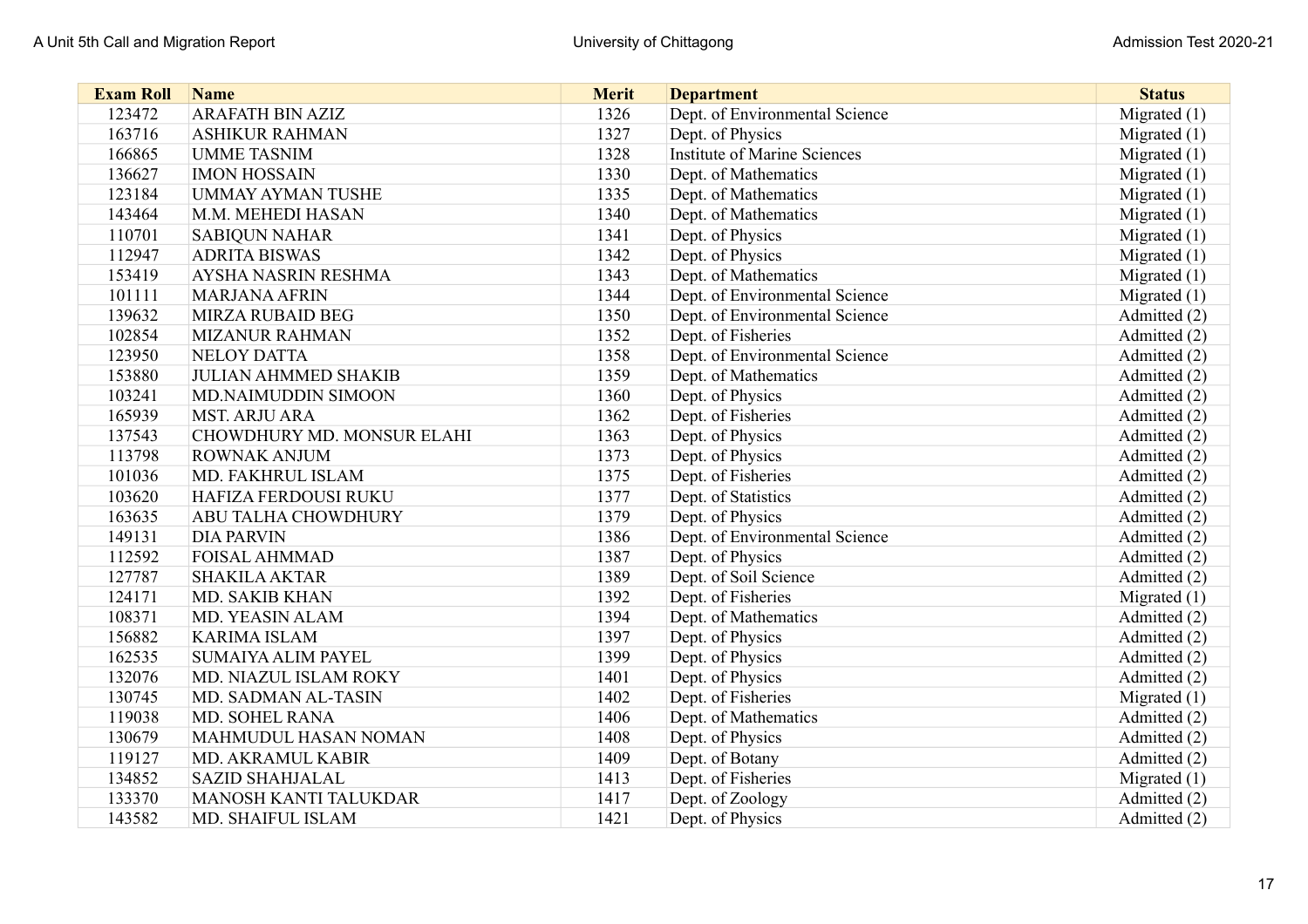| <b>Exam Roll</b> | <b>Name</b>                 | <b>Merit</b> | <b>Department</b>                   | <b>Status</b>  |
|------------------|-----------------------------|--------------|-------------------------------------|----------------|
| 123472           | <b>ARAFATH BIN AZIZ</b>     | 1326         | Dept. of Environmental Science      | Migrated $(1)$ |
| 163716           | <b>ASHIKUR RAHMAN</b>       | 1327         | Dept. of Physics                    | Migrated $(1)$ |
| 166865           | <b>UMME TASNIM</b>          | 1328         | <b>Institute of Marine Sciences</b> | Migrated (1)   |
| 136627           | <b>IMON HOSSAIN</b>         | 1330         | Dept. of Mathematics                | Migrated $(1)$ |
| 123184           | <b>UMMAY AYMAN TUSHE</b>    | 1335         | Dept. of Mathematics                | Migrated $(1)$ |
| 143464           | M.M. MEHEDI HASAN           | 1340         | Dept. of Mathematics                | Migrated $(1)$ |
| 110701           | <b>SABIQUN NAHAR</b>        | 1341         | Dept. of Physics                    | Migrated $(1)$ |
| 112947           | <b>ADRITA BISWAS</b>        | 1342         | Dept. of Physics                    | Migrated $(1)$ |
| 153419           | <b>AYSHA NASRIN RESHMA</b>  | 1343         | Dept. of Mathematics                | Migrated $(1)$ |
| 101111           | <b>MARJANA AFRIN</b>        | 1344         | Dept. of Environmental Science      | Migrated $(1)$ |
| 139632           | <b>MIRZA RUBAID BEG</b>     | 1350         | Dept. of Environmental Science      | Admitted (2)   |
| 102854           | <b>MIZANUR RAHMAN</b>       | 1352         | Dept. of Fisheries                  | Admitted (2)   |
| 123950           | <b>NELOY DATTA</b>          | 1358         | Dept. of Environmental Science      | Admitted (2)   |
| 153880           | <b>JULIAN AHMMED SHAKIB</b> | 1359         | Dept. of Mathematics                | Admitted (2)   |
| 103241           | MD.NAIMUDDIN SIMOON         | 1360         | Dept. of Physics                    | Admitted (2)   |
| 165939           | <b>MST. ARJU ARA</b>        | 1362         | Dept. of Fisheries                  | Admitted (2)   |
| 137543           | CHOWDHURY MD. MONSUR ELAHI  | 1363         | Dept. of Physics                    | Admitted (2)   |
| 113798           | <b>ROWNAK ANJUM</b>         | 1373         | Dept. of Physics                    | Admitted (2)   |
| 101036           | MD. FAKHRUL ISLAM           | 1375         | Dept. of Fisheries                  | Admitted (2)   |
| 103620           | HAFIZA FERDOUSI RUKU        | 1377         | Dept. of Statistics                 | Admitted (2)   |
| 163635           | ABU TALHA CHOWDHURY         | 1379         | Dept. of Physics                    | Admitted (2)   |
| 149131           | <b>DIA PARVIN</b>           | 1386         | Dept. of Environmental Science      | Admitted (2)   |
| 112592           | <b>FOISAL AHMMAD</b>        | 1387         | Dept. of Physics                    | Admitted (2)   |
| 127787           | <b>SHAKILA AKTAR</b>        | 1389         | Dept. of Soil Science               | Admitted (2)   |
| 124171           | <b>MD. SAKIB KHAN</b>       | 1392         | Dept. of Fisheries                  | Migrated $(1)$ |
| 108371           | <b>MD. YEASIN ALAM</b>      | 1394         | Dept. of Mathematics                | Admitted (2)   |
| 156882           | <b>KARIMA ISLAM</b>         | 1397         | Dept. of Physics                    | Admitted (2)   |
| 162535           | <b>SUMAIYA ALIM PAYEL</b>   | 1399         | Dept. of Physics                    | Admitted (2)   |
| 132076           | MD. NIAZUL ISLAM ROKY       | 1401         | Dept. of Physics                    | Admitted (2)   |
| 130745           | MD. SADMAN AL-TASIN         | 1402         | Dept. of Fisheries                  | Migrated $(1)$ |
| 119038           | <b>MD. SOHEL RANA</b>       | 1406         | Dept. of Mathematics                | Admitted (2)   |
| 130679           | MAHMUDUL HASAN NOMAN        | 1408         | Dept. of Physics                    | Admitted (2)   |
| 119127           | MD. AKRAMUL KABIR           | 1409         | Dept. of Botany                     | Admitted (2)   |
| 134852           | <b>SAZID SHAHJALAL</b>      | 1413         | Dept. of Fisheries                  | Migrated $(1)$ |
| 133370           | MANOSH KANTI TALUKDAR       | 1417         | Dept. of Zoology                    | Admitted (2)   |
| 143582           | MD. SHAIFUL ISLAM           | 1421         | Dept. of Physics                    | Admitted (2)   |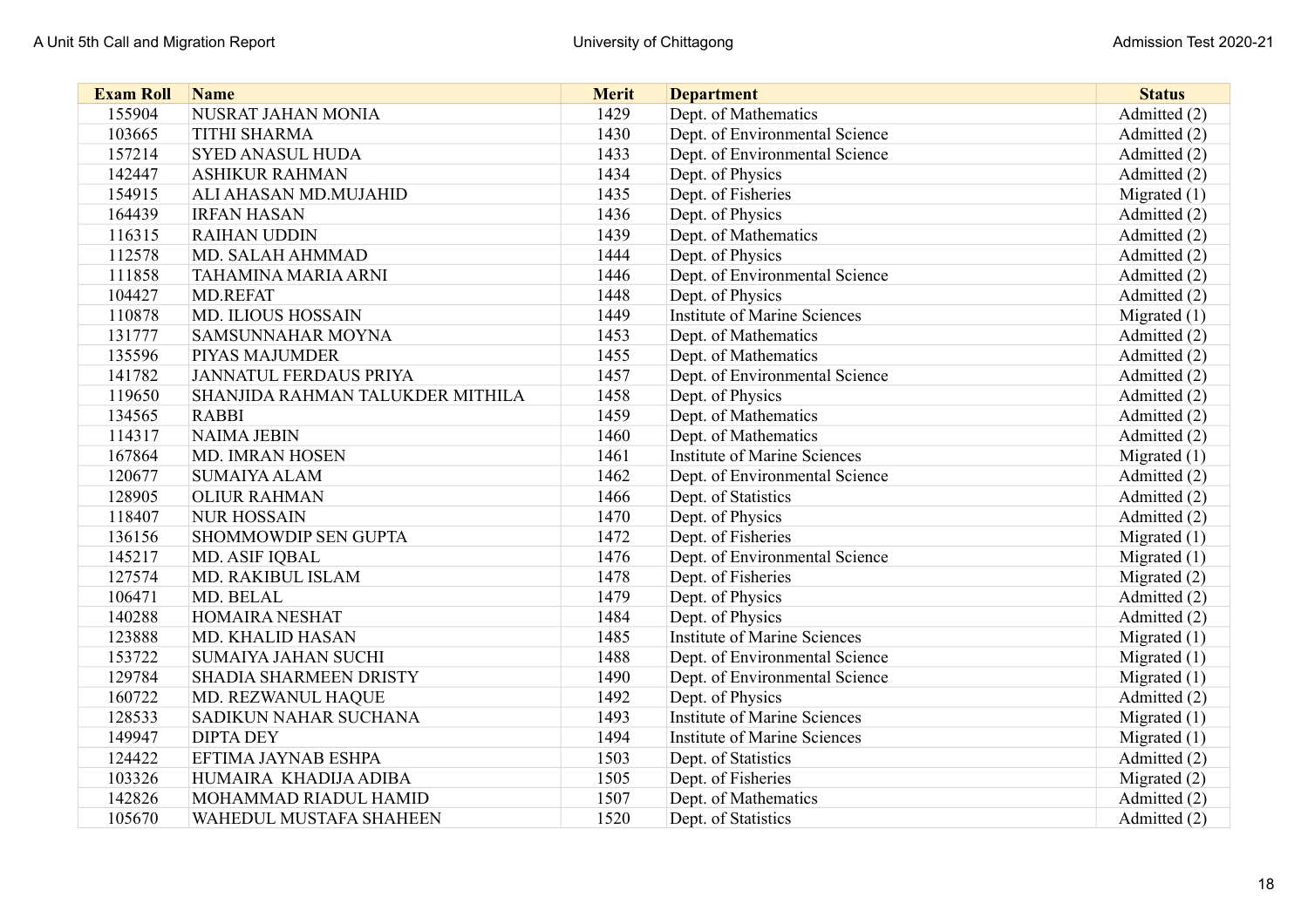| <b>Exam Roll</b> | <b>Name</b>                      | <b>Merit</b> | <b>Department</b>                   | <b>Status</b>  |
|------------------|----------------------------------|--------------|-------------------------------------|----------------|
| 155904           | NUSRAT JAHAN MONIA               | 1429         | Dept. of Mathematics                | Admitted (2)   |
| 103665           | <b>TITHI SHARMA</b>              | 1430         | Dept. of Environmental Science      | Admitted (2)   |
| 157214           | <b>SYED ANASUL HUDA</b>          | 1433         | Dept. of Environmental Science      | Admitted (2)   |
| 142447           | <b>ASHIKUR RAHMAN</b>            | 1434         | Dept. of Physics                    | Admitted (2)   |
| 154915           | ALI AHASAN MD.MUJAHID            | 1435         | Dept. of Fisheries                  | Migrated $(1)$ |
| 164439           | <b>IRFAN HASAN</b>               | 1436         | Dept. of Physics                    | Admitted (2)   |
| 116315           | <b>RAIHAN UDDIN</b>              | 1439         | Dept. of Mathematics                | Admitted (2)   |
| 112578           | MD. SALAH AHMMAD                 | 1444         | Dept. of Physics                    | Admitted (2)   |
| 111858           | <b>TAHAMINA MARIA ARNI</b>       | 1446         | Dept. of Environmental Science      | Admitted (2)   |
| 104427           | <b>MD.REFAT</b>                  | 1448         | Dept. of Physics                    | Admitted (2)   |
| 110878           | MD. ILIOUS HOSSAIN               | 1449         | <b>Institute of Marine Sciences</b> | Migrated $(1)$ |
| 131777           | SAMSUNNAHAR MOYNA                | 1453         | Dept. of Mathematics                | Admitted (2)   |
| 135596           | PIYAS MAJUMDER                   | 1455         | Dept. of Mathematics                | Admitted (2)   |
| 141782           | JANNATUL FERDAUS PRIYA           | 1457         | Dept. of Environmental Science      | Admitted (2)   |
| 119650           | SHANJIDA RAHMAN TALUKDER MITHILA | 1458         | Dept. of Physics                    | Admitted (2)   |
| 134565           | <b>RABBI</b>                     | 1459         | Dept. of Mathematics                | Admitted (2)   |
| 114317           | <b>NAIMA JEBIN</b>               | 1460         | Dept. of Mathematics                | Admitted (2)   |
| 167864           | <b>MD. IMRAN HOSEN</b>           | 1461         | <b>Institute of Marine Sciences</b> | Migrated $(1)$ |
| 120677           | <b>SUMAIYA ALAM</b>              | 1462         | Dept. of Environmental Science      | Admitted (2)   |
| 128905           | <b>OLIUR RAHMAN</b>              | 1466         | Dept. of Statistics                 | Admitted (2)   |
| 118407           | <b>NUR HOSSAIN</b>               | 1470         | Dept. of Physics                    | Admitted (2)   |
| 136156           | SHOMMOWDIP SEN GUPTA             | 1472         | Dept. of Fisheries                  | Migrated $(1)$ |
| 145217           | MD. ASIF IQBAL                   | 1476         | Dept. of Environmental Science      | Migrated $(1)$ |
| 127574           | MD. RAKIBUL ISLAM                | 1478         | Dept. of Fisheries                  | Migrated (2)   |
| 106471           | MD. BELAL                        | 1479         | Dept. of Physics                    | Admitted (2)   |
| 140288           | <b>HOMAIRA NESHAT</b>            | 1484         | Dept. of Physics                    | Admitted (2)   |
| 123888           | MD. KHALID HASAN                 | 1485         | <b>Institute of Marine Sciences</b> | Migrated $(1)$ |
| 153722           | <b>SUMAIYA JAHAN SUCHI</b>       | 1488         | Dept. of Environmental Science      | Migrated $(1)$ |
| 129784           | SHADIA SHARMEEN DRISTY           | 1490         | Dept. of Environmental Science      | Migrated $(1)$ |
| 160722           | MD. REZWANUL HAQUE               | 1492         | Dept. of Physics                    | Admitted (2)   |
| 128533           | SADIKUN NAHAR SUCHANA            | 1493         | <b>Institute of Marine Sciences</b> | Migrated $(1)$ |
| 149947           | <b>DIPTA DEY</b>                 | 1494         | <b>Institute of Marine Sciences</b> | Migrated $(1)$ |
| 124422           | EFTIMA JAYNAB ESHPA              | 1503         | Dept. of Statistics                 | Admitted (2)   |
| 103326           | HUMAIRA KHADIJA ADIBA            | 1505         | Dept. of Fisheries                  | Migrated (2)   |
| 142826           | MOHAMMAD RIADUL HAMID            | 1507         | Dept. of Mathematics                | Admitted (2)   |
| 105670           | WAHEDUL MUSTAFA SHAHEEN          | 1520         | Dept. of Statistics                 | Admitted (2)   |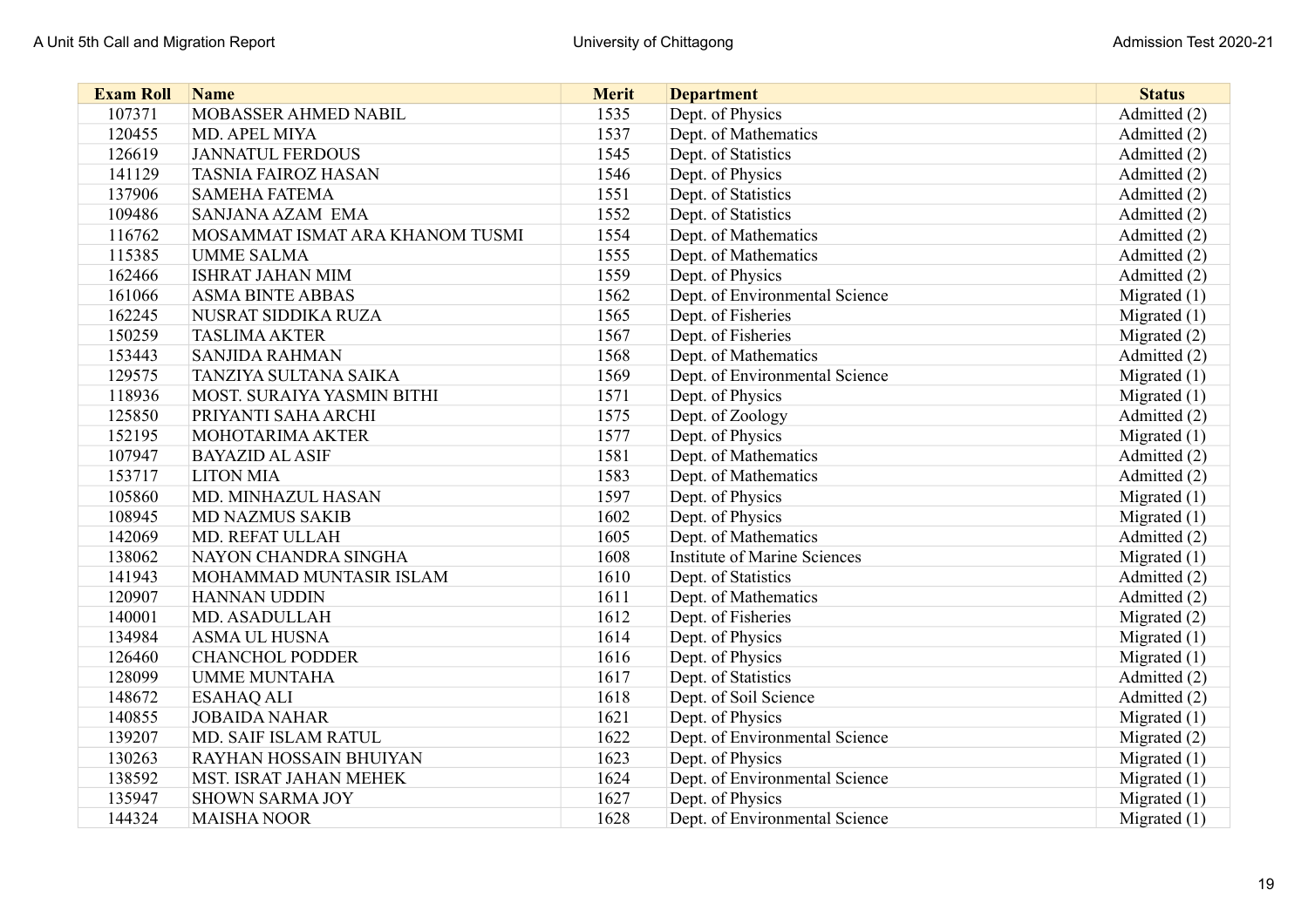| <b>Exam Roll</b> | <b>Name</b>                     | <b>Merit</b> | <b>Department</b>                   | <b>Status</b>  |
|------------------|---------------------------------|--------------|-------------------------------------|----------------|
| 107371           | MOBASSER AHMED NABIL            | 1535         | Dept. of Physics                    | Admitted (2)   |
| 120455           | MD. APEL MIYA                   | 1537         | Dept. of Mathematics                | Admitted (2)   |
| 126619           | <b>JANNATUL FERDOUS</b>         | 1545         | Dept. of Statistics                 | Admitted (2)   |
| 141129           | <b>TASNIA FAIROZ HASAN</b>      | 1546         | Dept. of Physics                    | Admitted (2)   |
| 137906           | <b>SAMEHA FATEMA</b>            | 1551         | Dept. of Statistics                 | Admitted (2)   |
| 109486           | <b>SANJANA AZAM EMA</b>         | 1552         | Dept. of Statistics                 | Admitted (2)   |
| 116762           | MOSAMMAT ISMAT ARA KHANOM TUSMI | 1554         | Dept. of Mathematics                | Admitted (2)   |
| 115385           | <b>UMME SALMA</b>               | 1555         | Dept. of Mathematics                | Admitted (2)   |
| 162466           | <b>ISHRAT JAHAN MIM</b>         | 1559         | Dept. of Physics                    | Admitted (2)   |
| 161066           | <b>ASMA BINTE ABBAS</b>         | 1562         | Dept. of Environmental Science      | Migrated $(1)$ |
| 162245           | NUSRAT SIDDIKA RUZA             | 1565         | Dept. of Fisheries                  | Migrated (1)   |
| 150259           | <b>TASLIMA AKTER</b>            | 1567         | Dept. of Fisheries                  | Migrated (2)   |
| 153443           | <b>SANJIDA RAHMAN</b>           | 1568         | Dept. of Mathematics                | Admitted (2)   |
| 129575           | TANZIYA SULTANA SAIKA           | 1569         | Dept. of Environmental Science      | Migrated $(1)$ |
| 118936           | MOST. SURAIYA YASMIN BITHI      | 1571         | Dept. of Physics                    | Migrated $(1)$ |
| 125850           | PRIYANTI SAHA ARCHI             | 1575         | Dept. of Zoology                    | Admitted (2)   |
| 152195           | MOHOTARIMA AKTER                | 1577         | Dept. of Physics                    | Migrated $(1)$ |
| 107947           | <b>BAYAZID AL ASIF</b>          | 1581         | Dept. of Mathematics                | Admitted (2)   |
| 153717           | <b>LITON MIA</b>                | 1583         | Dept. of Mathematics                | Admitted (2)   |
| 105860           | MD. MINHAZUL HASAN              | 1597         | Dept. of Physics                    | Migrated $(1)$ |
| 108945           | <b>MD NAZMUS SAKIB</b>          | 1602         | Dept. of Physics                    | Migrated $(1)$ |
| 142069           | MD. REFAT ULLAH                 | 1605         | Dept. of Mathematics                | Admitted (2)   |
| 138062           | NAYON CHANDRA SINGHA            | 1608         | <b>Institute of Marine Sciences</b> | Migrated $(1)$ |
| 141943           | MOHAMMAD MUNTASIR ISLAM         | 1610         | Dept. of Statistics                 | Admitted (2)   |
| 120907           | <b>HANNAN UDDIN</b>             | 1611         | Dept. of Mathematics                | Admitted (2)   |
| 140001           | <b>MD. ASADULLAH</b>            | 1612         | Dept. of Fisheries                  | Migrated (2)   |
| 134984           | <b>ASMA UL HUSNA</b>            | 1614         | Dept. of Physics                    | Migrated $(1)$ |
| 126460           | <b>CHANCHOL PODDER</b>          | 1616         | Dept. of Physics                    | Migrated $(1)$ |
| 128099           | <b>UMME MUNTAHA</b>             | 1617         | Dept. of Statistics                 | Admitted (2)   |
| 148672           | <b>ESAHAQ ALI</b>               | 1618         | Dept. of Soil Science               | Admitted (2)   |
| 140855           | <b>JOBAIDA NAHAR</b>            | 1621         | Dept. of Physics                    | Migrated $(1)$ |
| 139207           | MD. SAIF ISLAM RATUL            | 1622         | Dept. of Environmental Science      | Migrated (2)   |
| 130263           | <b>RAYHAN HOSSAIN BHUIYAN</b>   | 1623         | Dept. of Physics                    | Migrated $(1)$ |
| 138592           | MST. ISRAT JAHAN MEHEK          | 1624         | Dept. of Environmental Science      | Migrated $(1)$ |
| 135947           | <b>SHOWN SARMA JOY</b>          | 1627         | Dept. of Physics                    | Migrated (1)   |
| 144324           | <b>MAISHA NOOR</b>              | 1628         | Dept. of Environmental Science      | Migrated $(1)$ |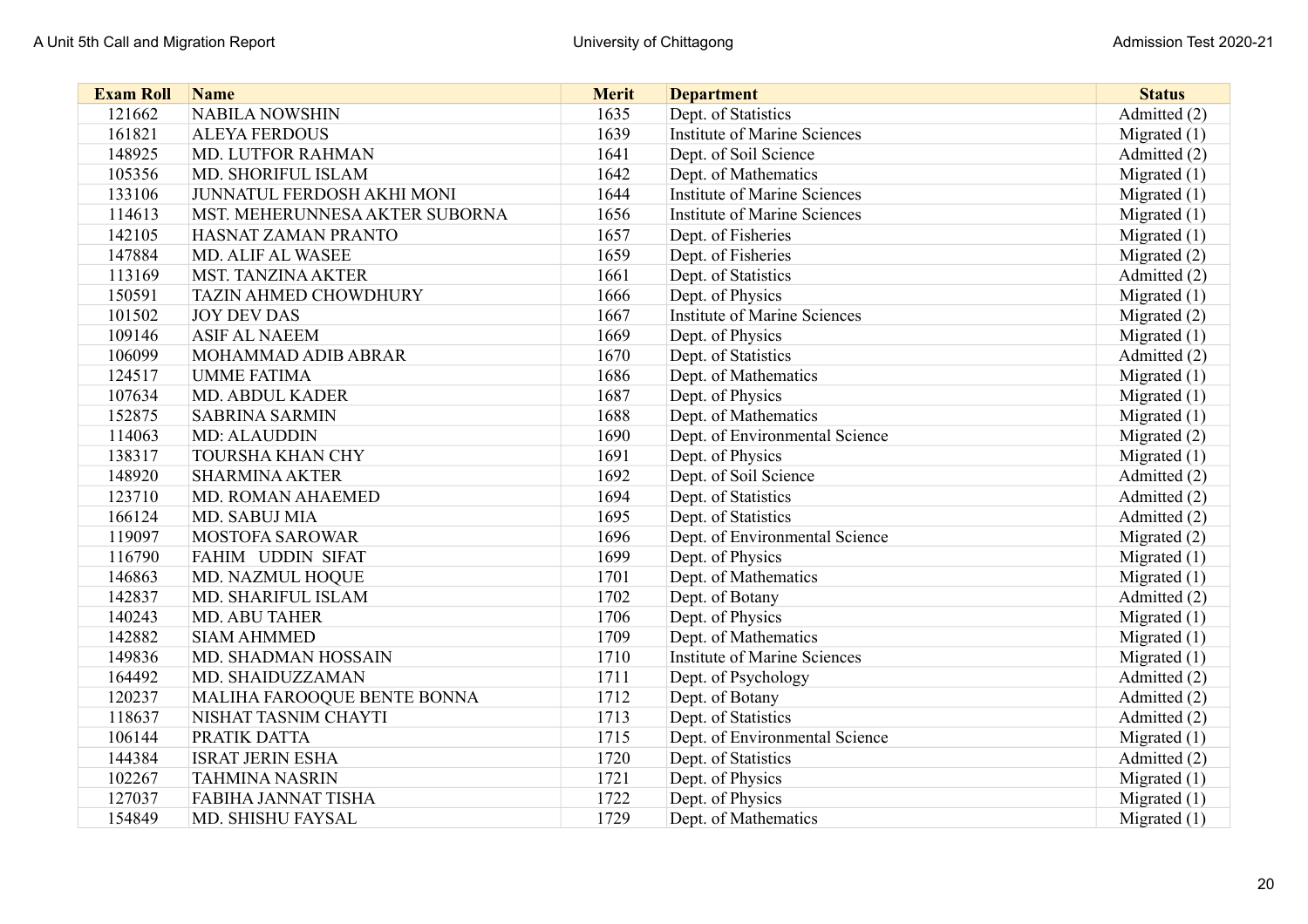| <b>Exam Roll</b> | <b>Name</b>                    | <b>Merit</b> | <b>Department</b>                   | <b>Status</b>  |
|------------------|--------------------------------|--------------|-------------------------------------|----------------|
| 121662           | <b>NABILA NOWSHIN</b>          | 1635         | Dept. of Statistics                 | Admitted (2)   |
| 161821           | <b>ALEYA FERDOUS</b>           | 1639         | <b>Institute of Marine Sciences</b> | Migrated $(1)$ |
| 148925           | MD. LUTFOR RAHMAN              | 1641         | Dept. of Soil Science               | Admitted (2)   |
| 105356           | MD. SHORIFUL ISLAM             | 1642         | Dept. of Mathematics                | Migrated $(1)$ |
| 133106           | JUNNATUL FERDOSH AKHI MONI     | 1644         | <b>Institute of Marine Sciences</b> | Migrated $(1)$ |
| 114613           | MST. MEHERUNNESA AKTER SUBORNA | 1656         | <b>Institute of Marine Sciences</b> | Migrated $(1)$ |
| 142105           | HASNAT ZAMAN PRANTO            | 1657         | Dept. of Fisheries                  | Migrated $(1)$ |
| 147884           | <b>MD. ALIF AL WASEE</b>       | 1659         | Dept. of Fisheries                  | Migrated (2)   |
| 113169           | <b>MST. TANZINA AKTER</b>      | 1661         | Dept. of Statistics                 | Admitted (2)   |
| 150591           | <b>TAZIN AHMED CHOWDHURY</b>   | 1666         | Dept. of Physics                    | Migrated $(1)$ |
| 101502           | <b>JOY DEV DAS</b>             | 1667         | <b>Institute of Marine Sciences</b> | Migrated (2)   |
| 109146           | <b>ASIF AL NAEEM</b>           | 1669         | Dept. of Physics                    | Migrated $(1)$ |
| 106099           | MOHAMMAD ADIB ABRAR            | 1670         | Dept. of Statistics                 | Admitted (2)   |
| 124517           | <b>UMME FATIMA</b>             | 1686         | Dept. of Mathematics                | Migrated $(1)$ |
| 107634           | <b>MD. ABDUL KADER</b>         | 1687         | Dept. of Physics                    | Migrated (1)   |
| 152875           | <b>SABRINA SARMIN</b>          | 1688         | Dept. of Mathematics                | Migrated $(1)$ |
| 114063           | MD: ALAUDDIN                   | 1690         | Dept. of Environmental Science      | Migrated (2)   |
| 138317           | <b>TOURSHA KHAN CHY</b>        | 1691         | Dept. of Physics                    | Migrated (1)   |
| 148920           | <b>SHARMINA AKTER</b>          | 1692         | Dept. of Soil Science               | Admitted (2)   |
| 123710           | MD. ROMAN AHAEMED              | 1694         | Dept. of Statistics                 | Admitted (2)   |
| 166124           | MD. SABUJ MIA                  | 1695         | Dept. of Statistics                 | Admitted (2)   |
| 119097           | <b>MOSTOFA SAROWAR</b>         | 1696         | Dept. of Environmental Science      | Migrated (2)   |
| 116790           | FAHIM UDDIN SIFAT              | 1699         | Dept. of Physics                    | Migrated $(1)$ |
| 146863           | MD. NAZMUL HOQUE               | 1701         | Dept. of Mathematics                | Migrated (1)   |
| 142837           | MD. SHARIFUL ISLAM             | 1702         | Dept. of Botany                     | Admitted (2)   |
| 140243           | MD. ABU TAHER                  | 1706         | Dept. of Physics                    | Migrated $(1)$ |
| 142882           | <b>SIAM AHMMED</b>             | 1709         | Dept. of Mathematics                | Migrated (1)   |
| 149836           | <b>MD. SHADMAN HOSSAIN</b>     | 1710         | <b>Institute of Marine Sciences</b> | Migrated (1)   |
| 164492           | MD. SHAIDUZZAMAN               | 1711         | Dept. of Psychology                 | Admitted (2)   |
| 120237           | MALIHA FAROOQUE BENTE BONNA    | 1712         | Dept. of Botany                     | Admitted (2)   |
| 118637           | NISHAT TASNIM CHAYTI           | 1713         | Dept. of Statistics                 | Admitted (2)   |
| 106144           | PRATIK DATTA                   | 1715         | Dept. of Environmental Science      | Migrated $(1)$ |
| 144384           | <b>ISRAT JERIN ESHA</b>        | 1720         | Dept. of Statistics                 | Admitted (2)   |
| 102267           | <b>TAHMINA NASRIN</b>          | 1721         | Dept. of Physics                    | Migrated $(1)$ |
| 127037           | <b>FABIHA JANNAT TISHA</b>     | 1722         | Dept. of Physics                    | Migrated $(1)$ |
| 154849           | MD. SHISHU FAYSAL              | 1729         | Dept. of Mathematics                | Migrated $(1)$ |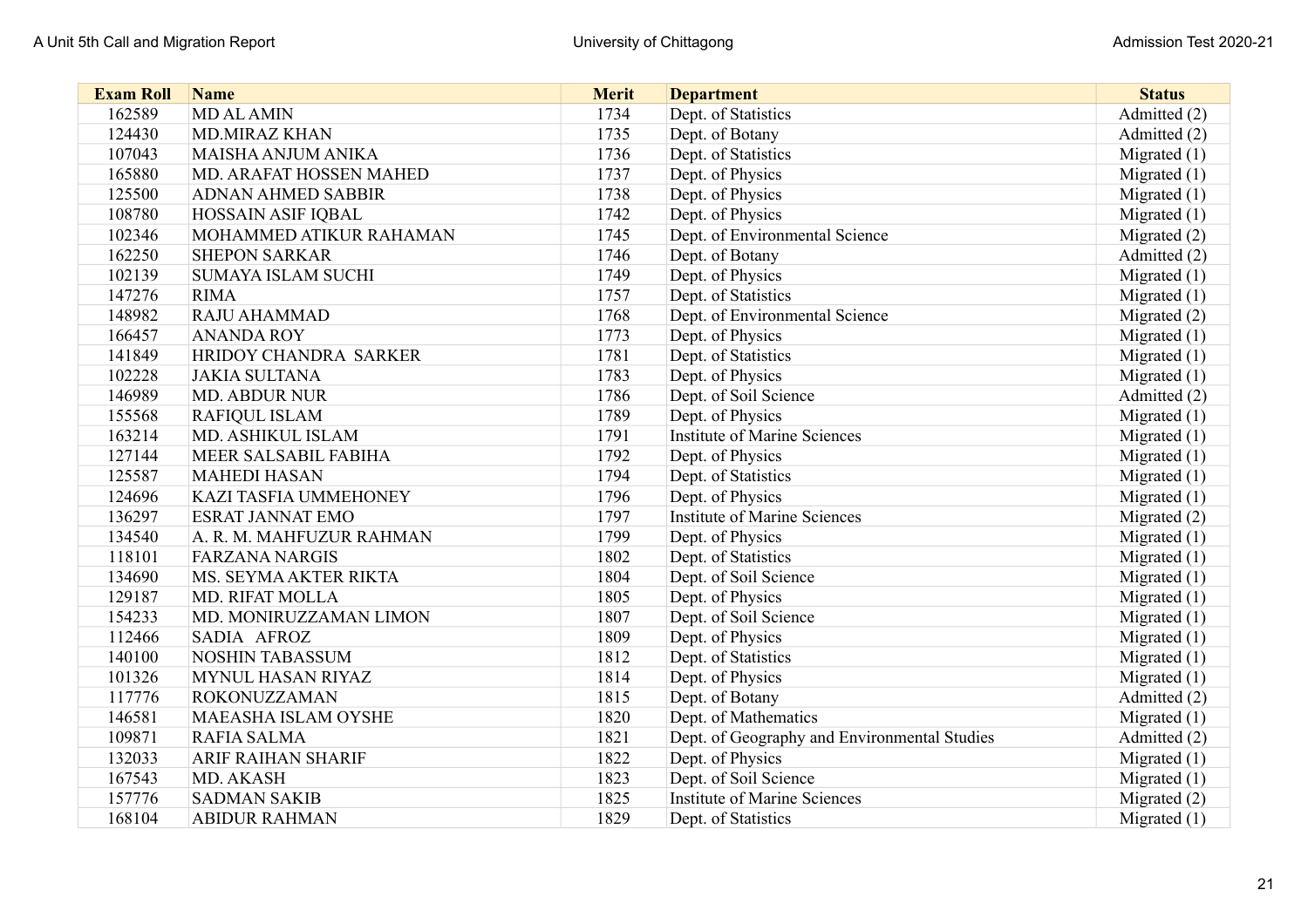| <b>Exam Roll</b> | <b>Name</b>                  | <b>Merit</b> | <b>Department</b>                            | <b>Status</b>  |
|------------------|------------------------------|--------------|----------------------------------------------|----------------|
| 162589           | <b>MD AL AMIN</b>            | 1734         | Dept. of Statistics                          | Admitted (2)   |
| 124430           | <b>MD.MIRAZ KHAN</b>         | 1735         | Dept. of Botany                              | Admitted (2)   |
| 107043           | MAISHA ANJUM ANIKA           | 1736         | Dept. of Statistics                          | Migrated $(1)$ |
| 165880           | MD. ARAFAT HOSSEN MAHED      | 1737         | Dept. of Physics                             | Migrated $(1)$ |
| 125500           | <b>ADNAN AHMED SABBIR</b>    | 1738         | Dept. of Physics                             | Migrated $(1)$ |
| 108780           | <b>HOSSAIN ASIF IQBAL</b>    | 1742         | Dept. of Physics                             | Migrated $(1)$ |
| 102346           | MOHAMMED ATIKUR RAHAMAN      | 1745         | Dept. of Environmental Science               | Migrated $(2)$ |
| 162250           | <b>SHEPON SARKAR</b>         | 1746         | Dept. of Botany                              | Admitted (2)   |
| 102139           | <b>SUMAYA ISLAM SUCHI</b>    | 1749         | Dept. of Physics                             | Migrated $(1)$ |
| 147276           | <b>RIMA</b>                  | 1757         | Dept. of Statistics                          | Migrated $(1)$ |
| 148982           | RAJU AHAMMAD                 | 1768         | Dept. of Environmental Science               | Migrated (2)   |
| 166457           | <b>ANANDA ROY</b>            | 1773         | Dept. of Physics                             | Migrated $(1)$ |
| 141849           | HRIDOY CHANDRA SARKER        | 1781         | Dept. of Statistics                          | Migrated (1)   |
| 102228           | <b>JAKIA SULTANA</b>         | 1783         | Dept. of Physics                             | Migrated (1)   |
| 146989           | <b>MD. ABDUR NUR</b>         | 1786         | Dept. of Soil Science                        | Admitted (2)   |
| 155568           | <b>RAFIQUL ISLAM</b>         | 1789         | Dept. of Physics                             | Migrated $(1)$ |
| 163214           | MD. ASHIKUL ISLAM            | 1791         | <b>Institute of Marine Sciences</b>          | Migrated $(1)$ |
| 127144           | MEER SALSABIL FABIHA         | 1792         | Dept. of Physics                             | Migrated (1)   |
| 125587           | <b>MAHEDI HASAN</b>          | 1794         | Dept. of Statistics                          | Migrated $(1)$ |
| 124696           | <b>KAZI TASFIA UMMEHONEY</b> | 1796         | Dept. of Physics                             | Migrated $(1)$ |
| 136297           | <b>ESRAT JANNAT EMO</b>      | 1797         | <b>Institute of Marine Sciences</b>          | Migrated (2)   |
| 134540           | A. R. M. MAHFUZUR RAHMAN     | 1799         | Dept. of Physics                             | Migrated $(1)$ |
| 118101           | <b>FARZANA NARGIS</b>        | 1802         | Dept. of Statistics                          | Migrated $(1)$ |
| 134690           | MS. SEYMA AKTER RIKTA        | 1804         | Dept. of Soil Science                        | Migrated $(1)$ |
| 129187           | <b>MD. RIFAT MOLLA</b>       | 1805         | Dept. of Physics                             | Migrated $(1)$ |
| 154233           | MD. MONIRUZZAMAN LIMON       | 1807         | Dept. of Soil Science                        | Migrated $(1)$ |
| 112466           | SADIA AFROZ                  | 1809         | Dept. of Physics                             | Migrated $(1)$ |
| 140100           | <b>NOSHIN TABASSUM</b>       | 1812         | Dept. of Statistics                          | Migrated $(1)$ |
| 101326           | MYNUL HASAN RIYAZ            | 1814         | Dept. of Physics                             | Migrated $(1)$ |
| 117776           | <b>ROKONUZZAMAN</b>          | 1815         | Dept. of Botany                              | Admitted (2)   |
| 146581           | <b>MAEASHA ISLAM OYSHE</b>   | 1820         | Dept. of Mathematics                         | Migrated $(1)$ |
| 109871           | RAFIA SALMA                  | 1821         | Dept. of Geography and Environmental Studies | Admitted (2)   |
| 132033           | <b>ARIF RAIHAN SHARIF</b>    | 1822         | Dept. of Physics                             | Migrated $(1)$ |
| 167543           | MD. AKASH                    | 1823         | Dept. of Soil Science                        | Migrated (1)   |
| 157776           | <b>SADMAN SAKIB</b>          | 1825         | <b>Institute of Marine Sciences</b>          | Migrated (2)   |
| 168104           | <b>ABIDUR RAHMAN</b>         | 1829         | Dept. of Statistics                          | Migrated $(1)$ |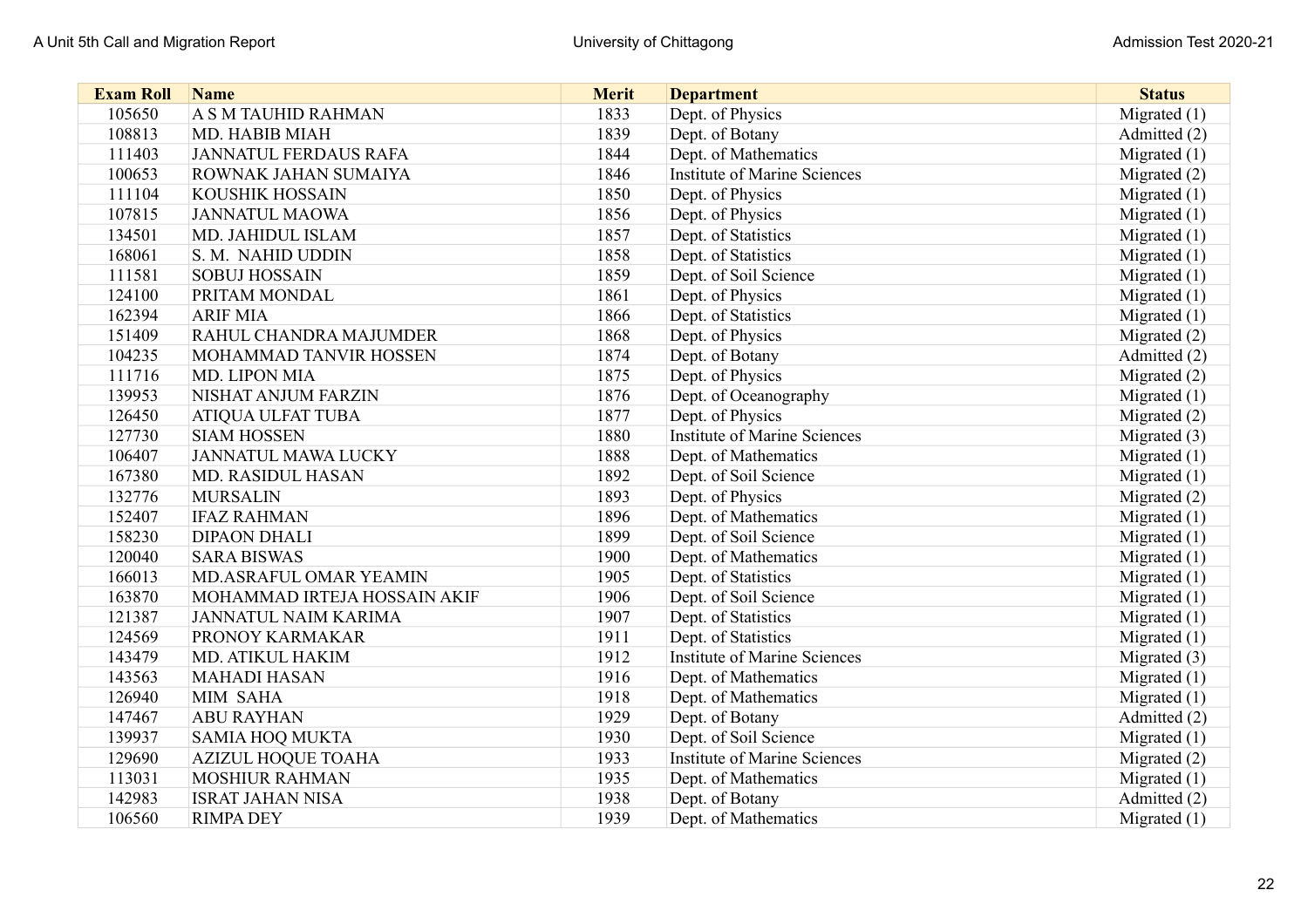| <b>Exam Roll</b> | <b>Name</b>                  | <b>Merit</b> | <b>Department</b>                   | <b>Status</b>  |
|------------------|------------------------------|--------------|-------------------------------------|----------------|
| 105650           | <b>A S M TAUHID RAHMAN</b>   | 1833         | Dept. of Physics                    | Migrated $(1)$ |
| 108813           | MD. HABIB MIAH               | 1839         | Dept. of Botany                     | Admitted (2)   |
| 111403           | <b>JANNATUL FERDAUS RAFA</b> | 1844         | Dept. of Mathematics                | Migrated $(1)$ |
| 100653           | ROWNAK JAHAN SUMAIYA         | 1846         | <b>Institute of Marine Sciences</b> | Migrated (2)   |
| 111104           | KOUSHIK HOSSAIN              | 1850         | Dept. of Physics                    | Migrated (1)   |
| 107815           | <b>JANNATUL MAOWA</b>        | 1856         | Dept. of Physics                    | Migrated (1)   |
| 134501           | MD. JAHIDUL ISLAM            | 1857         | Dept. of Statistics                 | Migrated (1)   |
| 168061           | S. M. NAHID UDDIN            | 1858         | Dept. of Statistics                 | Migrated $(1)$ |
| 111581           | <b>SOBUJ HOSSAIN</b>         | 1859         | Dept. of Soil Science               | Migrated (1)   |
| 124100           | PRITAM MONDAL                | 1861         | Dept. of Physics                    | Migrated $(1)$ |
| 162394           | <b>ARIF MIA</b>              | 1866         | Dept. of Statistics                 | Migrated $(1)$ |
| 151409           | RAHUL CHANDRA MAJUMDER       | 1868         | Dept. of Physics                    | Migrated (2)   |
| 104235           | MOHAMMAD TANVIR HOSSEN       | 1874         | Dept. of Botany                     | Admitted (2)   |
| 111716           | MD. LIPON MIA                | 1875         | Dept. of Physics                    | Migrated (2)   |
| 139953           | NISHAT ANJUM FARZIN          | 1876         | Dept. of Oceanography               | Migrated $(1)$ |
| 126450           | <b>ATIQUA ULFAT TUBA</b>     | 1877         | Dept. of Physics                    | Migrated (2)   |
| 127730           | <b>SIAM HOSSEN</b>           | 1880         | <b>Institute of Marine Sciences</b> | Migrated (3)   |
| 106407           | <b>JANNATUL MAWA LUCKY</b>   | 1888         | Dept. of Mathematics                | Migrated (1)   |
| 167380           | <b>MD. RASIDUL HASAN</b>     | 1892         | Dept. of Soil Science               | Migrated $(1)$ |
| 132776           | <b>MURSALIN</b>              | 1893         | Dept. of Physics                    | Migrated (2)   |
| 152407           | <b>IFAZ RAHMAN</b>           | 1896         | Dept. of Mathematics                | Migrated (1)   |
| 158230           | <b>DIPAON DHALI</b>          | 1899         | Dept. of Soil Science               | Migrated $(1)$ |
| 120040           | <b>SARA BISWAS</b>           | 1900         | Dept. of Mathematics                | Migrated $(1)$ |
| 166013           | MD.ASRAFUL OMAR YEAMIN       | 1905         | Dept. of Statistics                 | Migrated $(1)$ |
| 163870           | MOHAMMAD IRTEJA HOSSAIN AKIF | 1906         | Dept. of Soil Science               | Migrated $(1)$ |
| 121387           | <b>JANNATUL NAIM KARIMA</b>  | 1907         | Dept. of Statistics                 | Migrated $(1)$ |
| 124569           | PRONOY KARMAKAR              | 1911         | Dept. of Statistics                 | Migrated $(1)$ |
| 143479           | MD. ATIKUL HAKIM             | 1912         | <b>Institute of Marine Sciences</b> | Migrated (3)   |
| 143563           | <b>MAHADI HASAN</b>          | 1916         | Dept. of Mathematics                | Migrated $(1)$ |
| 126940           | MIM SAHA                     | 1918         | Dept. of Mathematics                | Migrated $(1)$ |
| 147467           | <b>ABU RAYHAN</b>            | 1929         | Dept. of Botany                     | Admitted (2)   |
| 139937           | <b>SAMIA HOQ MUKTA</b>       | 1930         | Dept. of Soil Science               | Migrated $(1)$ |
| 129690           | <b>AZIZUL HOQUE TOAHA</b>    | 1933         | <b>Institute of Marine Sciences</b> | Migrated (2)   |
| 113031           | <b>MOSHIUR RAHMAN</b>        | 1935         | Dept. of Mathematics                | Migrated $(1)$ |
| 142983           | <b>ISRAT JAHAN NISA</b>      | 1938         | Dept. of Botany                     | Admitted (2)   |
| 106560           | <b>RIMPA DEY</b>             | 1939         | Dept. of Mathematics                | Migrated $(1)$ |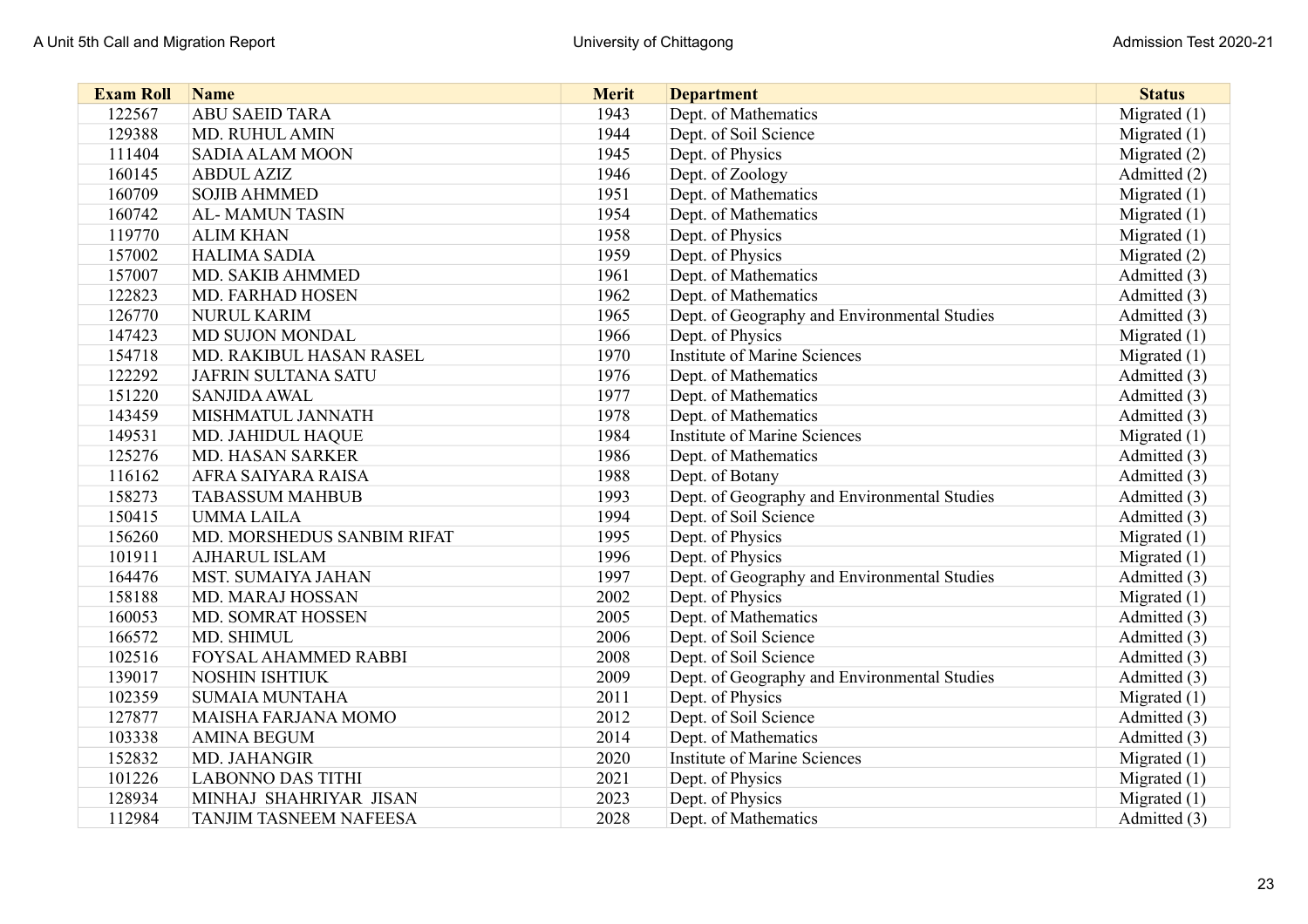| <b>Exam Roll</b> | <b>Name</b>                   | <b>Merit</b> | <b>Department</b>                            | <b>Status</b>  |
|------------------|-------------------------------|--------------|----------------------------------------------|----------------|
| 122567           | <b>ABU SAEID TARA</b>         | 1943         | Dept. of Mathematics                         | Migrated (1)   |
| 129388           | <b>MD. RUHUL AMIN</b>         | 1944         | Dept. of Soil Science                        | Migrated $(1)$ |
| 111404           | <b>SADIA ALAM MOON</b>        | 1945         | Dept. of Physics                             | Migrated $(2)$ |
| 160145           | <b>ABDUL AZIZ</b>             | 1946         | Dept. of Zoology                             | Admitted (2)   |
| 160709           | <b>SOJIB AHMMED</b>           | 1951         | Dept. of Mathematics                         | Migrated $(1)$ |
| 160742           | <b>AL-MAMUN TASIN</b>         | 1954         | Dept. of Mathematics                         | Migrated $(1)$ |
| 119770           | <b>ALIM KHAN</b>              | 1958         | Dept. of Physics                             | Migrated $(1)$ |
| 157002           | <b>HALIMA SADIA</b>           | 1959         | Dept. of Physics                             | Migrated $(2)$ |
| 157007           | MD. SAKIB AHMMED              | 1961         | Dept. of Mathematics                         | Admitted (3)   |
| 122823           | MD. FARHAD HOSEN              | 1962         | Dept. of Mathematics                         | Admitted (3)   |
| 126770           | <b>NURUL KARIM</b>            | 1965         | Dept. of Geography and Environmental Studies | Admitted (3)   |
| 147423           | MD SUJON MONDAL               | 1966         | Dept. of Physics                             | Migrated $(1)$ |
| 154718           | MD. RAKIBUL HASAN RASEL       | 1970         | <b>Institute of Marine Sciences</b>          | Migrated $(1)$ |
| 122292           | JAFRIN SULTANA SATU           | 1976         | Dept. of Mathematics                         | Admitted (3)   |
| 151220           | <b>SANJIDA AWAL</b>           | 1977         | Dept. of Mathematics                         | Admitted (3)   |
| 143459           | MISHMATUL JANNATH             | 1978         | Dept. of Mathematics                         | Admitted (3)   |
| 149531           | MD. JAHIDUL HAQUE             | 1984         | <b>Institute of Marine Sciences</b>          | Migrated $(1)$ |
| 125276           | <b>MD. HASAN SARKER</b>       | 1986         | Dept. of Mathematics                         | Admitted (3)   |
| 116162           | AFRA SAIYARA RAISA            | 1988         | Dept. of Botany                              | Admitted (3)   |
| 158273           | <b>TABASSUM MAHBUB</b>        | 1993         | Dept. of Geography and Environmental Studies | Admitted (3)   |
| 150415           | <b>UMMALAILA</b>              | 1994         | Dept. of Soil Science                        | Admitted (3)   |
| 156260           | MD. MORSHEDUS SANBIM RIFAT    | 1995         | Dept. of Physics                             | Migrated $(1)$ |
| 101911           | <b>AJHARUL ISLAM</b>          | 1996         | Dept. of Physics                             | Migrated $(1)$ |
| 164476           | MST. SUMAIYA JAHAN            | 1997         | Dept. of Geography and Environmental Studies | Admitted (3)   |
| 158188           | MD. MARAJ HOSSAN              | 2002         | Dept. of Physics                             | Migrated (1)   |
| 160053           | MD. SOMRAT HOSSEN             | 2005         | Dept. of Mathematics                         | Admitted (3)   |
| 166572           | MD. SHIMUL                    | 2006         | Dept. of Soil Science                        | Admitted (3)   |
| 102516           | FOYSAL AHAMMED RABBI          | 2008         | Dept. of Soil Science                        | Admitted (3)   |
| 139017           | <b>NOSHIN ISHTIUK</b>         | 2009         | Dept. of Geography and Environmental Studies | Admitted (3)   |
| 102359           | <b>SUMAIA MUNTAHA</b>         | 2011         | Dept. of Physics                             | Migrated $(1)$ |
| 127877           | MAISHA FARJANA MOMO           | 2012         | Dept. of Soil Science                        | Admitted (3)   |
| 103338           | <b>AMINA BEGUM</b>            | 2014         | Dept. of Mathematics                         | Admitted (3)   |
| 152832           | MD. JAHANGIR                  | 2020         | <b>Institute of Marine Sciences</b>          | Migrated $(1)$ |
| 101226           | <b>LABONNO DAS TITHI</b>      | 2021         | Dept. of Physics                             | Migrated $(1)$ |
| 128934           | MINHAJ SHAHRIYAR JISAN        | 2023         | Dept. of Physics                             | Migrated $(1)$ |
| 112984           | <b>TANJIM TASNEEM NAFEESA</b> | 2028         | Dept. of Mathematics                         | Admitted (3)   |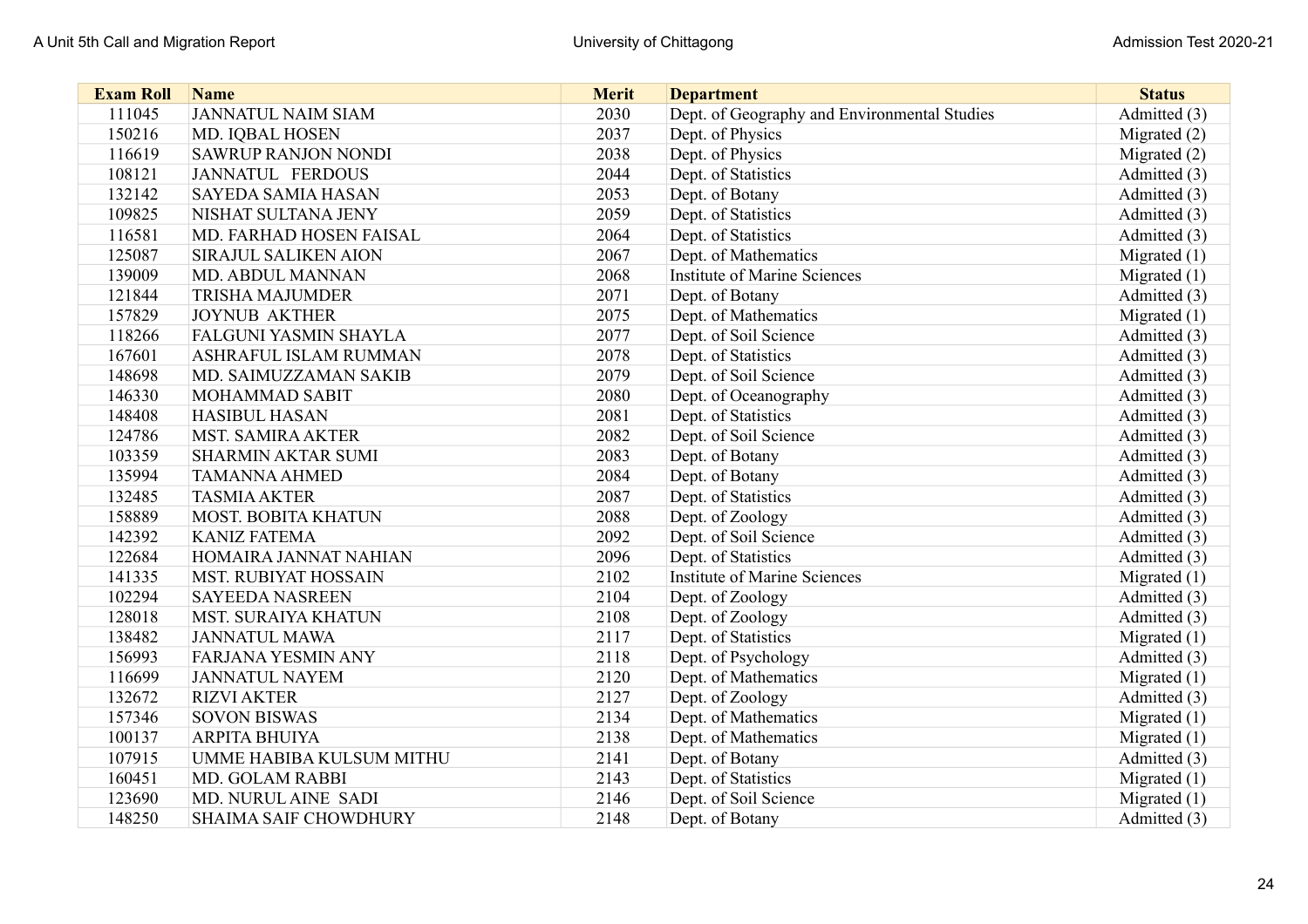| <b>Exam Roll</b> | <b>Name</b>                  | <b>Merit</b> | <b>Department</b>                            | <b>Status</b>  |
|------------------|------------------------------|--------------|----------------------------------------------|----------------|
| 111045           | <b>JANNATUL NAIM SIAM</b>    | 2030         | Dept. of Geography and Environmental Studies | Admitted (3)   |
| 150216           | MD. IQBAL HOSEN              | 2037         | Dept. of Physics                             | Migrated $(2)$ |
| 116619           | <b>SAWRUP RANJON NONDI</b>   | 2038         | Dept. of Physics                             | Migrated (2)   |
| 108121           | JANNATUL FERDOUS             | 2044         | Dept. of Statistics                          | Admitted (3)   |
| 132142           | <b>SAYEDA SAMIA HASAN</b>    | 2053         | Dept. of Botany                              | Admitted (3)   |
| 109825           | NISHAT SULTANA JENY          | 2059         | Dept. of Statistics                          | Admitted (3)   |
| 116581           | MD. FARHAD HOSEN FAISAL      | 2064         | Dept. of Statistics                          | Admitted (3)   |
| 125087           | <b>SIRAJUL SALIKEN AION</b>  | 2067         | Dept. of Mathematics                         | Migrated $(1)$ |
| 139009           | MD. ABDUL MANNAN             | 2068         | <b>Institute of Marine Sciences</b>          | Migrated $(1)$ |
| 121844           | <b>TRISHA MAJUMDER</b>       | 2071         | Dept. of Botany                              | Admitted (3)   |
| 157829           | <b>JOYNUB AKTHER</b>         | 2075         | Dept. of Mathematics                         | Migrated $(1)$ |
| 118266           | <b>FALGUNI YASMIN SHAYLA</b> | 2077         | Dept. of Soil Science                        | Admitted (3)   |
| 167601           | <b>ASHRAFUL ISLAM RUMMAN</b> | 2078         | Dept. of Statistics                          | Admitted (3)   |
| 148698           | MD. SAIMUZZAMAN SAKIB        | 2079         | Dept. of Soil Science                        | Admitted (3)   |
| 146330           | MOHAMMAD SABIT               | 2080         | Dept. of Oceanography                        | Admitted (3)   |
| 148408           | <b>HASIBUL HASAN</b>         | 2081         | Dept. of Statistics                          | Admitted (3)   |
| 124786           | <b>MST. SAMIRA AKTER</b>     | 2082         | Dept. of Soil Science                        | Admitted (3)   |
| 103359           | <b>SHARMIN AKTAR SUMI</b>    | 2083         | Dept. of Botany                              | Admitted (3)   |
| 135994           | <b>TAMANNA AHMED</b>         | 2084         | Dept. of Botany                              | Admitted (3)   |
| 132485           | <b>TASMIA AKTER</b>          | 2087         | Dept. of Statistics                          | Admitted (3)   |
| 158889           | <b>MOST. BOBITA KHATUN</b>   | 2088         | Dept. of Zoology                             | Admitted (3)   |
| 142392           | <b>KANIZ FATEMA</b>          | 2092         | Dept. of Soil Science                        | Admitted (3)   |
| 122684           | HOMAIRA JANNAT NAHIAN        | 2096         | Dept. of Statistics                          | Admitted (3)   |
| 141335           | <b>MST. RUBIYAT HOSSAIN</b>  | 2102         | <b>Institute of Marine Sciences</b>          | Migrated $(1)$ |
| 102294           | <b>SAYEEDA NASREEN</b>       | 2104         | Dept. of Zoology                             | Admitted (3)   |
| 128018           | <b>MST. SURAIYA KHATUN</b>   | 2108         | Dept. of Zoology                             | Admitted (3)   |
| 138482           | <b>JANNATUL MAWA</b>         | 2117         | Dept. of Statistics                          | Migrated $(1)$ |
| 156993           | <b>FARJANA YESMIN ANY</b>    | 2118         | Dept. of Psychology                          | Admitted (3)   |
| 116699           | <b>JANNATUL NAYEM</b>        | 2120         | Dept. of Mathematics                         | Migrated $(1)$ |
| 132672           | <b>RIZVI AKTER</b>           | 2127         | Dept. of Zoology                             | Admitted (3)   |
| 157346           | <b>SOVON BISWAS</b>          | 2134         | Dept. of Mathematics                         | Migrated $(1)$ |
| 100137           | <b>ARPITA BHUIYA</b>         | 2138         | Dept. of Mathematics                         | Migrated (1)   |
| 107915           | UMME HABIBA KULSUM MITHU     | 2141         | Dept. of Botany                              | Admitted (3)   |
| 160451           | <b>MD. GOLAM RABBI</b>       | 2143         | Dept. of Statistics                          | Migrated $(1)$ |
| 123690           | MD. NURUL AINE SADI          | 2146         | Dept. of Soil Science                        | Migrated $(1)$ |
| 148250           | <b>SHAIMA SAIF CHOWDHURY</b> | 2148         | Dept. of Botany                              | Admitted (3)   |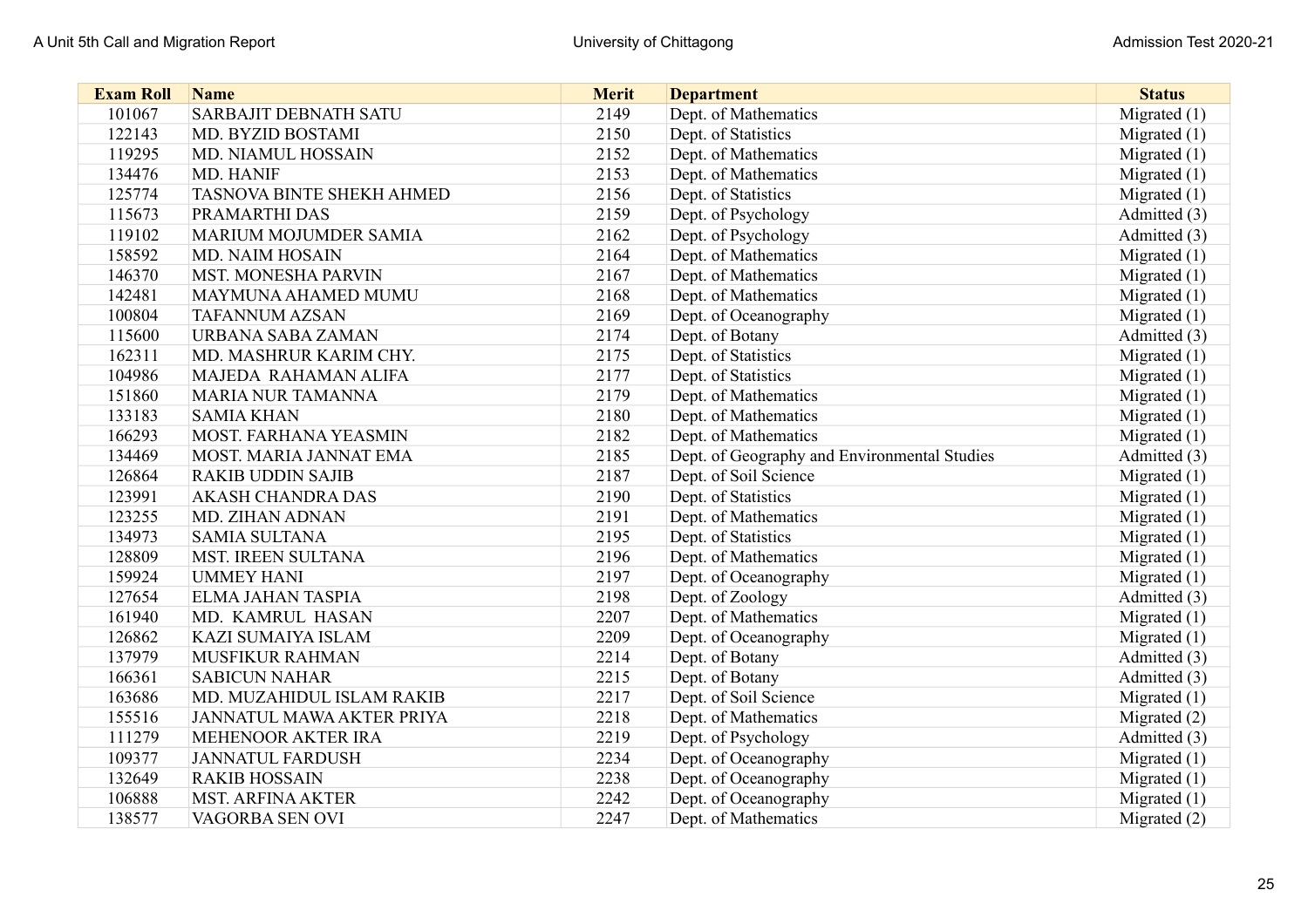| <b>Exam Roll</b> | <b>Name</b>                      | <b>Merit</b> | <b>Department</b>                            | <b>Status</b>  |
|------------------|----------------------------------|--------------|----------------------------------------------|----------------|
| 101067           | <b>SARBAJIT DEBNATH SATU</b>     | 2149         | Dept. of Mathematics                         | Migrated $(1)$ |
| 122143           | MD. BYZID BOSTAMI                | 2150         | Dept. of Statistics                          | Migrated $(1)$ |
| 119295           | MD. NIAMUL HOSSAIN               | 2152         | Dept. of Mathematics                         | Migrated $(1)$ |
| 134476           | MD. HANIF                        | 2153         | Dept. of Mathematics                         | Migrated (1)   |
| 125774           | <b>TASNOVA BINTE SHEKH AHMED</b> | 2156         | Dept. of Statistics                          | Migrated $(1)$ |
| 115673           | PRAMARTHI DAS                    | 2159         | Dept. of Psychology                          | Admitted (3)   |
| 119102           | MARIUM MOJUMDER SAMIA            | 2162         | Dept. of Psychology                          | Admitted (3)   |
| 158592           | MD. NAIM HOSAIN                  | 2164         | Dept. of Mathematics                         | Migrated $(1)$ |
| 146370           | <b>MST. MONESHA PARVIN</b>       | 2167         | Dept. of Mathematics                         | Migrated $(1)$ |
| 142481           | MAYMUNA AHAMED MUMU              | 2168         | Dept. of Mathematics                         | Migrated $(1)$ |
| 100804           | <b>TAFANNUM AZSAN</b>            | 2169         | Dept. of Oceanography                        | Migrated $(1)$ |
| 115600           | URBANA SABA ZAMAN                | 2174         | Dept. of Botany                              | Admitted (3)   |
| 162311           | MD. MASHRUR KARIM CHY.           | 2175         | Dept. of Statistics                          | Migrated $(1)$ |
| 104986           | MAJEDA RAHAMAN ALIFA             | 2177         | Dept. of Statistics                          | Migrated $(1)$ |
| 151860           | <b>MARIA NUR TAMANNA</b>         | 2179         | Dept. of Mathematics                         | Migrated $(1)$ |
| 133183           | <b>SAMIA KHAN</b>                | 2180         | Dept. of Mathematics                         | Migrated $(1)$ |
| 166293           | MOST. FARHANA YEASMIN            | 2182         | Dept. of Mathematics                         | Migrated $(1)$ |
| 134469           | MOST. MARIA JANNAT EMA           | 2185         | Dept. of Geography and Environmental Studies | Admitted (3)   |
| 126864           | <b>RAKIB UDDIN SAJIB</b>         | 2187         | Dept. of Soil Science                        | Migrated $(1)$ |
| 123991           | <b>AKASH CHANDRA DAS</b>         | 2190         | Dept. of Statistics                          | Migrated $(1)$ |
| 123255           | MD. ZIHAN ADNAN                  | 2191         | Dept. of Mathematics                         | Migrated $(1)$ |
| 134973           | <b>SAMIA SULTANA</b>             | 2195         | Dept. of Statistics                          | Migrated $(1)$ |
| 128809           | <b>MST. IREEN SULTANA</b>        | 2196         | Dept. of Mathematics                         | Migrated $(1)$ |
| 159924           | <b>UMMEY HANI</b>                | 2197         | Dept. of Oceanography                        | Migrated $(1)$ |
| 127654           | ELMA JAHAN TASPIA                | 2198         | Dept. of Zoology                             | Admitted (3)   |
| 161940           | MD. KAMRUL HASAN                 | 2207         | Dept. of Mathematics                         | Migrated $(1)$ |
| 126862           | KAZI SUMAIYA ISLAM               | 2209         | Dept. of Oceanography                        | Migrated $(1)$ |
| 137979           | MUSFIKUR RAHMAN                  | 2214         | Dept. of Botany                              | Admitted (3)   |
| 166361           | <b>SABICUN NAHAR</b>             | 2215         | Dept. of Botany                              | Admitted (3)   |
| 163686           | MD. MUZAHIDUL ISLAM RAKIB        | 2217         | Dept. of Soil Science                        | Migrated $(1)$ |
| 155516           | JANNATUL MAWA AKTER PRIYA        | 2218         | Dept. of Mathematics                         | Migrated $(2)$ |
| 111279           | MEHENOOR AKTER IRA               | 2219         | Dept. of Psychology                          | Admitted (3)   |
| 109377           | <b>JANNATUL FARDUSH</b>          | 2234         | Dept. of Oceanography                        | Migrated $(1)$ |
| 132649           | <b>RAKIB HOSSAIN</b>             | 2238         | Dept. of Oceanography                        | Migrated $(1)$ |
| 106888           | <b>MST. ARFINA AKTER</b>         | 2242         | Dept. of Oceanography                        | Migrated (1)   |
| 138577           | VAGORBA SEN OVI                  | 2247         | Dept. of Mathematics                         | Migrated $(2)$ |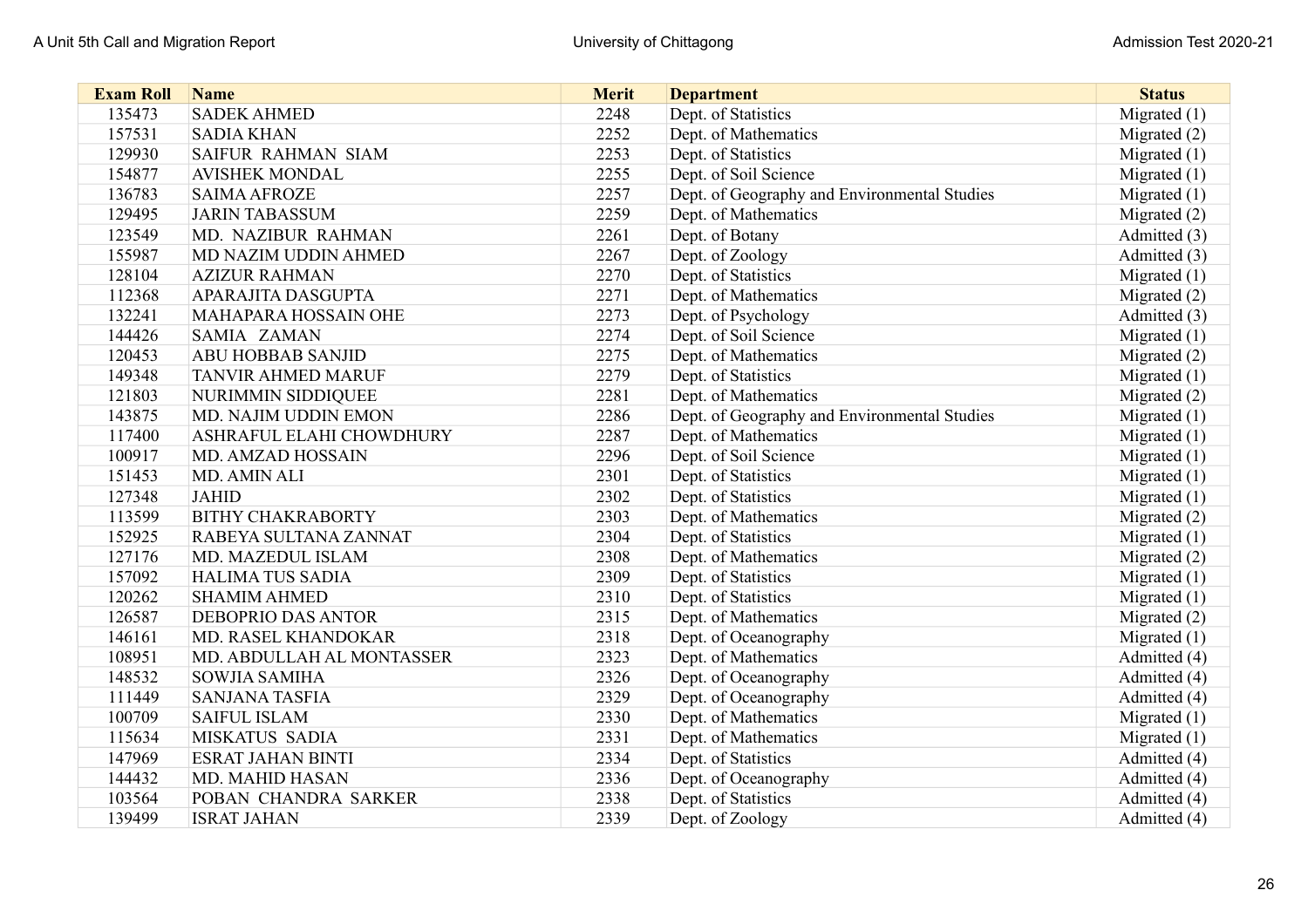| <b>Exam Roll</b> | <b>Name</b>                     | <b>Merit</b> | <b>Department</b>                            | <b>Status</b>  |
|------------------|---------------------------------|--------------|----------------------------------------------|----------------|
| 135473           | <b>SADEK AHMED</b>              | 2248         | Dept. of Statistics                          | Migrated $(1)$ |
| 157531           | <b>SADIA KHAN</b>               | 2252         | Dept. of Mathematics                         | Migrated (2)   |
| 129930           | <b>SAIFUR RAHMAN SIAM</b>       | 2253         | Dept. of Statistics                          | Migrated $(1)$ |
| 154877           | <b>AVISHEK MONDAL</b>           | 2255         | Dept. of Soil Science                        | Migrated $(1)$ |
| 136783           | <b>SAIMA AFROZE</b>             | 2257         | Dept. of Geography and Environmental Studies | Migrated $(1)$ |
| 129495           | <b>JARIN TABASSUM</b>           | 2259         | Dept. of Mathematics                         | Migrated (2)   |
| 123549           | MD. NAZIBUR RAHMAN              | 2261         | Dept. of Botany                              | Admitted (3)   |
| 155987           | MD NAZIM UDDIN AHMED            | 2267         | Dept. of Zoology                             | Admitted (3)   |
| 128104           | <b>AZIZUR RAHMAN</b>            | 2270         | Dept. of Statistics                          | Migrated $(1)$ |
| 112368           | <b>APARAJITA DASGUPTA</b>       | 2271         | Dept. of Mathematics                         | Migrated (2)   |
| 132241           | MAHAPARA HOSSAIN OHE            | 2273         | Dept. of Psychology                          | Admitted (3)   |
| 144426           | <b>SAMIA ZAMAN</b>              | 2274         | Dept. of Soil Science                        | Migrated $(1)$ |
| 120453           | <b>ABU HOBBAB SANJID</b>        | 2275         | Dept. of Mathematics                         | Migrated (2)   |
| 149348           | <b>TANVIR AHMED MARUF</b>       | 2279         | Dept. of Statistics                          | Migrated $(1)$ |
| 121803           | NURIMMIN SIDDIQUEE              | 2281         | Dept. of Mathematics                         | Migrated (2)   |
| 143875           | MD. NAJIM UDDIN EMON            | 2286         | Dept. of Geography and Environmental Studies | Migrated $(1)$ |
| 117400           | <b>ASHRAFUL ELAHI CHOWDHURY</b> | 2287         | Dept. of Mathematics                         | Migrated $(1)$ |
| 100917           | MD. AMZAD HOSSAIN               | 2296         | Dept. of Soil Science                        | Migrated $(1)$ |
| 151453           | MD. AMIN ALI                    | 2301         | Dept. of Statistics                          | Migrated $(1)$ |
| 127348           | <b>JAHID</b>                    | 2302         | Dept. of Statistics                          | Migrated $(1)$ |
| 113599           | <b>BITHY CHAKRABORTY</b>        | 2303         | Dept. of Mathematics                         | Migrated (2)   |
| 152925           | RABEYA SULTANA ZANNAT           | 2304         | Dept. of Statistics                          | Migrated $(1)$ |
| 127176           | MD. MAZEDUL ISLAM               | 2308         | Dept. of Mathematics                         | Migrated (2)   |
| 157092           | <b>HALIMA TUS SADIA</b>         | 2309         | Dept. of Statistics                          | Migrated $(1)$ |
| 120262           | <b>SHAMIM AHMED</b>             | 2310         | Dept. of Statistics                          | Migrated $(1)$ |
| 126587           | <b>DEBOPRIO DAS ANTOR</b>       | 2315         | Dept. of Mathematics                         | Migrated (2)   |
| 146161           | MD. RASEL KHANDOKAR             | 2318         | Dept. of Oceanography                        | Migrated $(1)$ |
| 108951           | MD. ABDULLAH AL MONTASSER       | 2323         | Dept. of Mathematics                         | Admitted (4)   |
| 148532           | <b>SOWJIA SAMIHA</b>            | 2326         | Dept. of Oceanography                        | Admitted (4)   |
| 111449           | <b>SANJANA TASFIA</b>           | 2329         | Dept. of Oceanography                        | Admitted (4)   |
| 100709           | <b>SAIFUL ISLAM</b>             | 2330         | Dept. of Mathematics                         | Migrated $(1)$ |
| 115634           | MISKATUS SADIA                  | 2331         | Dept. of Mathematics                         | Migrated (1)   |
| 147969           | <b>ESRAT JAHAN BINTI</b>        | 2334         | Dept. of Statistics                          | Admitted (4)   |
| 144432           | <b>MD. MAHID HASAN</b>          | 2336         | Dept. of Oceanography                        | Admitted (4)   |
| 103564           | POBAN CHANDRA SARKER            | 2338         | Dept. of Statistics                          | Admitted (4)   |
| 139499           | <b>ISRAT JAHAN</b>              | 2339         | Dept. of Zoology                             | Admitted (4)   |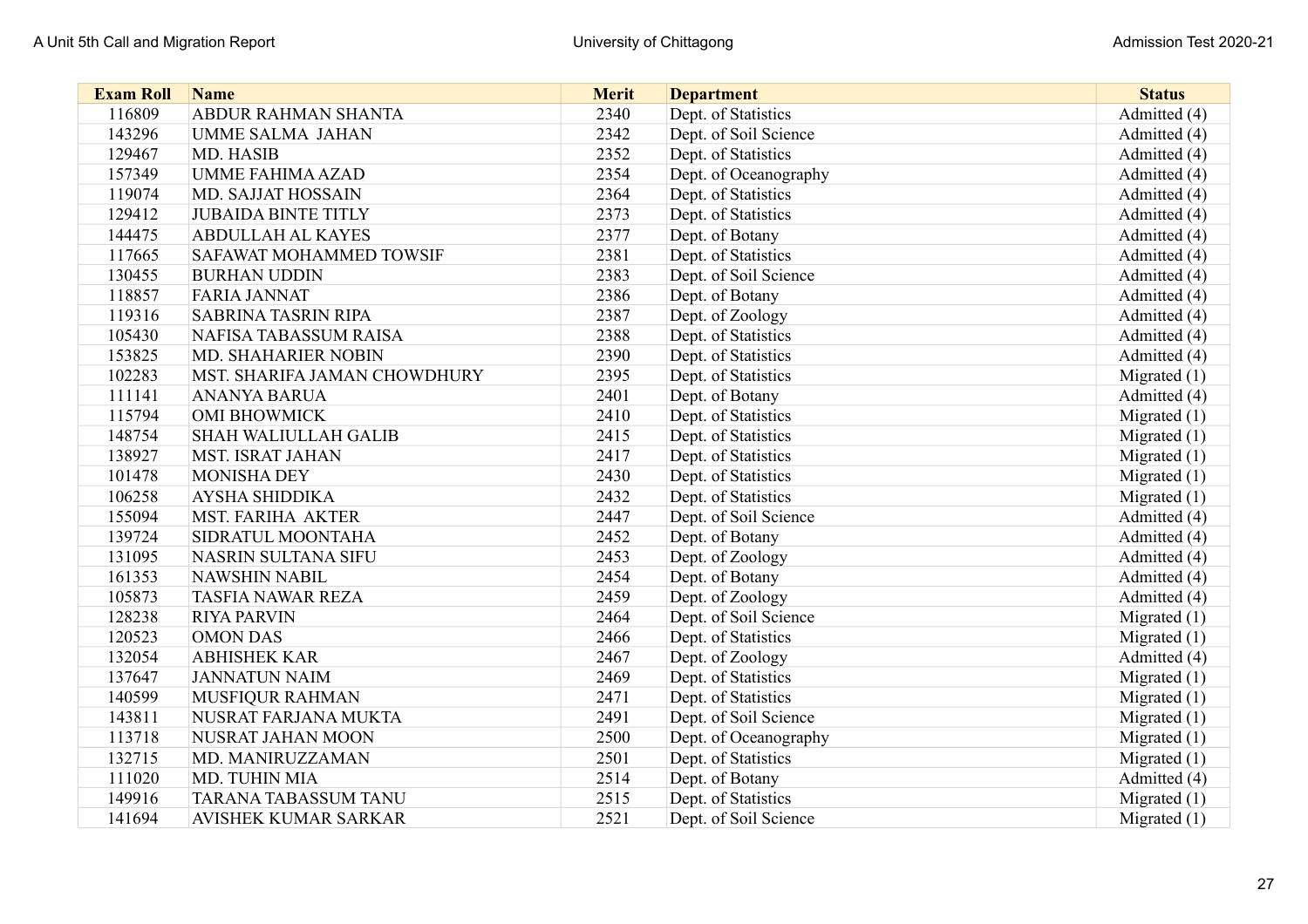| <b>Exam Roll</b> | <b>Name</b>                  | <b>Merit</b> | <b>Department</b>     | <b>Status</b>  |
|------------------|------------------------------|--------------|-----------------------|----------------|
| 116809           | ABDUR RAHMAN SHANTA          | 2340         | Dept. of Statistics   | Admitted (4)   |
| 143296           | <b>UMME SALMA JAHAN</b>      | 2342         | Dept. of Soil Science | Admitted (4)   |
| 129467           | MD. HASIB                    | 2352         | Dept. of Statistics   | Admitted (4)   |
| 157349           | <b>UMME FAHIMA AZAD</b>      | 2354         | Dept. of Oceanography | Admitted (4)   |
| 119074           | MD. SAJJAT HOSSAIN           | 2364         | Dept. of Statistics   | Admitted (4)   |
| 129412           | <b>JUBAIDA BINTE TITLY</b>   | 2373         | Dept. of Statistics   | Admitted (4)   |
| 144475           | <b>ABDULLAH AL KAYES</b>     | 2377         | Dept. of Botany       | Admitted (4)   |
| 117665           | SAFAWAT MOHAMMED TOWSIF      | 2381         | Dept. of Statistics   | Admitted (4)   |
| 130455           | <b>BURHAN UDDIN</b>          | 2383         | Dept. of Soil Science | Admitted (4)   |
| 118857           | <b>FARIA JANNAT</b>          | 2386         | Dept. of Botany       | Admitted (4)   |
| 119316           | <b>SABRINA TASRIN RIPA</b>   | 2387         | Dept. of Zoology      | Admitted (4)   |
| 105430           | NAFISA TABASSUM RAISA        | 2388         | Dept. of Statistics   | Admitted (4)   |
| 153825           | MD. SHAHARIER NOBIN          | 2390         | Dept. of Statistics   | Admitted (4)   |
| 102283           | MST. SHARIFA JAMAN CHOWDHURY | 2395         | Dept. of Statistics   | Migrated $(1)$ |
| 111141           | <b>ANANYA BARUA</b>          | 2401         | Dept. of Botany       | Admitted (4)   |
| 115794           | <b>OMI BHOWMICK</b>          | 2410         | Dept. of Statistics   | Migrated $(1)$ |
| 148754           | <b>SHAH WALIULLAH GALIB</b>  | 2415         | Dept. of Statistics   | Migrated $(1)$ |
| 138927           | <b>MST. ISRAT JAHAN</b>      | 2417         | Dept. of Statistics   | Migrated $(1)$ |
| 101478           | <b>MONISHA DEY</b>           | 2430         | Dept. of Statistics   | Migrated $(1)$ |
| 106258           | <b>AYSHA SHIDDIKA</b>        | 2432         | Dept. of Statistics   | Migrated $(1)$ |
| 155094           | <b>MST. FARIHA AKTER</b>     | 2447         | Dept. of Soil Science | Admitted (4)   |
| 139724           | SIDRATUL MOONTAHA            | 2452         | Dept. of Botany       | Admitted (4)   |
| 131095           | NASRIN SULTANA SIFU          | 2453         | Dept. of Zoology      | Admitted (4)   |
| 161353           | <b>NAWSHIN NABIL</b>         | 2454         | Dept. of Botany       | Admitted (4)   |
| 105873           | <b>TASFIA NAWAR REZA</b>     | 2459         | Dept. of Zoology      | Admitted (4)   |
| 128238           | <b>RIYA PARVIN</b>           | 2464         | Dept. of Soil Science | Migrated $(1)$ |
| 120523           | <b>OMON DAS</b>              | 2466         | Dept. of Statistics   | Migrated (1)   |
| 132054           | <b>ABHISHEK KAR</b>          | 2467         | Dept. of Zoology      | Admitted (4)   |
| 137647           | <b>JANNATUN NAIM</b>         | 2469         | Dept. of Statistics   | Migrated $(1)$ |
| 140599           | <b>MUSFIQUR RAHMAN</b>       | 2471         | Dept. of Statistics   | Migrated $(1)$ |
| 143811           | NUSRAT FARJANA MUKTA         | 2491         | Dept. of Soil Science | Migrated (1)   |
| 113718           | NUSRAT JAHAN MOON            | 2500         | Dept. of Oceanography | Migrated $(1)$ |
| 132715           | MD. MANIRUZZAMAN             | 2501         | Dept. of Statistics   | Migrated $(1)$ |
| 111020           | <b>MD. TUHIN MIA</b>         | 2514         | Dept. of Botany       | Admitted (4)   |
| 149916           | <b>TARANA TABASSUM TANU</b>  | 2515         | Dept. of Statistics   | Migrated $(1)$ |
| 141694           | <b>AVISHEK KUMAR SARKAR</b>  | 2521         | Dept. of Soil Science | Migrated $(1)$ |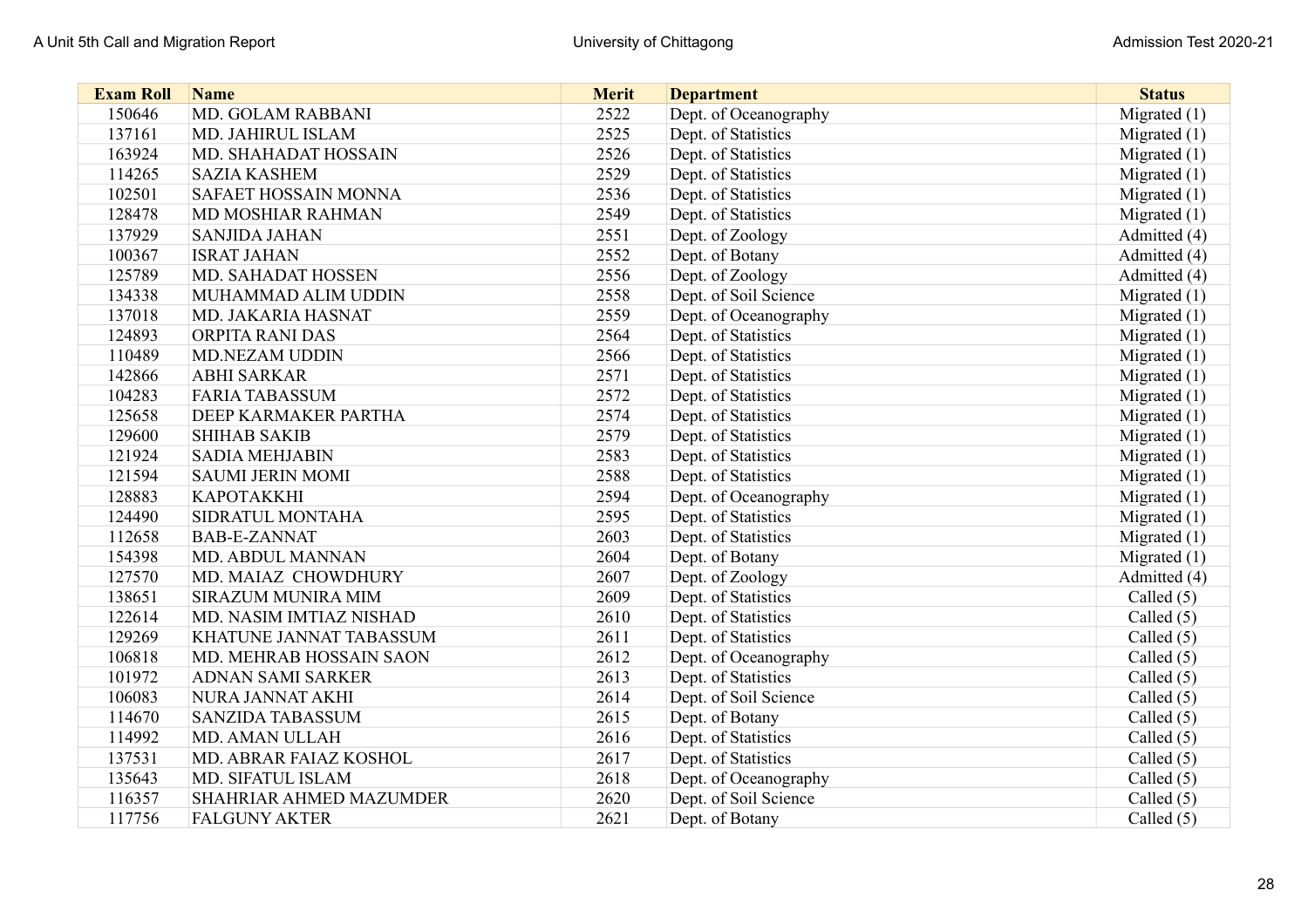| <b>Exam Roll</b> | <b>Name</b>             | <b>Merit</b> | <b>Department</b>     | <b>Status</b>  |
|------------------|-------------------------|--------------|-----------------------|----------------|
| 150646           | MD. GOLAM RABBANI       | 2522         | Dept. of Oceanography | Migrated $(1)$ |
| 137161           | MD. JAHIRUL ISLAM       | 2525         | Dept. of Statistics   | Migrated $(1)$ |
| 163924           | MD. SHAHADAT HOSSAIN    | 2526         | Dept. of Statistics   | Migrated $(1)$ |
| 114265           | <b>SAZIA KASHEM</b>     | 2529         | Dept. of Statistics   | Migrated $(1)$ |
| 102501           | SAFAET HOSSAIN MONNA    | 2536         | Dept. of Statistics   | Migrated $(1)$ |
| 128478           | MD MOSHIAR RAHMAN       | 2549         | Dept. of Statistics   | Migrated $(1)$ |
| 137929           | <b>SANJIDA JAHAN</b>    | 2551         | Dept. of Zoology      | Admitted (4)   |
| 100367           | <b>ISRAT JAHAN</b>      | 2552         | Dept. of Botany       | Admitted (4)   |
| 125789           | MD. SAHADAT HOSSEN      | 2556         | Dept. of Zoology      | Admitted (4)   |
| 134338           | MUHAMMAD ALIM UDDIN     | 2558         | Dept. of Soil Science | Migrated $(1)$ |
| 137018           | MD. JAKARIA HASNAT      | 2559         | Dept. of Oceanography | Migrated $(1)$ |
| 124893           | ORPITA RANI DAS         | 2564         | Dept. of Statistics   | Migrated (1)   |
| 110489           | <b>MD.NEZAM UDDIN</b>   | 2566         | Dept. of Statistics   | Migrated (1)   |
| 142866           | <b>ABHI SARKAR</b>      | 2571         | Dept. of Statistics   | Migrated (1)   |
| 104283           | <b>FARIA TABASSUM</b>   | 2572         | Dept. of Statistics   | Migrated $(1)$ |
| 125658           | DEEP KARMAKER PARTHA    | 2574         | Dept. of Statistics   | Migrated (1)   |
| 129600           | <b>SHIHAB SAKIB</b>     | 2579         | Dept. of Statistics   | Migrated $(1)$ |
| 121924           | <b>SADIA MEHJABIN</b>   | 2583         | Dept. of Statistics   | Migrated $(1)$ |
| 121594           | <b>SAUMI JERIN MOMI</b> | 2588         | Dept. of Statistics   | Migrated (1)   |
| 128883           | <b>КАРОТАККНІ</b>       | 2594         | Dept. of Oceanography | Migrated $(1)$ |
| 124490           | SIDRATUL MONTAHA        | 2595         | Dept. of Statistics   | Migrated $(1)$ |
| 112658           | <b>BAB-E-ZANNAT</b>     | 2603         | Dept. of Statistics   | Migrated $(1)$ |
| 154398           | MD. ABDUL MANNAN        | 2604         | Dept. of Botany       | Migrated $(1)$ |
| 127570           | MD. MAIAZ CHOWDHURY     | 2607         | Dept. of Zoology      | Admitted (4)   |
| 138651           | SIRAZUM MUNIRA MIM      | 2609         | Dept. of Statistics   | Called (5)     |
| 122614           | MD. NASIM IMTIAZ NISHAD | 2610         | Dept. of Statistics   | Called $(5)$   |
| 129269           | KHATUNE JANNAT TABASSUM | 2611         | Dept. of Statistics   | Called $(5)$   |
| 106818           | MD. MEHRAB HOSSAIN SAON | 2612         | Dept. of Oceanography | Called (5)     |
| 101972           | ADNAN SAMI SARKER       | 2613         | Dept. of Statistics   | Called (5)     |
| 106083           | NURA JANNAT AKHI        | 2614         | Dept. of Soil Science | Called $(5)$   |
| 114670           | <b>SANZIDA TABASSUM</b> | 2615         | Dept. of Botany       | Called $(5)$   |
| 114992           | MD. AMAN ULLAH          | 2616         | Dept. of Statistics   | Called (5)     |
| 137531           | MD. ABRAR FAIAZ KOSHOL  | 2617         | Dept. of Statistics   | Called $(5)$   |
| 135643           | MD. SIFATUL ISLAM       | 2618         | Dept. of Oceanography | Called (5)     |
| 116357           | SHAHRIAR AHMED MAZUMDER | 2620         | Dept. of Soil Science | Called $(5)$   |
| 117756           | <b>FALGUNY AKTER</b>    | 2621         | Dept. of Botany       | Called $(5)$   |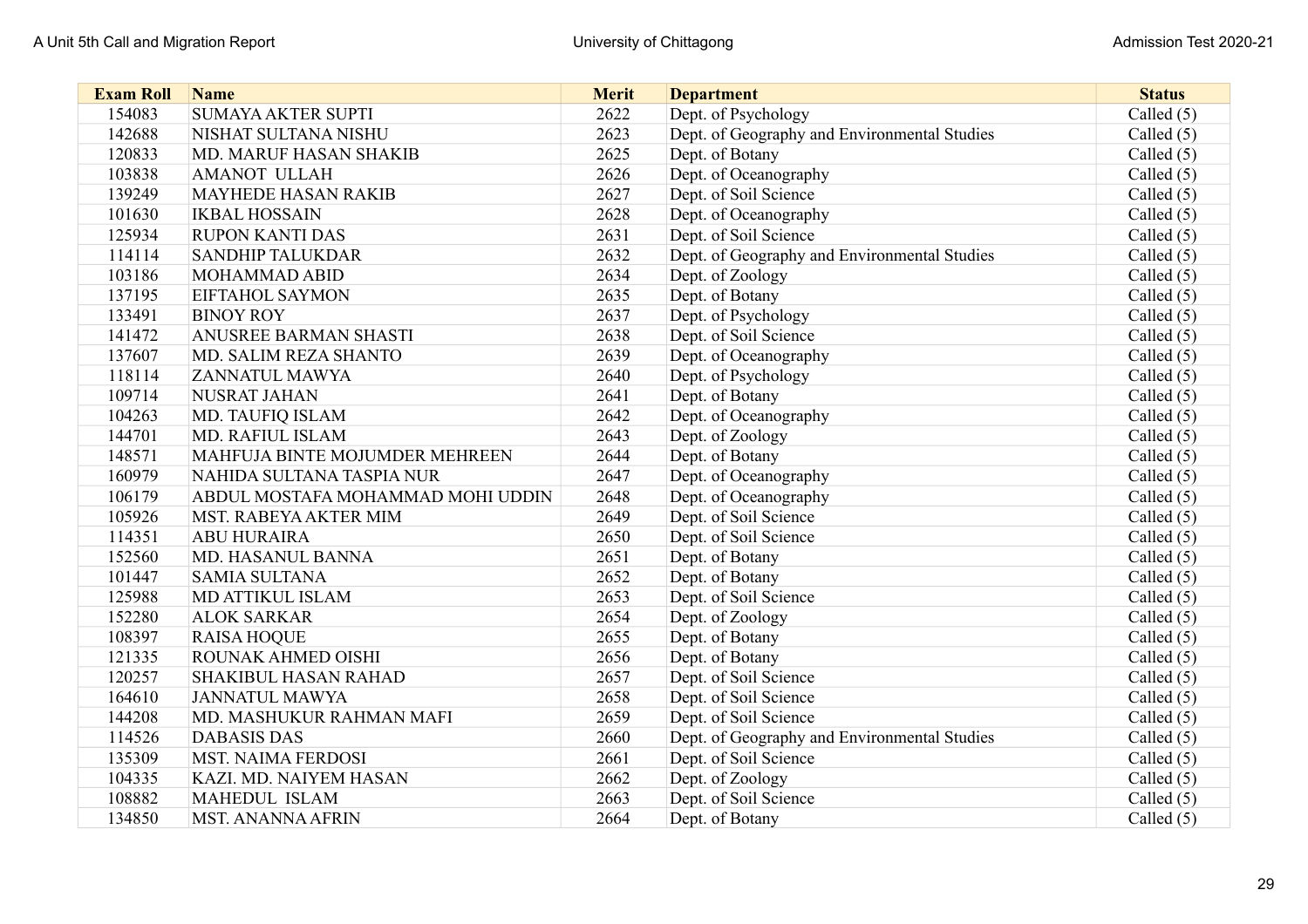| <b>Exam Roll</b> | <b>Name</b>                       | <b>Merit</b> | <b>Department</b>                            | <b>Status</b> |
|------------------|-----------------------------------|--------------|----------------------------------------------|---------------|
| 154083           | <b>SUMAYA AKTER SUPTI</b>         | 2622         | Dept. of Psychology                          | Called $(5)$  |
| 142688           | NISHAT SULTANA NISHU              | 2623         | Dept. of Geography and Environmental Studies | Called $(5)$  |
| 120833           | <b>MD. MARUF HASAN SHAKIB</b>     | 2625         | Dept. of Botany                              | Called $(5)$  |
| 103838           | <b>AMANOT ULLAH</b>               | 2626         | Dept. of Oceanography                        | Called $(5)$  |
| 139249           | <b>MAYHEDE HASAN RAKIB</b>        | 2627         | Dept. of Soil Science                        | Called $(5)$  |
| 101630           | <b>IKBAL HOSSAIN</b>              | 2628         | Dept. of Oceanography                        | Called $(5)$  |
| 125934           | <b>RUPON KANTI DAS</b>            | 2631         | Dept. of Soil Science                        | Called (5)    |
| 114114           | <b>SANDHIP TALUKDAR</b>           | 2632         | Dept. of Geography and Environmental Studies | Called (5)    |
| 103186           | <b>MOHAMMAD ABID</b>              | 2634         | Dept. of Zoology                             | Called $(5)$  |
| 137195           | <b>EIFTAHOL SAYMON</b>            | 2635         | Dept. of Botany                              | Called $(5)$  |
| 133491           | <b>BINOY ROY</b>                  | 2637         | Dept. of Psychology                          | Called $(5)$  |
| 141472           | <b>ANUSREE BARMAN SHASTI</b>      | 2638         | Dept. of Soil Science                        | Called $(5)$  |
| 137607           | MD. SALIM REZA SHANTO             | 2639         | Dept. of Oceanography                        | Called $(5)$  |
| 118114           | <b>ZANNATUL MAWYA</b>             | 2640         | Dept. of Psychology                          | Called $(5)$  |
| 109714           | NUSRAT JAHAN                      | 2641         | Dept. of Botany                              | Called $(5)$  |
| 104263           | MD. TAUFIQ ISLAM                  | 2642         | Dept. of Oceanography                        | Called $(5)$  |
| 144701           | MD. RAFIUL ISLAM                  | 2643         | Dept. of Zoology                             | Called $(5)$  |
| 148571           | MAHFUJA BINTE MOJUMDER MEHREEN    | 2644         | Dept. of Botany                              | Called $(5)$  |
| 160979           | NAHIDA SULTANA TASPIA NUR         | 2647         | Dept. of Oceanography                        | Called $(5)$  |
| 106179           | ABDUL MOSTAFA MOHAMMAD MOHI UDDIN | 2648         | Dept. of Oceanography                        | Called $(5)$  |
| 105926           | <b>MST. RABEYA AKTER MIM</b>      | 2649         | Dept. of Soil Science                        | Called $(5)$  |
| 114351           | <b>ABU HURAIRA</b>                | 2650         | Dept. of Soil Science                        | Called $(5)$  |
| 152560           | MD. HASANUL BANNA                 | 2651         | Dept. of Botany                              | Called $(5)$  |
| 101447           | <b>SAMIA SULTANA</b>              | 2652         | Dept. of Botany                              | Called $(5)$  |
| 125988           | MD ATTIKUL ISLAM                  | 2653         | Dept. of Soil Science                        | Called $(5)$  |
| 152280           | <b>ALOK SARKAR</b>                | 2654         | Dept. of Zoology                             | Called $(5)$  |
| 108397           | <b>RAISA HOQUE</b>                | 2655         | Dept. of Botany                              | Called $(5)$  |
| 121335           | ROUNAK AHMED OISHI                | 2656         | Dept. of Botany                              | Called $(5)$  |
| 120257           | <b>SHAKIBUL HASAN RAHAD</b>       | 2657         | Dept. of Soil Science                        | Called $(5)$  |
| 164610           | <b>JANNATUL MAWYA</b>             | 2658         | Dept. of Soil Science                        | Called $(5)$  |
| 144208           | MD. MASHUKUR RAHMAN MAFI          | 2659         | Dept. of Soil Science                        | Called $(5)$  |
| 114526           | <b>DABASIS DAS</b>                | 2660         | Dept. of Geography and Environmental Studies | Called $(5)$  |
| 135309           | <b>MST. NAIMA FERDOSI</b>         | 2661         | Dept. of Soil Science                        | Called $(5)$  |
| 104335           | <b>KAZI. MD. NAIYEM HASAN</b>     | 2662         | Dept. of Zoology                             | Called $(5)$  |
| 108882           | MAHEDUL ISLAM                     | 2663         | Dept. of Soil Science                        | Called $(5)$  |
| 134850           | <b>MST. ANANNA AFRIN</b>          | 2664         | Dept. of Botany                              | Called (5)    |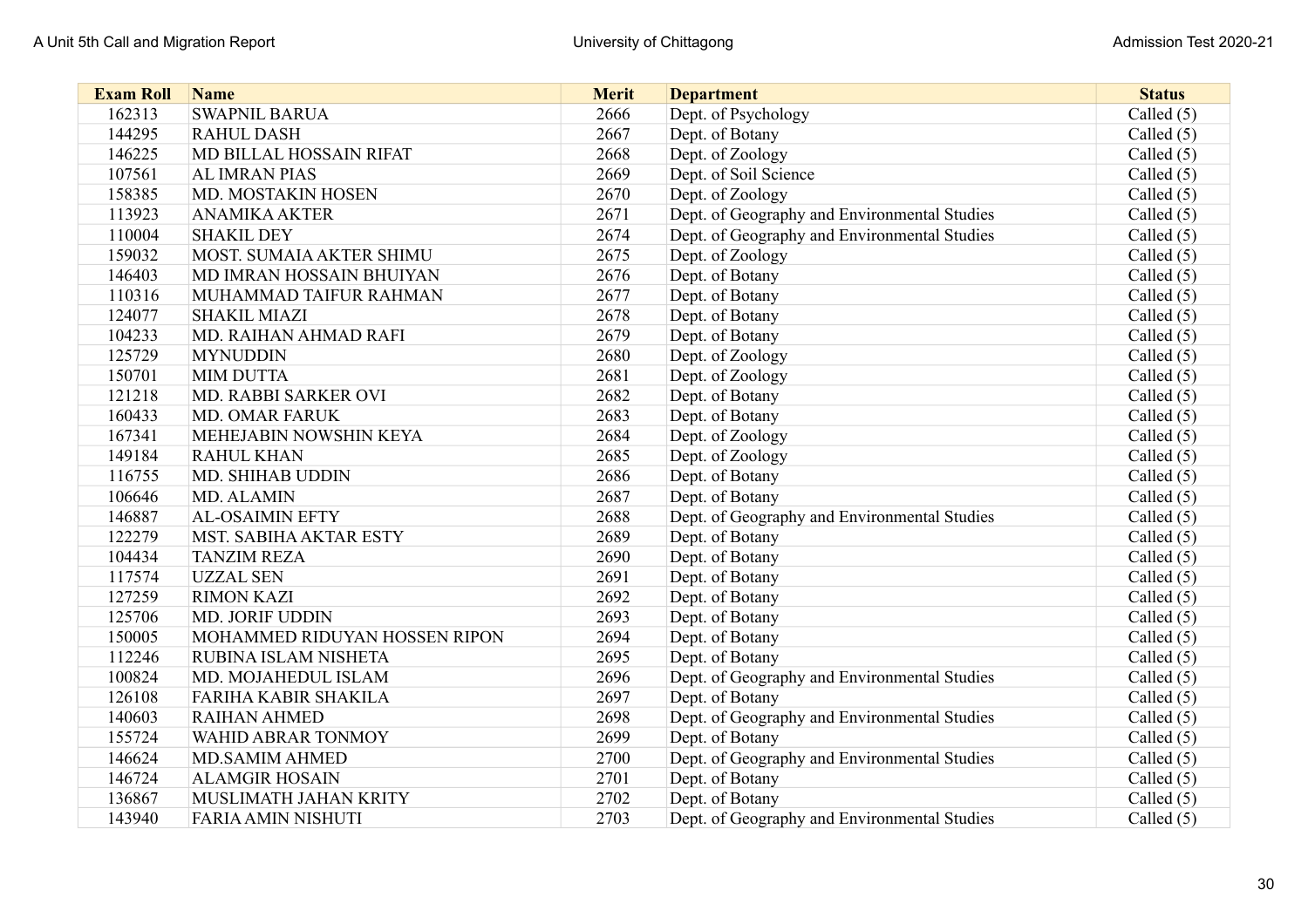| <b>Exam Roll</b> | <b>Name</b>                   | <b>Merit</b> | <b>Department</b>                            | <b>Status</b> |
|------------------|-------------------------------|--------------|----------------------------------------------|---------------|
| 162313           | <b>SWAPNIL BARUA</b>          | 2666         | Dept. of Psychology                          | Called $(5)$  |
| 144295           | <b>RAHUL DASH</b>             | 2667         | Dept. of Botany                              | Called $(5)$  |
| 146225           | MD BILLAL HOSSAIN RIFAT       | 2668         | Dept. of Zoology                             | Called (5)    |
| 107561           | <b>AL IMRAN PIAS</b>          | 2669         | Dept. of Soil Science                        | Called $(5)$  |
| 158385           | MD. MOSTAKIN HOSEN            | 2670         | Dept. of Zoology                             | Called $(5)$  |
| 113923           | <b>ANAMIKA AKTER</b>          | 2671         | Dept. of Geography and Environmental Studies | Called $(5)$  |
| 110004           | <b>SHAKIL DEY</b>             | 2674         | Dept. of Geography and Environmental Studies | Called $(5)$  |
| 159032           | MOST. SUMAIA AKTER SHIMU      | 2675         | Dept. of Zoology                             | Called $(5)$  |
| 146403           | MD IMRAN HOSSAIN BHUIYAN      | 2676         | Dept. of Botany                              | Called $(5)$  |
| 110316           | MUHAMMAD TAIFUR RAHMAN        | 2677         | Dept. of Botany                              | Called (5)    |
| 124077           | <b>SHAKIL MIAZI</b>           | 2678         | Dept. of Botany                              | Called $(5)$  |
| 104233           | MD. RAIHAN AHMAD RAFI         | 2679         | Dept. of Botany                              | Called (5)    |
| 125729           | <b>MYNUDDIN</b>               | 2680         | Dept. of Zoology                             | Called $(5)$  |
| 150701           | <b>MIM DUTTA</b>              | 2681         | Dept. of Zoology                             | Called (5)    |
| 121218           | MD. RABBI SARKER OVI          | 2682         | Dept. of Botany                              | Called $(5)$  |
| 160433           | <b>MD. OMAR FARUK</b>         | 2683         | Dept. of Botany                              | Called $(5)$  |
| 167341           | MEHEJABIN NOWSHIN KEYA        | 2684         | Dept. of Zoology                             | Called (5)    |
| 149184           | <b>RAHUL KHAN</b>             | 2685         | Dept. of Zoology                             | Called (5)    |
| 116755           | <b>MD. SHIHAB UDDIN</b>       | 2686         | Dept. of Botany                              | Called $(5)$  |
| 106646           | MD. ALAMIN                    | 2687         | Dept. of Botany                              | Called (5)    |
| 146887           | <b>AL-OSAIMIN EFTY</b>        | 2688         | Dept. of Geography and Environmental Studies | Called (5)    |
| 122279           | MST. SABIHA AKTAR ESTY        | 2689         | Dept. of Botany                              | Called (5)    |
| 104434           | <b>TANZIM REZA</b>            | 2690         | Dept. of Botany                              | Called (5)    |
| 117574           | <b>UZZAL SEN</b>              | 2691         | Dept. of Botany                              | Called $(5)$  |
| 127259           | <b>RIMON KAZI</b>             | 2692         | Dept. of Botany                              | Called $(5)$  |
| 125706           | <b>MD. JORIF UDDIN</b>        | 2693         | Dept. of Botany                              | Called (5)    |
| 150005           | MOHAMMED RIDUYAN HOSSEN RIPON | 2694         | Dept. of Botany                              | Called (5)    |
| 112246           | RUBINA ISLAM NISHETA          | 2695         | Dept. of Botany                              | Called (5)    |
| 100824           | MD. MOJAHEDUL ISLAM           | 2696         | Dept. of Geography and Environmental Studies | Called (5)    |
| 126108           | <b>FARIHA KABIR SHAKILA</b>   | 2697         | Dept. of Botany                              | Called $(5)$  |
| 140603           | <b>RAIHAN AHMED</b>           | 2698         | Dept. of Geography and Environmental Studies | Called $(5)$  |
| 155724           | WAHID ABRAR TONMOY            | 2699         | Dept. of Botany                              | Called $(5)$  |
| 146624           | <b>MD.SAMIM AHMED</b>         | 2700         | Dept. of Geography and Environmental Studies | Called $(5)$  |
| 146724           | <b>ALAMGIR HOSAIN</b>         | 2701         | Dept. of Botany                              | Called $(5)$  |
| 136867           | MUSLIMATH JAHAN KRITY         | 2702         | Dept. of Botany                              | Called (5)    |
| 143940           | <b>FARIA AMIN NISHUTI</b>     | 2703         | Dept. of Geography and Environmental Studies | Called (5)    |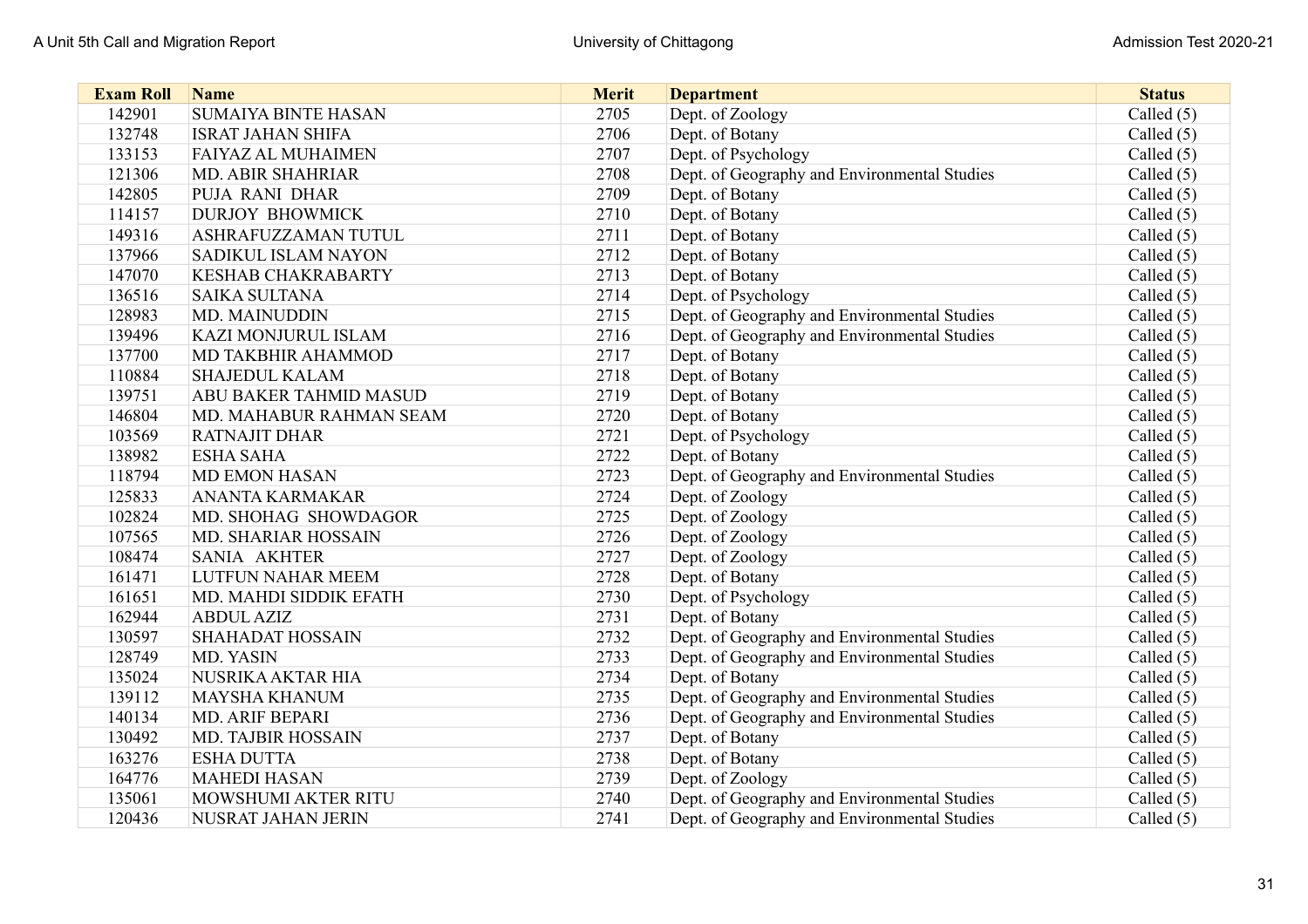| <b>Exam Roll</b> | <b>Name</b>                   | <b>Merit</b> | <b>Department</b>                            | <b>Status</b> |
|------------------|-------------------------------|--------------|----------------------------------------------|---------------|
| 142901           | <b>SUMAIYA BINTE HASAN</b>    | 2705         | Dept. of Zoology                             | Called $(5)$  |
| 132748           | <b>ISRAT JAHAN SHIFA</b>      | 2706         | Dept. of Botany                              | Called $(5)$  |
| 133153           | <b>FAIYAZ AL MUHAIMEN</b>     | 2707         | Dept. of Psychology                          | Called $(5)$  |
| 121306           | <b>MD. ABIR SHAHRIAR</b>      | 2708         | Dept. of Geography and Environmental Studies | Called $(5)$  |
| 142805           | PUJA RANI DHAR                | 2709         | Dept. of Botany                              | Called $(5)$  |
| 114157           | <b>DURJOY BHOWMICK</b>        | 2710         | Dept. of Botany                              | Called $(5)$  |
| 149316           | <b>ASHRAFUZZAMAN TUTUL</b>    | 2711         | Dept. of Botany                              | Called $(5)$  |
| 137966           | <b>SADIKUL ISLAM NAYON</b>    | 2712         | Dept. of Botany                              | Called $(5)$  |
| 147070           | <b>KESHAB CHAKRABARTY</b>     | 2713         | Dept. of Botany                              | Called $(5)$  |
| 136516           | <b>SAIKA SULTANA</b>          | 2714         | Dept. of Psychology                          | Called $(5)$  |
| 128983           | <b>MD. MAINUDDIN</b>          | 2715         | Dept. of Geography and Environmental Studies | Called $(5)$  |
| 139496           | <b>KAZI MONJURUL ISLAM</b>    | 2716         | Dept. of Geography and Environmental Studies | Called (5)    |
| 137700           | MD TAKBHIR AHAMMOD            | 2717         | Dept. of Botany                              | Called (5)    |
| 110884           | <b>SHAJEDUL KALAM</b>         | 2718         | Dept. of Botany                              | Called $(5)$  |
| 139751           | <b>ABU BAKER TAHMID MASUD</b> | 2719         | Dept. of Botany                              | Called (5)    |
| 146804           | MD. MAHABUR RAHMAN SEAM       | 2720         | Dept. of Botany                              | Called (5)    |
| 103569           | <b>RATNAJIT DHAR</b>          | 2721         | Dept. of Psychology                          | Called $(5)$  |
| 138982           | <b>ESHA SAHA</b>              | 2722         | Dept. of Botany                              | Called (5)    |
| 118794           | <b>MD EMON HASAN</b>          | 2723         | Dept. of Geography and Environmental Studies | Called (5)    |
| 125833           | <b>ANANTA KARMAKAR</b>        | 2724         | Dept. of Zoology                             | Called $(5)$  |
| 102824           | MD. SHOHAG SHOWDAGOR          | 2725         | Dept. of Zoology                             | Called $(5)$  |
| 107565           | MD. SHARIAR HOSSAIN           | 2726         | Dept. of Zoology                             | Called $(5)$  |
| 108474           | <b>SANIA AKHTER</b>           | 2727         | Dept. of Zoology                             | Called $(5)$  |
| 161471           | LUTFUN NAHAR MEEM             | 2728         | Dept. of Botany                              | Called (5)    |
| 161651           | MD. MAHDI SIDDIK EFATH        | 2730         | Dept. of Psychology                          | Called $(5)$  |
| 162944           | <b>ABDUL AZIZ</b>             | 2731         | Dept. of Botany                              | Called $(5)$  |
| 130597           | <b>SHAHADAT HOSSAIN</b>       | 2732         | Dept. of Geography and Environmental Studies | Called $(5)$  |
| 128749           | MD. YASIN                     | 2733         | Dept. of Geography and Environmental Studies | Called $(5)$  |
| 135024           | NUSRIKA AKTAR HIA             | 2734         | Dept. of Botany                              | Called $(5)$  |
| 139112           | <b>MAYSHA KHANUM</b>          | 2735         | Dept. of Geography and Environmental Studies | Called $(5)$  |
| 140134           | <b>MD. ARIF BEPARI</b>        | 2736         | Dept. of Geography and Environmental Studies | Called $(5)$  |
| 130492           | <b>MD. TAJBIR HOSSAIN</b>     | 2737         | Dept. of Botany                              | Called $(5)$  |
| 163276           | <b>ESHA DUTTA</b>             | 2738         | Dept. of Botany                              | Called $(5)$  |
| 164776           | <b>MAHEDI HASAN</b>           | 2739         | Dept. of Zoology                             | Called $(5)$  |
| 135061           | MOWSHUMI AKTER RITU           | 2740         | Dept. of Geography and Environmental Studies | Called $(5)$  |
| 120436           | NUSRAT JAHAN JERIN            | 2741         | Dept. of Geography and Environmental Studies | Called $(5)$  |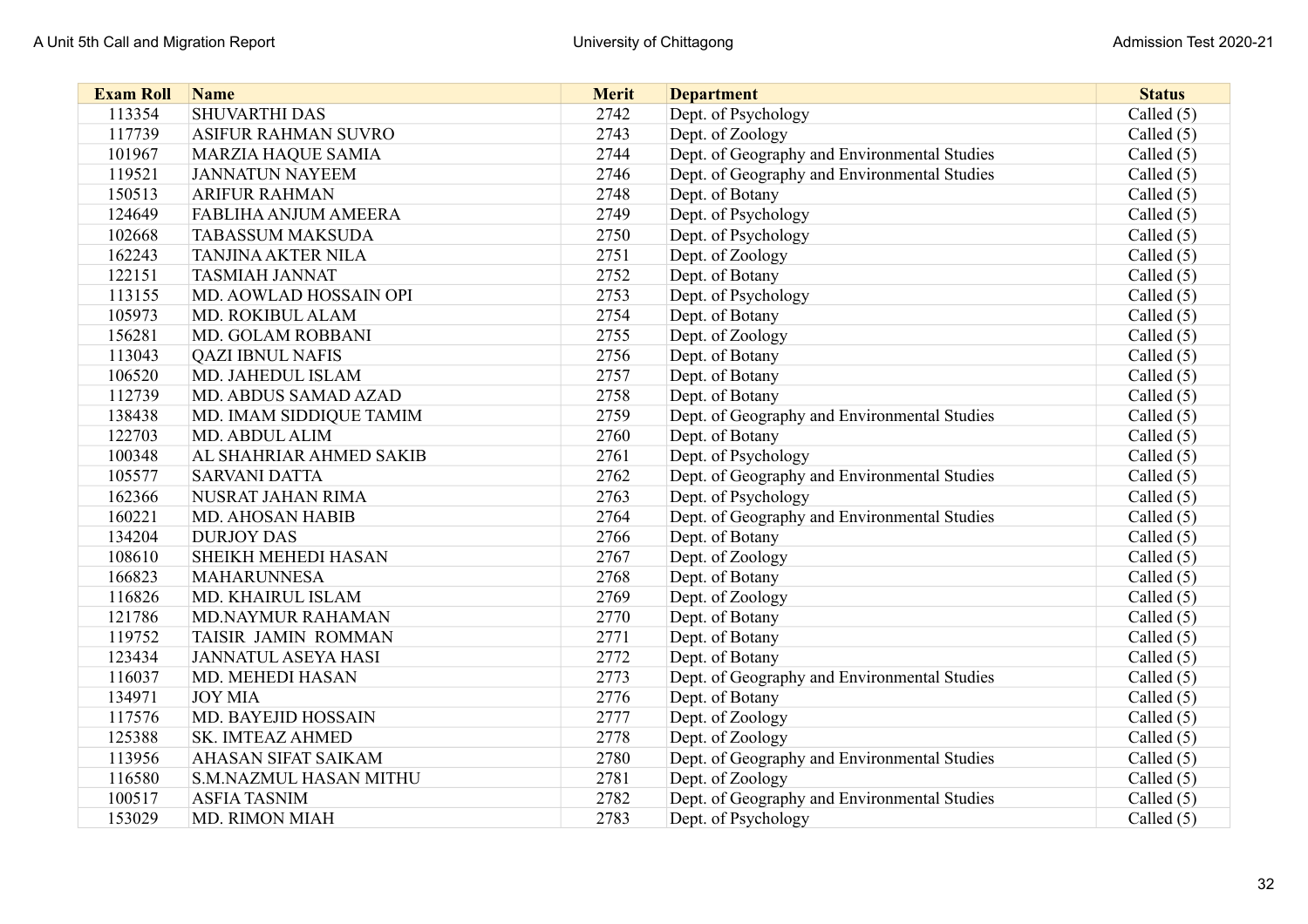| <b>Exam Roll</b> | <b>Name</b>                   | <b>Merit</b> | <b>Department</b>                            | <b>Status</b> |
|------------------|-------------------------------|--------------|----------------------------------------------|---------------|
| 113354           | <b>SHUVARTHI DAS</b>          | 2742         | Dept. of Psychology                          | Called $(5)$  |
| 117739           | <b>ASIFUR RAHMAN SUVRO</b>    | 2743         | Dept. of Zoology                             | Called $(5)$  |
| 101967           | <b>MARZIA HAQUE SAMIA</b>     | 2744         | Dept. of Geography and Environmental Studies | Called $(5)$  |
| 119521           | <b>JANNATUN NAYEEM</b>        | 2746         | Dept. of Geography and Environmental Studies | Called $(5)$  |
| 150513           | <b>ARIFUR RAHMAN</b>          | 2748         | Dept. of Botany                              | Called $(5)$  |
| 124649           | <b>FABLIHA ANJUM AMEERA</b>   | 2749         | Dept. of Psychology                          | Called $(5)$  |
| 102668           | <b>TABASSUM MAKSUDA</b>       | 2750         | Dept. of Psychology                          | Called $(5)$  |
| 162243           | <b>TANJINA AKTER NILA</b>     | 2751         | Dept. of Zoology                             | Called $(5)$  |
| 122151           | <b>TASMIAH JANNAT</b>         | 2752         | Dept. of Botany                              | Called (5)    |
| 113155           | MD. AOWLAD HOSSAIN OPI        | 2753         | Dept. of Psychology                          | Called $(5)$  |
| 105973           | MD. ROKIBUL ALAM              | 2754         | Dept. of Botany                              | Called $(5)$  |
| 156281           | MD. GOLAM ROBBANI             | 2755         | Dept. of Zoology                             | Called (5)    |
| 113043           | <b>QAZI IBNUL NAFIS</b>       | 2756         | Dept. of Botany                              | Called $(5)$  |
| 106520           | MD. JAHEDUL ISLAM             | 2757         | Dept. of Botany                              | Called $(5)$  |
| 112739           | MD. ABDUS SAMAD AZAD          | 2758         | Dept. of Botany                              | Called (5)    |
| 138438           | MD. IMAM SIDDIQUE TAMIM       | 2759         | Dept. of Geography and Environmental Studies | Called (5)    |
| 122703           | <b>MD. ABDUL ALIM</b>         | 2760         | Dept. of Botany                              | Called (5)    |
| 100348           | AL SHAHRIAR AHMED SAKIB       | 2761         | Dept. of Psychology                          | Called $(5)$  |
| 105577           | <b>SARVANI DATTA</b>          | 2762         | Dept. of Geography and Environmental Studies | Called $(5)$  |
| 162366           | NUSRAT JAHAN RIMA             | 2763         | Dept. of Psychology                          | Called $(5)$  |
| 160221           | MD. AHOSAN HABIB              | 2764         | Dept. of Geography and Environmental Studies | Called $(5)$  |
| 134204           | <b>DURJOY DAS</b>             | 2766         | Dept. of Botany                              | Called $(5)$  |
| 108610           | SHEIKH MEHEDI HASAN           | 2767         | Dept. of Zoology                             | Called $(5)$  |
| 166823           | <b>MAHARUNNESA</b>            | 2768         | Dept. of Botany                              | Called (5)    |
| 116826           | MD. KHAIRUL ISLAM             | 2769         | Dept. of Zoology                             | Called $(5)$  |
| 121786           | <b>MD.NAYMUR RAHAMAN</b>      | 2770         | Dept. of Botany                              | Called $(5)$  |
| 119752           | TAISIR JAMIN ROMMAN           | 2771         | Dept. of Botany                              | Called $(5)$  |
| 123434           | <b>JANNATUL ASEYA HASI</b>    | 2772         | Dept. of Botany                              | Called $(5)$  |
| 116037           | MD. MEHEDI HASAN              | 2773         | Dept. of Geography and Environmental Studies | Called $(5)$  |
| 134971           | <b>JOY MIA</b>                | 2776         | Dept. of Botany                              | Called $(5)$  |
| 117576           | MD. BAYEJID HOSSAIN           | 2777         | Dept. of Zoology                             | Called $(5)$  |
| 125388           | <b>SK. IMTEAZ AHMED</b>       | 2778         | Dept. of Zoology                             | Called $(5)$  |
| 113956           | <b>AHASAN SIFAT SAIKAM</b>    | 2780         | Dept. of Geography and Environmental Studies | Called $(5)$  |
| 116580           | <b>S.M.NAZMUL HASAN MITHU</b> | 2781         | Dept. of Zoology                             | Called $(5)$  |
| 100517           | <b>ASFIA TASNIM</b>           | 2782         | Dept. of Geography and Environmental Studies | Called $(5)$  |
| 153029           | <b>MD. RIMON MIAH</b>         | 2783         | Dept. of Psychology                          | Called $(5)$  |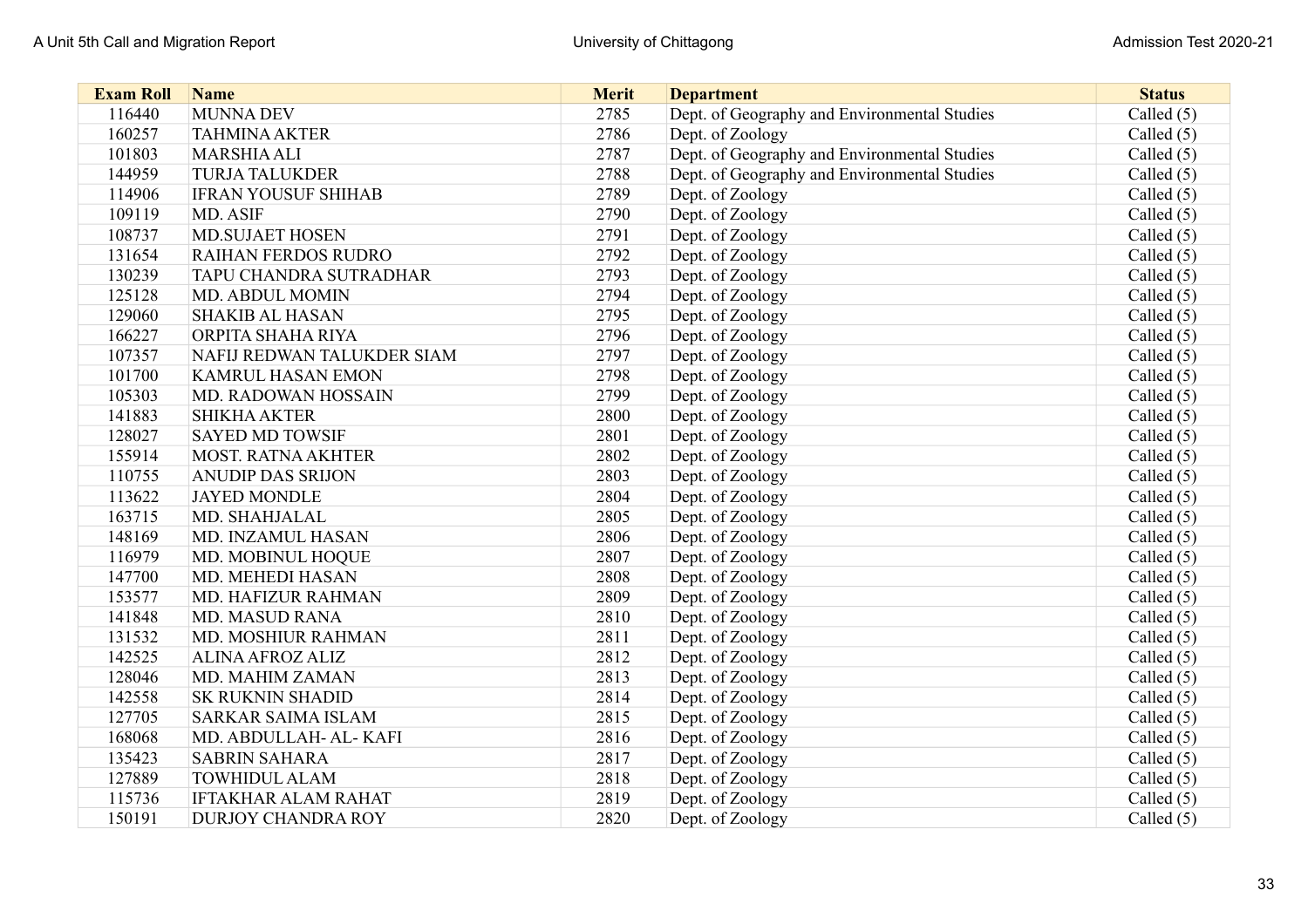| <b>Exam Roll</b> | <b>Name</b>                | <b>Merit</b> | <b>Department</b>                            | <b>Status</b> |
|------------------|----------------------------|--------------|----------------------------------------------|---------------|
| 116440           | <b>MUNNA DEV</b>           | 2785         | Dept. of Geography and Environmental Studies | Called $(5)$  |
| 160257           | <b>TAHMINA AKTER</b>       | 2786         | Dept. of Zoology                             | Called $(5)$  |
| 101803           | <b>MARSHIA ALI</b>         | 2787         | Dept. of Geography and Environmental Studies | Called (5)    |
| 144959           | <b>TURJA TALUKDER</b>      | 2788         | Dept. of Geography and Environmental Studies | Called $(5)$  |
| 114906           | <b>IFRAN YOUSUF SHIHAB</b> | 2789         | Dept. of Zoology                             | Called (5)    |
| 109119           | MD. ASIF                   | 2790         | Dept. of Zoology                             | Called (5)    |
| 108737           | <b>MD.SUJAET HOSEN</b>     | 2791         | Dept. of Zoology                             | Called $(5)$  |
| 131654           | <b>RAIHAN FERDOS RUDRO</b> | 2792         | Dept. of Zoology                             | Called $(5)$  |
| 130239           | TAPU CHANDRA SUTRADHAR     | 2793         | Dept. of Zoology                             | Called $(5)$  |
| 125128           | MD. ABDUL MOMIN            | 2794         | Dept. of Zoology                             | Called (5)    |
| 129060           | <b>SHAKIB AL HASAN</b>     | 2795         | Dept. of Zoology                             | Called (5)    |
| 166227           | ORPITA SHAHA RIYA          | 2796         | Dept. of Zoology                             | Called $(5)$  |
| 107357           | NAFIJ REDWAN TALUKDER SIAM | 2797         | Dept. of Zoology                             | Called (5)    |
| 101700           | <b>KAMRUL HASAN EMON</b>   | 2798         | Dept. of Zoology                             | Called (5)    |
| 105303           | MD. RADOWAN HOSSAIN        | 2799         | Dept. of Zoology                             | Called $(5)$  |
| 141883           | <b>SHIKHA AKTER</b>        | 2800         | Dept. of Zoology                             | Called (5)    |
| 128027           | <b>SAYED MD TOWSIF</b>     | 2801         | Dept. of Zoology                             | Called (5)    |
| 155914           | <b>MOST. RATNA AKHTER</b>  | 2802         | Dept. of Zoology                             | Called (5)    |
| 110755           | <b>ANUDIP DAS SRIJON</b>   | 2803         | Dept. of Zoology                             | Called (5)    |
| 113622           | <b>JAYED MONDLE</b>        | 2804         | Dept. of Zoology                             | Called (5)    |
| 163715           | MD. SHAHJALAL              | 2805         | Dept. of Zoology                             | Called (5)    |
| 148169           | MD. INZAMUL HASAN          | 2806         | Dept. of Zoology                             | Called (5)    |
| 116979           | MD. MOBINUL HOQUE          | 2807         | Dept. of Zoology                             | Called $(5)$  |
| 147700           | MD. MEHEDI HASAN           | 2808         | Dept. of Zoology                             | Called (5)    |
| 153577           | MD. HAFIZUR RAHMAN         | 2809         | Dept. of Zoology                             | Called (5)    |
| 141848           | <b>MD. MASUD RANA</b>      | 2810         | Dept. of Zoology                             | Called (5)    |
| 131532           | MD. MOSHIUR RAHMAN         | 2811         | Dept. of Zoology                             | Called (5)    |
| 142525           | <b>ALINA AFROZ ALIZ</b>    | 2812         | Dept. of Zoology                             | Called (5)    |
| 128046           | MD. MAHIM ZAMAN            | 2813         | Dept. of Zoology                             | Called $(5)$  |
| 142558           | <b>SK RUKNIN SHADID</b>    | 2814         | Dept. of Zoology                             | Called (5)    |
| 127705           | <b>SARKAR SAIMA ISLAM</b>  | 2815         | Dept. of Zoology                             | Called (5)    |
| 168068           | MD. ABDULLAH- AL- KAFI     | 2816         | Dept. of Zoology                             | Called (5)    |
| 135423           | <b>SABRIN SAHARA</b>       | 2817         | Dept. of Zoology                             | Called (5)    |
| 127889           | <b>TOWHIDUL ALAM</b>       | 2818         | Dept. of Zoology                             | Called $(5)$  |
| 115736           | <b>IFTAKHAR ALAM RAHAT</b> | 2819         | Dept. of Zoology                             | Called (5)    |
| 150191           | <b>DURJOY CHANDRA ROY</b>  | 2820         | Dept. of Zoology                             | Called (5)    |